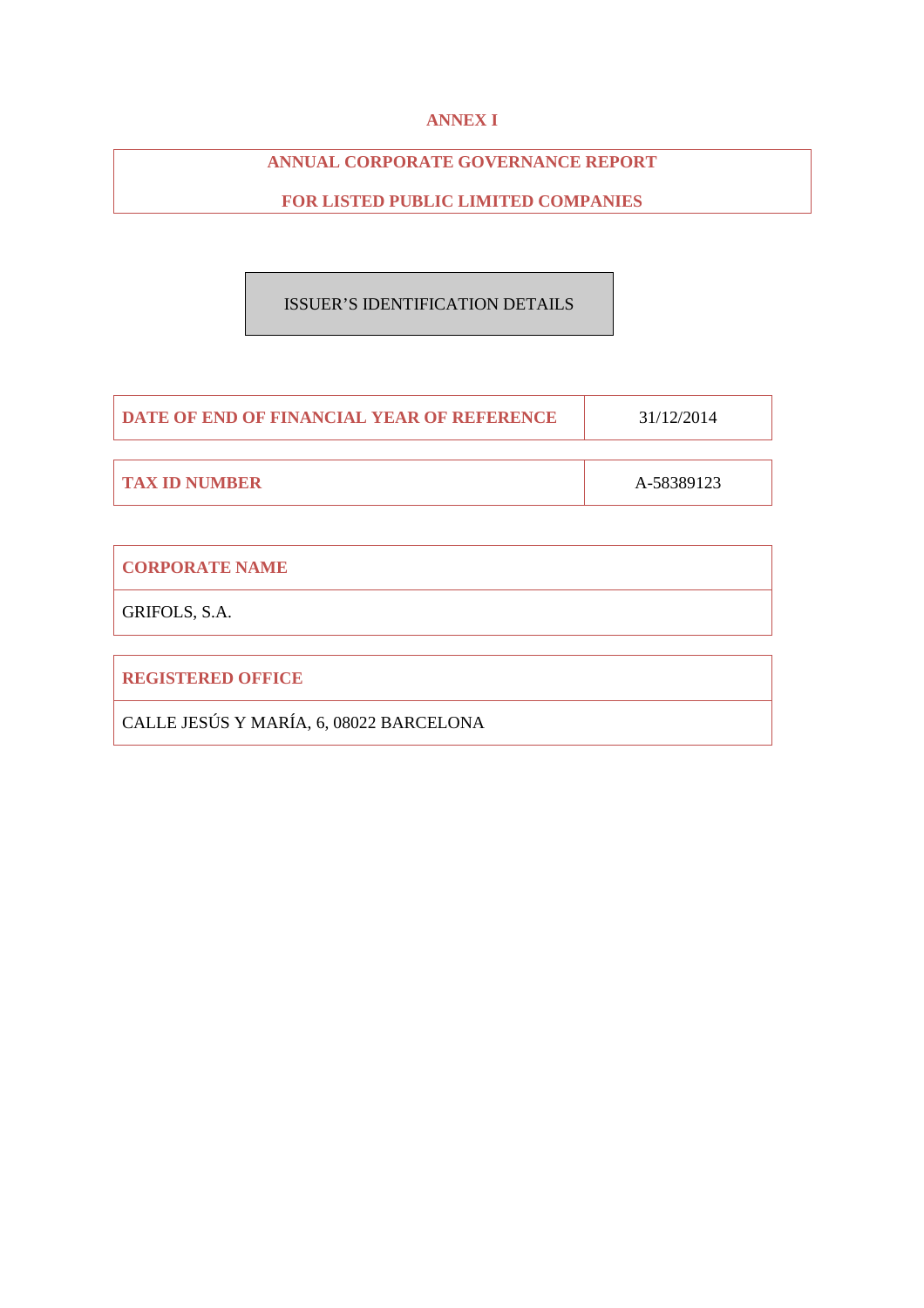# **ANNEX I**

# **ANNUAL CORPORATE GOVERNANCE REPORT**

# **FOR LISTED PUBLIC LIMITED COMPANIES**

# ISSUER'S IDENTIFICATION DETAILS

| <b>DATE OF END OF FINANCIAL YEAR OF REFERENCE</b> | 31/12/2014 |
|---------------------------------------------------|------------|
|                                                   |            |
| <b>TAX ID NUMBER</b>                              | A-58389123 |

| <b>CORPORATE NAME</b>                   |
|-----------------------------------------|
| GRIFOLS, S.A.                           |
|                                         |
| <b>REGISTERED OFFICE</b>                |
| CALLE JESÚS Y MARÍA, 6, 08022 BARCELONA |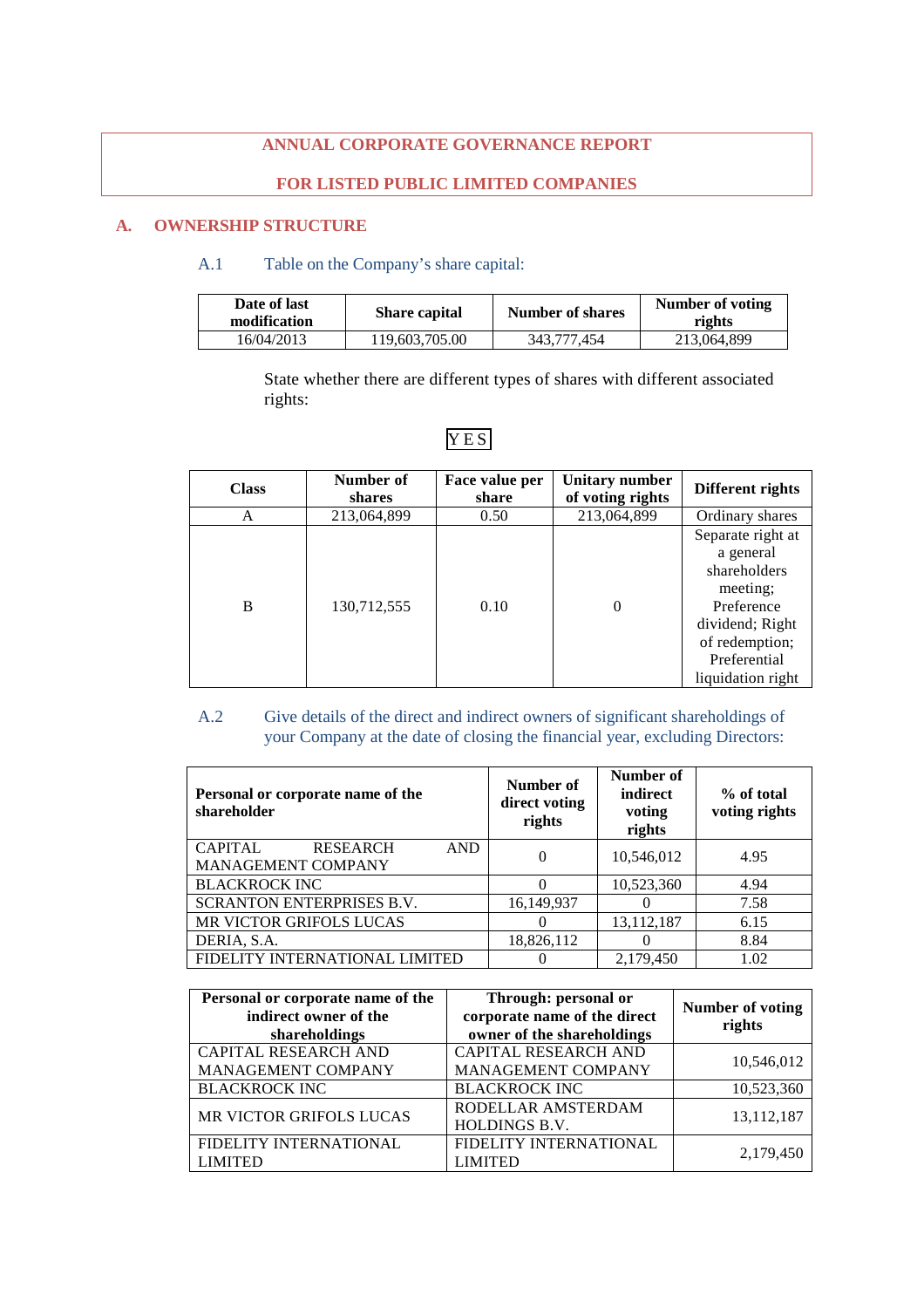# **ANNUAL CORPORATE GOVERNANCE REPORT**

# **FOR LISTED PUBLIC LIMITED COMPANIES**

# **A. OWNERSHIP STRUCTURE**

# A.1 Table on the Company's share capital:

| Date of last<br>modification | <b>Share capital</b> | Number of shares | Number of voting<br>rights |
|------------------------------|----------------------|------------------|----------------------------|
| 16/04/2013                   | 119,603,705.00       | 343.777.454      | 213,064,899                |

State whether there are different types of shares with different associated rights:

| <b>Class</b> | Number of<br>shares | Face value per<br>share | Unitary number<br>of voting rights | Different rights                                                                                                                                   |
|--------------|---------------------|-------------------------|------------------------------------|----------------------------------------------------------------------------------------------------------------------------------------------------|
| A            | 213,064,899         | 0.50                    | 213,064,899                        | Ordinary shares                                                                                                                                    |
| B            | 130,712,555         | 0.10                    | $\Omega$                           | Separate right at<br>a general<br>shareholders<br>meeting;<br>Preference<br>dividend; Right<br>of redemption;<br>Preferential<br>liquidation right |

# **YES**

# A.2 Give details of the direct and indirect owners of significant shareholdings of your Company at the date of closing the financial year, excluding Directors:

| Personal or corporate name of the<br>shareholder                      | Number of<br>direct voting<br>rights | Number of<br>indirect<br>voting<br>rights | % of total<br>voting rights |
|-----------------------------------------------------------------------|--------------------------------------|-------------------------------------------|-----------------------------|
| <b>CAPITAL</b><br><b>RESEARCH</b><br><b>AND</b><br>MANAGEMENT COMPANY | 0                                    | 10,546,012                                | 4.95                        |
| <b>BLACKROCK INC</b>                                                  | $\Omega$                             | 10,523,360                                | 4.94                        |
| <b>SCRANTON ENTERPRISES B.V.</b>                                      | 16,149,937                           |                                           | 7.58                        |
| MR VICTOR GRIFOLS LUCAS                                               | 0                                    | 13,112,187                                | 6.15                        |
| DERIA, S.A.                                                           | 18,826,112                           |                                           | 8.84                        |
| FIDELITY INTERNATIONAL LIMITED                                        | O                                    | 2,179,450                                 | 1.02                        |

| Personal or corporate name of the<br>indirect owner of the<br>shareholdings | Through: personal or<br>corporate name of the direct<br>owner of the shareholdings | Number of voting<br>rights |
|-----------------------------------------------------------------------------|------------------------------------------------------------------------------------|----------------------------|
| CAPITAL RESEARCH AND                                                        | CAPITAL RESEARCH AND                                                               |                            |
| MANAGEMENT COMPANY                                                          | MANAGEMENT COMPANY                                                                 | 10,546,012                 |
| <b>BLACKROCK INC</b>                                                        | <b>BLACKROCK INC</b>                                                               | 10,523,360                 |
| MR VICTOR GRIFOLS LUCAS                                                     | RODELLAR AMSTERDAM<br>HOLDINGS B.V.                                                | 13, 112, 187               |
| FIDELITY INTERNATIONAL<br><b>LIMITED</b>                                    | FIDELITY INTERNATIONAL<br><b>LIMITED</b>                                           | 2,179,450                  |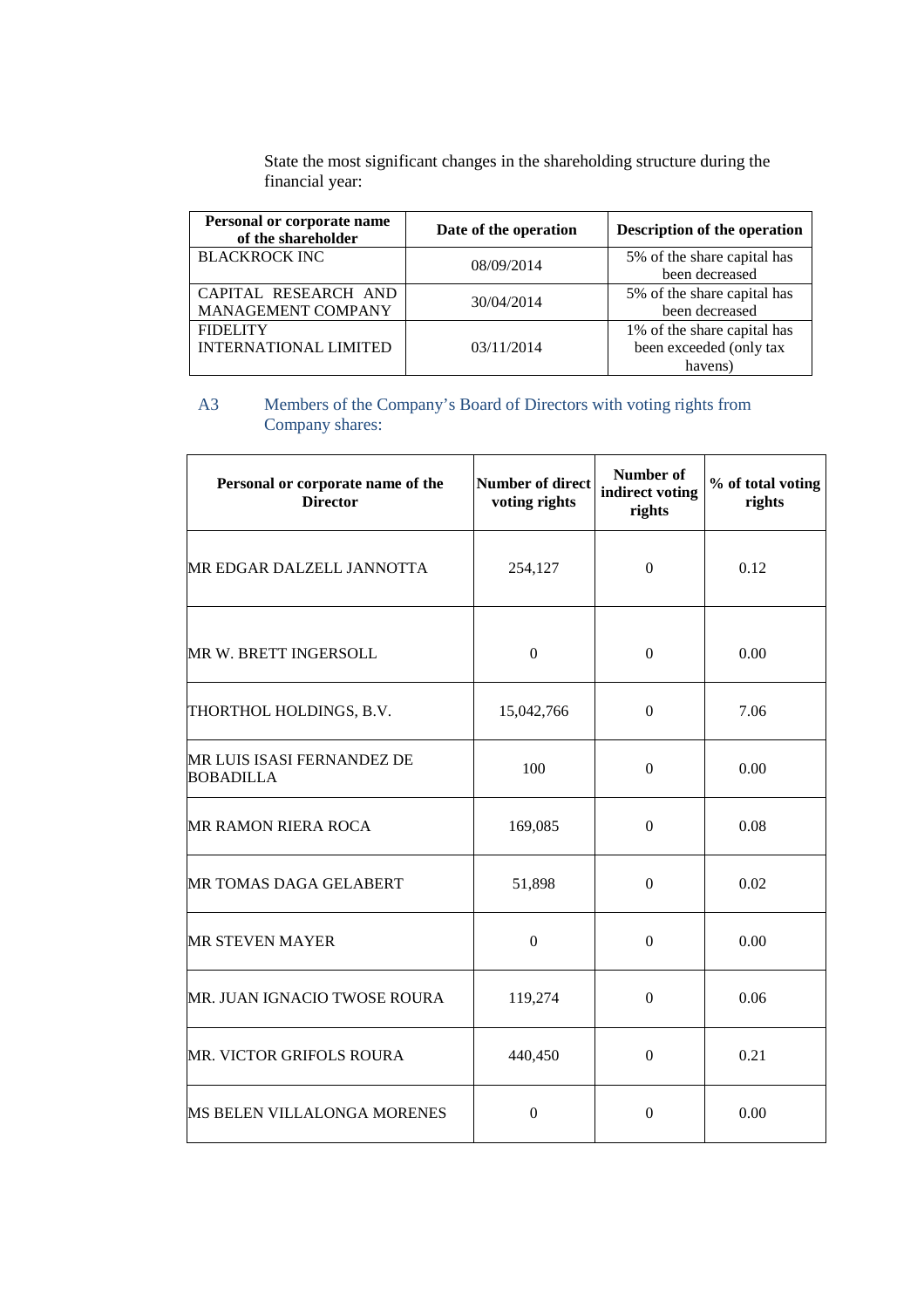State the most significant changes in the shareholding structure during the financial year:

| Personal or corporate name<br>of the shareholder | Date of the operation | Description of the operation |
|--------------------------------------------------|-----------------------|------------------------------|
| <b>BLACKROCK INC</b>                             | 08/09/2014            | 5% of the share capital has  |
|                                                  |                       | been decreased               |
| CAPITAL RESEARCH AND                             | 30/04/2014            | 5% of the share capital has  |
| MANAGEMENT COMPANY                               |                       | been decreased               |
| <b>FIDELITY</b>                                  |                       | 1% of the share capital has  |
| <b>INTERNATIONAL LIMITED</b>                     | 03/11/2014            | been exceeded (only tax      |
|                                                  |                       | havens)                      |

# A3 Members of the Company's Board of Directors with voting rights from Company shares:

| Personal or corporate name of the<br><b>Director</b>  | <b>Number of direct</b><br>voting rights | Number of<br>indirect voting<br>rights | % of total voting<br>rights |
|-------------------------------------------------------|------------------------------------------|----------------------------------------|-----------------------------|
| MR EDGAR DALZELL JANNOTTA                             | 254,127                                  | $\mathbf{0}$                           | 0.12                        |
| MR W. BRETT INGERSOLL                                 | $\mathbf{0}$                             | $\mathbf{0}$                           | 0.00                        |
| THORTHOL HOLDINGS, B.V.                               | 15,042,766                               | $\boldsymbol{0}$                       | 7.06                        |
| <b>MR LUIS ISASI FERNANDEZ DE</b><br><b>BOBADILLA</b> | 100                                      | $\boldsymbol{0}$                       | 0.00                        |
| <b>MR RAMON RIERA ROCA</b>                            | 169,085                                  | $\boldsymbol{0}$                       | 0.08                        |
| MR TOMAS DAGA GELABERT                                | 51,898                                   | $\boldsymbol{0}$                       | 0.02                        |
| <b>MR STEVEN MAYER</b>                                | $\boldsymbol{0}$                         | $\boldsymbol{0}$                       | 0.00                        |
| MR. JUAN IGNACIO TWOSE ROURA                          | 119,274                                  | $\boldsymbol{0}$                       | 0.06                        |
| MR. VICTOR GRIFOLS ROURA                              | 440,450                                  | $\Omega$                               | 0.21                        |
| <b>MS BELEN VILLALONGA MORENES</b>                    | $\overline{0}$                           | $\mathbf{0}$                           | 0.00                        |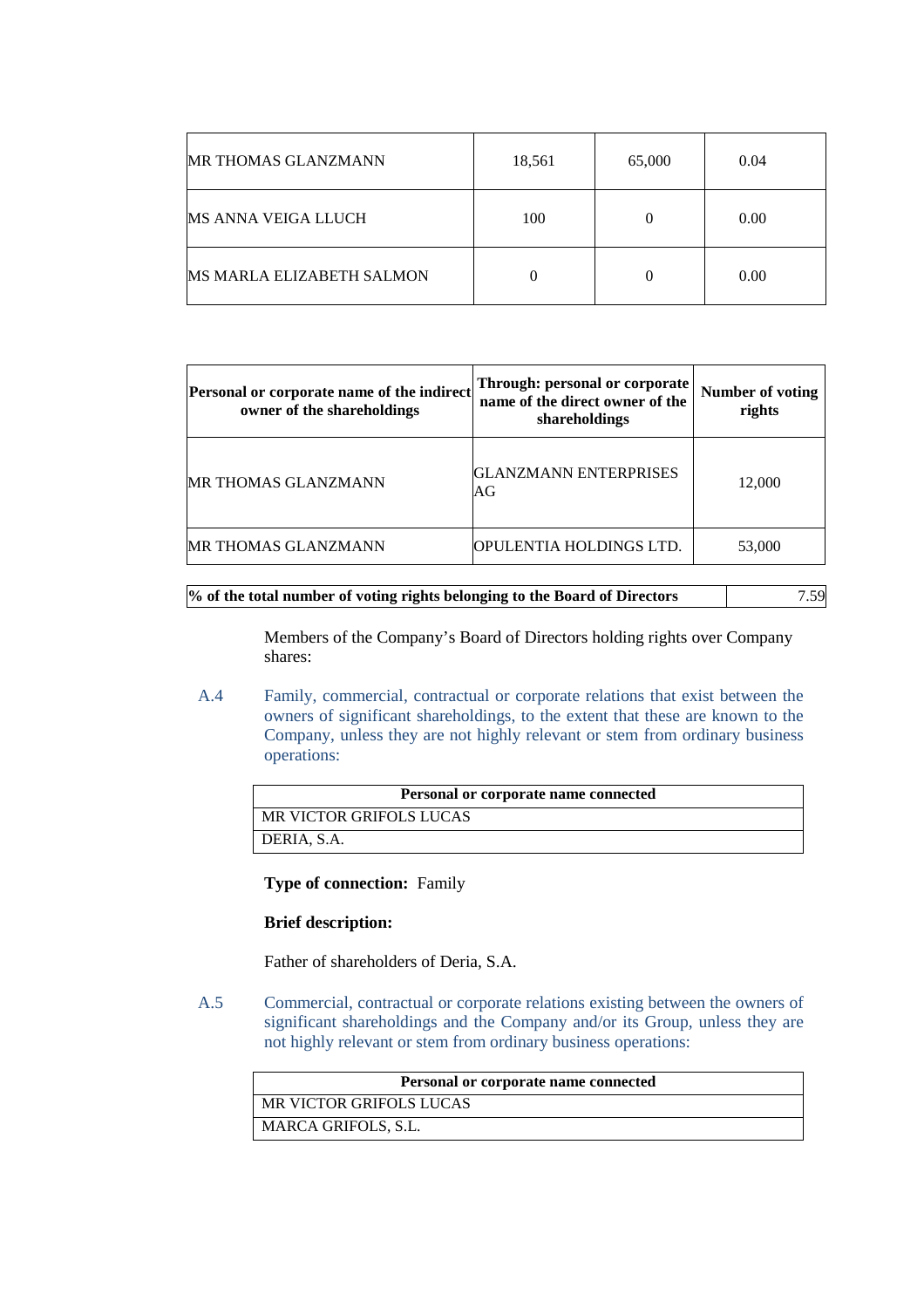| <b>MR THOMAS GLANZMANN</b>       | 18,561 | 65,000   | 0.04 |
|----------------------------------|--------|----------|------|
| MS ANNA VEIGA LLUCH              | 100    | $\theta$ | 0.00 |
| <b>MS MARLA ELIZABETH SALMON</b> |        | $\theta$ | 0.00 |

| Personal or corporate name of the indirect<br>owner of the shareholdings | Through: personal or corporate<br>name of the direct owner of the<br>shareholdings | Number of voting<br>rights |
|--------------------------------------------------------------------------|------------------------------------------------------------------------------------|----------------------------|
| MR THOMAS GLANZMANN                                                      | GLANZMANN ENTERPRISES<br>AG                                                        | 12,000                     |
| MR THOMAS GLANZMANN                                                      | OPULENTIA HOLDINGS LTD.                                                            | 53,000                     |

# **% of the total number of voting rights belonging to the Board of Directors** 7.59

Members of the Company's Board of Directors holding rights over Company shares:

A.4 Family, commercial, contractual or corporate relations that exist between the owners of significant shareholdings, to the extent that these are known to the Company, unless they are not highly relevant or stem from ordinary business operations:

| Personal or corporate name connected |  |
|--------------------------------------|--|
| MR VICTOR GRIFOLS LUCAS              |  |
| DERIA, S.A.                          |  |

**Type of connection:** Family

### **Brief description:**

Father of shareholders of Deria, S.A.

A.5 Commercial, contractual or corporate relations existing between the owners of significant shareholdings and the Company and/or its Group, unless they are not highly relevant or stem from ordinary business operations:

| Personal or corporate name connected |
|--------------------------------------|
| MR VICTOR GRIFOLS LUCAS              |
| MARCA GRIFOLS, S.L.                  |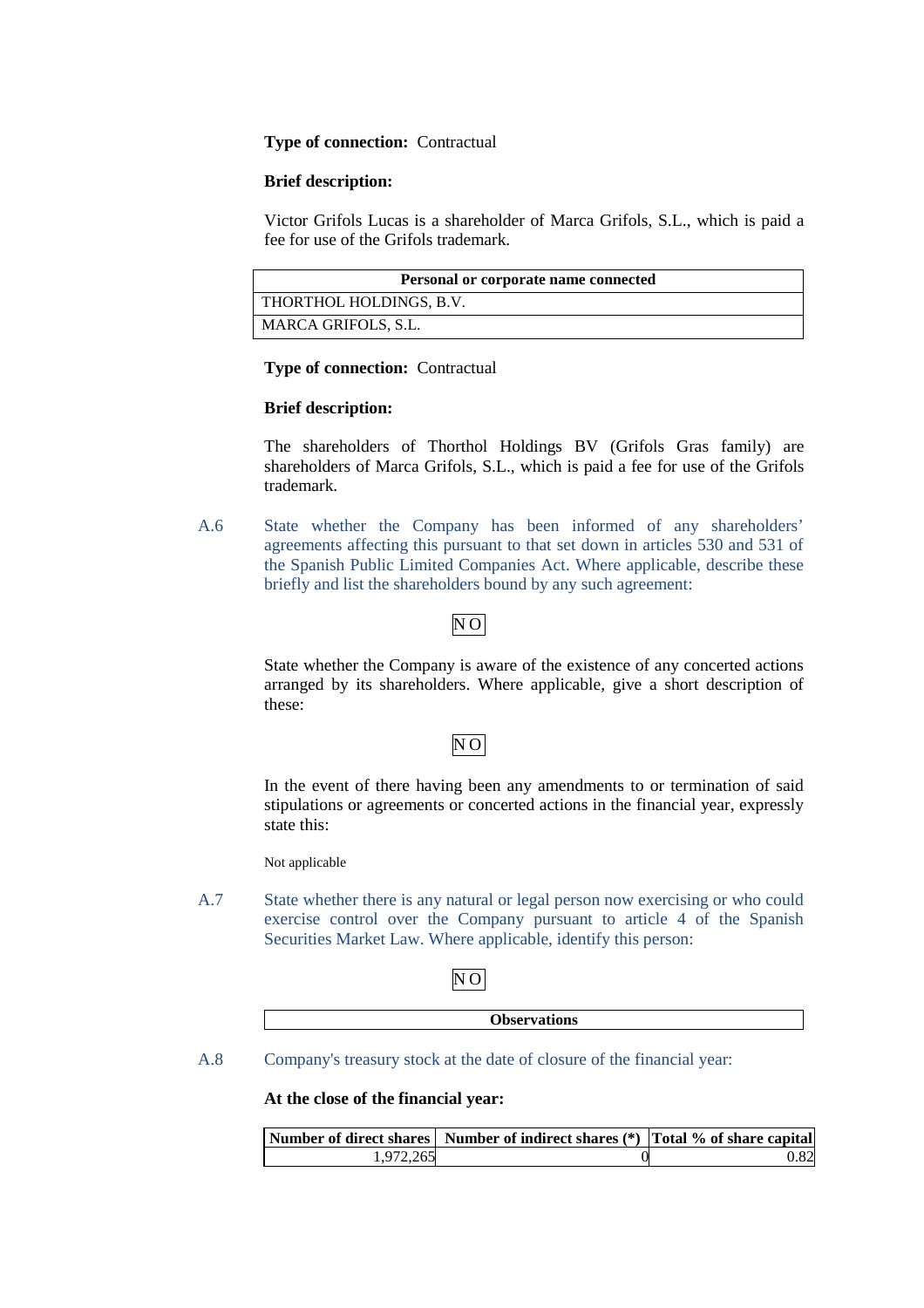### **Type of connection:** Contractual

### **Brief description:**

Victor Grifols Lucas is a shareholder of Marca Grifols, S.L., which is paid a fee for use of the Grifols trademark.

| Personal or corporate name connected |  |
|--------------------------------------|--|
| THORTHOL HOLDINGS, B.V.              |  |
| MARCA GRIFOLS, S.L.                  |  |

### **Type of connection:** Contractual

# **Brief description:**

The shareholders of Thorthol Holdings BV (Grifols Gras family) are shareholders of Marca Grifols, S.L., which is paid a fee for use of the Grifols trademark.

A.6 State whether the Company has been informed of any shareholders' agreements affecting this pursuant to that set down in articles 530 and 531 of the Spanish Public Limited Companies Act. Where applicable, describe these briefly and list the shareholders bound by any such agreement:

# N O

State whether the Company is aware of the existence of any concerted actions arranged by its shareholders. Where applicable, give a short description of these:

# $\overline{NO}$

In the event of there having been any amendments to or termination of said stipulations or agreements or concerted actions in the financial year, expressly state this:

Not applicable

A.7 State whether there is any natural or legal person now exercising or who could exercise control over the Company pursuant to article 4 of the Spanish Securities Market Law. Where applicable, identify this person:

# N O

| <b>Jhcery</b><br>$- - - -$<br>vations |
|---------------------------------------|
|                                       |

A.8 Company's treasury stock at the date of closure of the financial year:

**At the close of the financial year:** 

|           | Number of direct shares Number of indirect shares (*) Total % of share capital |      |
|-----------|--------------------------------------------------------------------------------|------|
| 1.972.265 |                                                                                | 0.82 |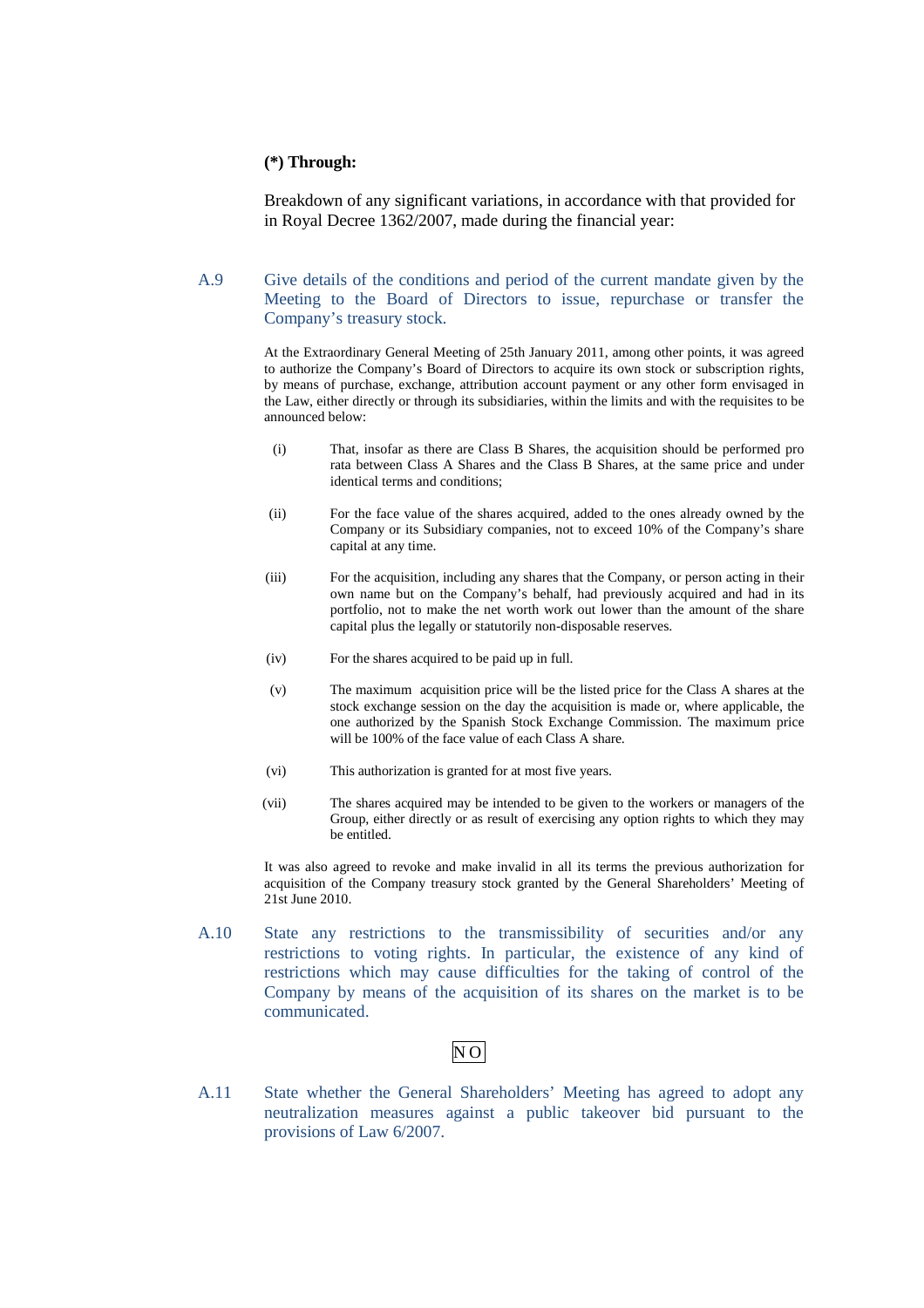### **(\*) Through:**

Breakdown of any significant variations, in accordance with that provided for in Royal Decree 1362/2007, made during the financial year:

A.9 Give details of the conditions and period of the current mandate given by the Meeting to the Board of Directors to issue, repurchase or transfer the Company's treasury stock.

> At the Extraordinary General Meeting of 25th January 2011, among other points, it was agreed to authorize the Company's Board of Directors to acquire its own stock or subscription rights, by means of purchase, exchange, attribution account payment or any other form envisaged in the Law, either directly or through its subsidiaries, within the limits and with the requisites to be announced below:

- (i) That, insofar as there are Class B Shares, the acquisition should be performed pro rata between Class A Shares and the Class B Shares, at the same price and under identical terms and conditions;
- (ii) For the face value of the shares acquired, added to the ones already owned by the Company or its Subsidiary companies, not to exceed 10% of the Company's share capital at any time.
- (iii) For the acquisition, including any shares that the Company, or person acting in their own name but on the Company's behalf, had previously acquired and had in its portfolio, not to make the net worth work out lower than the amount of the share capital plus the legally or statutorily non-disposable reserves.
- (iv) For the shares acquired to be paid up in full.
- (v) The maximum acquisition price will be the listed price for the Class A shares at the stock exchange session on the day the acquisition is made or, where applicable, the one authorized by the Spanish Stock Exchange Commission. The maximum price will be 100% of the face value of each Class A share.
- (vi) This authorization is granted for at most five years.
- (vii) The shares acquired may be intended to be given to the workers or managers of the Group, either directly or as result of exercising any option rights to which they may be entitled.

It was also agreed to revoke and make invalid in all its terms the previous authorization for acquisition of the Company treasury stock granted by the General Shareholders' Meeting of 21st June 2010.

A.10 State any restrictions to the transmissibility of securities and/or any restrictions to voting rights. In particular, the existence of any kind of restrictions which may cause difficulties for the taking of control of the Company by means of the acquisition of its shares on the market is to be communicated.

# $\overline{NO}$

A.11 State whether the General Shareholders' Meeting has agreed to adopt any neutralization measures against a public takeover bid pursuant to the provisions of Law 6/2007.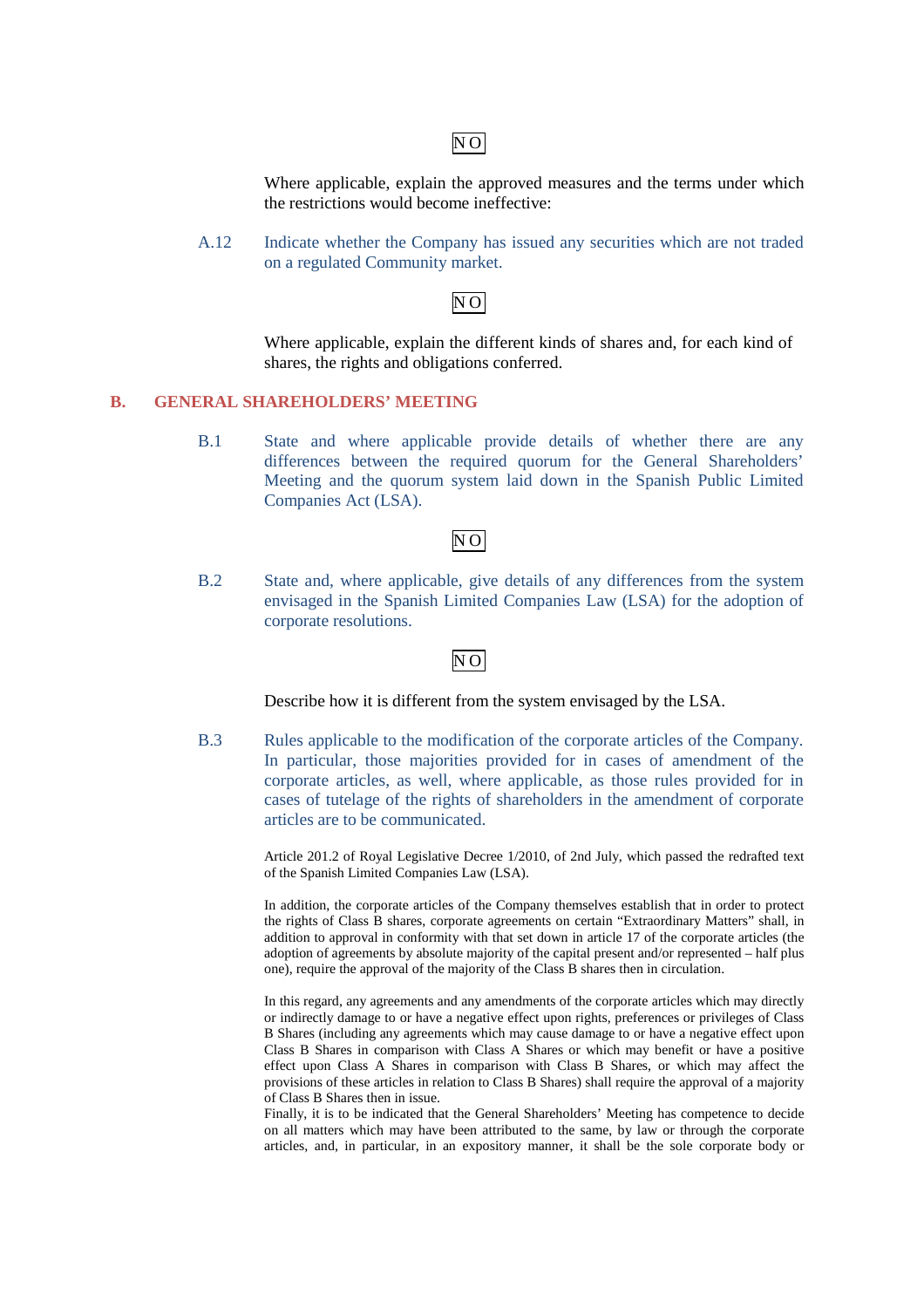# $\overline{NO}$

Where applicable, explain the approved measures and the terms under which the restrictions would become ineffective:

A.12 Indicate whether the Company has issued any securities which are not traded on a regulated Community market.

# N O

Where applicable, explain the different kinds of shares and, for each kind of shares, the rights and obligations conferred.

# **B. GENERAL SHAREHOLDERS' MEETING**

B.1 State and where applicable provide details of whether there are any differences between the required quorum for the General Shareholders' Meeting and the quorum system laid down in the Spanish Public Limited Companies Act (LSA).

# $\overline{NO}$

B.2 State and, where applicable, give details of any differences from the system envisaged in the Spanish Limited Companies Law (LSA) for the adoption of corporate resolutions.

# $\overline{N}$ O

Describe how it is different from the system envisaged by the LSA.

B.3 Rules applicable to the modification of the corporate articles of the Company. In particular, those majorities provided for in cases of amendment of the corporate articles, as well, where applicable, as those rules provided for in cases of tutelage of the rights of shareholders in the amendment of corporate articles are to be communicated.

> Article 201.2 of Royal Legislative Decree 1/2010, of 2nd July, which passed the redrafted text of the Spanish Limited Companies Law (LSA).

> In addition, the corporate articles of the Company themselves establish that in order to protect the rights of Class B shares, corporate agreements on certain "Extraordinary Matters" shall, in addition to approval in conformity with that set down in article 17 of the corporate articles (the adoption of agreements by absolute majority of the capital present and/or represented – half plus one), require the approval of the majority of the Class B shares then in circulation.

> In this regard, any agreements and any amendments of the corporate articles which may directly or indirectly damage to or have a negative effect upon rights, preferences or privileges of Class B Shares (including any agreements which may cause damage to or have a negative effect upon Class B Shares in comparison with Class A Shares or which may benefit or have a positive effect upon Class A Shares in comparison with Class B Shares, or which may affect the provisions of these articles in relation to Class B Shares) shall require the approval of a majority of Class B Shares then in issue.

> Finally, it is to be indicated that the General Shareholders' Meeting has competence to decide on all matters which may have been attributed to the same, by law or through the corporate articles, and, in particular, in an expository manner, it shall be the sole corporate body or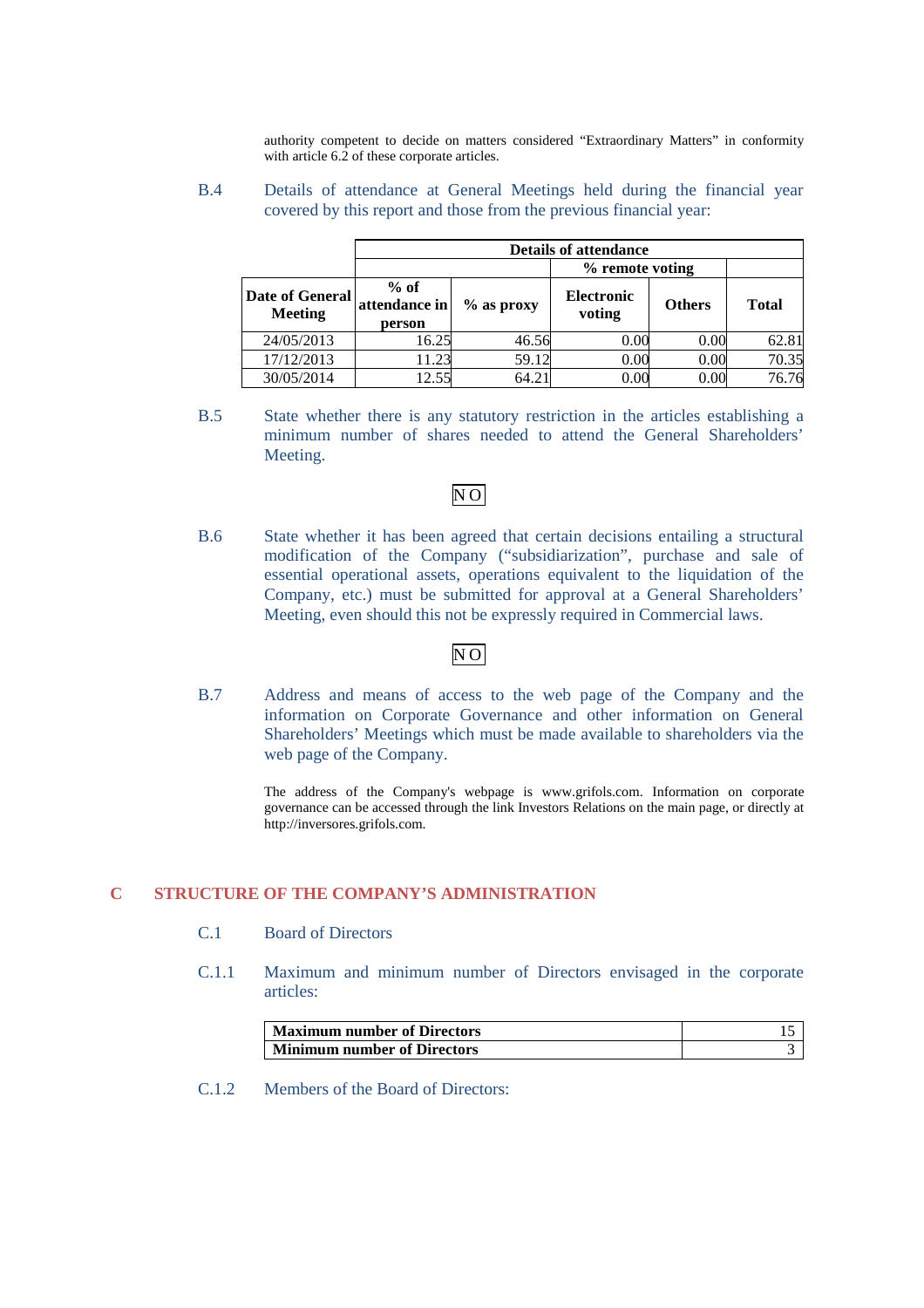authority competent to decide on matters considered "Extraordinary Matters" in conformity with article 6.2 of these corporate articles.

### B.4 Details of attendance at General Meetings held during the financial year covered by this report and those from the previous financial year:

|                                   |                                   |              | <b>Details of attendance</b> |               |              |
|-----------------------------------|-----------------------------------|--------------|------------------------------|---------------|--------------|
|                                   |                                   |              | % remote voting              |               |              |
| Date of General<br><b>Meeting</b> | $%$ of<br>attendance in<br>person | $%$ as proxy | <b>Electronic</b><br>voting  | <b>Others</b> | <b>Total</b> |
| 24/05/2013                        | 16.25                             | 46.56        | 0.00                         | 0.00          | 62.81        |
| 17/12/2013                        | 11.23                             | 59.12        | 0.00                         | 0.00          | 70.35        |
| 30/05/2014                        | 12.55                             | 64.21        | 0.00                         | 0.00          | 76.76        |

B.5 State whether there is any statutory restriction in the articles establishing a minimum number of shares needed to attend the General Shareholders' Meeting.

# $\overline{N}$ O

B.6 State whether it has been agreed that certain decisions entailing a structural modification of the Company ("subsidiarization", purchase and sale of essential operational assets, operations equivalent to the liquidation of the Company, etc.) must be submitted for approval at a General Shareholders' Meeting, even should this not be expressly required in Commercial laws.

# N O

B.7 Address and means of access to the web page of the Company and the information on Corporate Governance and other information on General Shareholders' Meetings which must be made available to shareholders via the web page of the Company.

> The address of the Company's webpage is www.grifols.com. Information on corporate governance can be accessed through the link Investors Relations on the main page, or directly at http://inversores.grifols.com.

# **C STRUCTURE OF THE COMPANY'S ADMINISTRATION**

- C.1 Board of Directors
- C.1.1 Maximum and minimum number of Directors envisaged in the corporate articles:

| <b>Maximum number of Directors</b> |  |
|------------------------------------|--|
| <b>Minimum number of Directors</b> |  |

C.1.2 Members of the Board of Directors: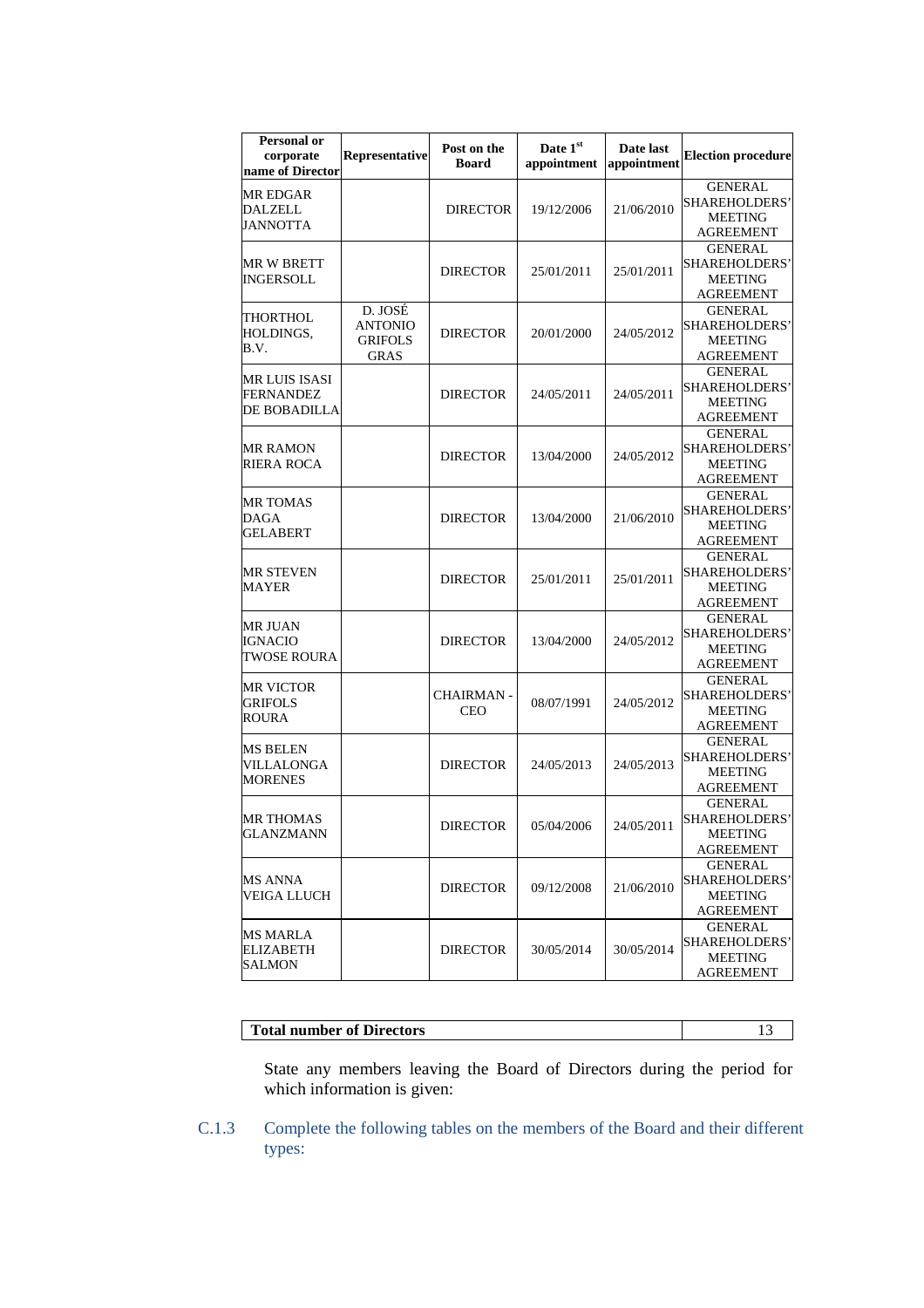| Personal or<br>corporate<br>name of Director | Representative                                             | Post on the<br><b>Board</b>     | Date 1st<br>appointment | Date last<br>appointment | <b>Election procedure</b>                                             |
|----------------------------------------------|------------------------------------------------------------|---------------------------------|-------------------------|--------------------------|-----------------------------------------------------------------------|
| MR EDGAR<br><b>DALZELL</b><br>JANNOTTA       |                                                            | <b>DIRECTOR</b>                 | 19/12/2006              | 21/06/2010               | <b>GENERAL</b><br>SHAREHOLDERS'<br><b>MEETING</b><br>AGREEMENT        |
| MR W BRETT<br>INGERSOLL                      |                                                            | <b>DIRECTOR</b>                 | 25/01/2011              | 25/01/2011               | <b>GENERAL</b><br>SHAREHOLDERS'<br><b>MEETING</b><br>AGREEMENT        |
| THORTHOL<br>HOLDINGS,<br>B.V.                | D. JOSÉ<br><b>ANTONIO</b><br><b>GRIFOLS</b><br><b>GRAS</b> | <b>DIRECTOR</b>                 | 20/01/2000              | 24/05/2012               | <b>GENERAL</b><br>SHAREHOLDERS'<br><b>MEETING</b><br>AGREEMENT        |
| MR LUIS ISASI<br>FERNANDEZ<br>DE BOBADILLA   |                                                            | <b>DIRECTOR</b>                 | 24/05/2011              | 24/05/2011               | GENERAL<br>SHAREHOLDERS'<br><b>MEETING</b><br><b>AGREEMENT</b>        |
| MR RAMON<br>RIERA ROCA                       |                                                            | <b>DIRECTOR</b>                 | 13/04/2000              | 24/05/2012               | <b>GENERAL</b><br>SHAREHOLDERS'<br><b>MEETING</b><br>AGREEMENT        |
| MR TOMAS<br>DAGA<br><b>GELABERT</b>          |                                                            | <b>DIRECTOR</b>                 | 13/04/2000              | 21/06/2010               | <b>GENERAL</b><br>SHAREHOLDERS'<br><b>MEETING</b><br><b>AGREEMENT</b> |
| MR STEVEN<br>MAYER                           |                                                            | <b>DIRECTOR</b>                 | 25/01/2011              | 25/01/2011               | <b>GENERAL</b><br>SHAREHOLDERS'<br><b>MEETING</b><br>AGREEMENT        |
| MR JUAN<br><b>IGNACIO</b><br>TWOSE ROURA     |                                                            | <b>DIRECTOR</b>                 | 13/04/2000              | 24/05/2012               | GENERAL<br>SHAREHOLDERS'<br><b>MEETING</b><br><b>AGREEMENT</b>        |
| MR VICTOR<br>GRIFOLS<br>ROURA                |                                                            | <b>CHAIRMAN -</b><br><b>CEO</b> | 08/07/1991              | 24/05/2012               | GENERAL<br><b>SHAREHOLDERS'</b><br><b>MEETING</b><br><b>AGREEMENT</b> |
| MS BELEN<br>VILLALONGA<br>MORENES            |                                                            | <b>DIRECTOR</b>                 | 24/05/2013              | 24/05/2013               | <b>GENERAL</b><br>SHAREHOLDERS'<br>MEETING<br><b>AGREEMENT</b>        |
| <b>MR THOMAS</b><br>GLANZMANN                |                                                            | <b>DIRECTOR</b>                 | 05/04/2006              | 24/05/2011               | <b>GENERAL</b><br>SHAREHOLDERS'<br><b>MEETING</b><br><b>AGREEMENT</b> |
| MS ANNA<br><b>VEIGA LLUCH</b>                |                                                            | <b>DIRECTOR</b>                 | 09/12/2008              | 21/06/2010               | GENERAL<br>SHAREHOLDERS'<br><b>MEETING</b><br><b>AGREEMENT</b>        |
| MS MARLA<br>ELIZABETH<br><b>SALMON</b>       |                                                            | <b>DIRECTOR</b>                 | 30/05/2014              | 30/05/2014               | <b>GENERAL</b><br>SHAREHOLDERS'<br><b>MEETING</b><br>AGREEMENT        |

| <b>Total number of Directors</b> |  |
|----------------------------------|--|

State any members leaving the Board of Directors during the period for which information is given:

C.1.3 Complete the following tables on the members of the Board and their different types: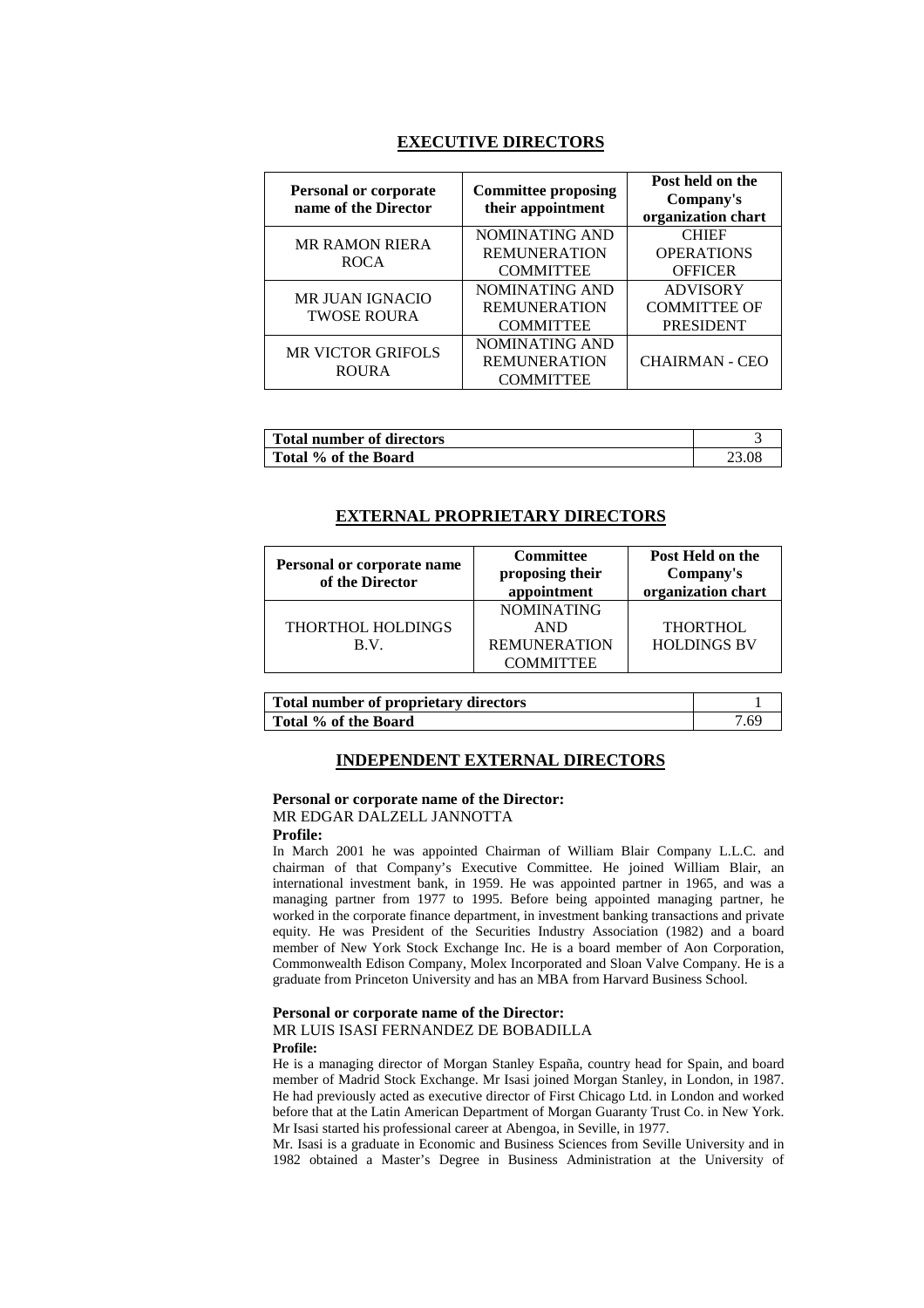### **EXECUTIVE DIRECTORS**

| <b>Personal or corporate</b><br>name of the Director | <b>Committee proposing</b><br>their appointment | Post held on the<br>Company's<br>organization chart |
|------------------------------------------------------|-------------------------------------------------|-----------------------------------------------------|
| <b>MR RAMON RIERA</b>                                | NOMINATING AND                                  | <b>CHIEF</b>                                        |
| <b>ROCA</b>                                          | <b>REMUNERATION</b>                             | <b>OPERATIONS</b>                                   |
|                                                      | <b>COMMITTEE</b>                                | <b>OFFICER</b>                                      |
| <b>MR JUAN IGNACIO</b><br><b>TWOSE ROURA</b>         | NOMINATING AND                                  | <b>ADVISORY</b>                                     |
|                                                      | <b>REMUNERATION</b>                             | <b>COMMITTEE OF</b>                                 |
|                                                      | <b>COMMITTEE</b>                                | <b>PRESIDENT</b>                                    |
| <b>MR VICTOR GRIFOLS</b>                             | NOMINATING AND                                  |                                                     |
| <b>ROURA</b>                                         | <b>REMUNERATION</b>                             | <b>CHAIRMAN - CEO</b>                               |
|                                                      | <b>COMMITTEE</b>                                |                                                     |

| <b>Total number of directors</b> |  |
|----------------------------------|--|
| Total % of the Board             |  |

### **EXTERNAL PROPRIETARY DIRECTORS**

| Personal or corporate name | <b>Committee</b>    | Post Held on the   |
|----------------------------|---------------------|--------------------|
| of the Director            | proposing their     | Company's          |
|                            | appointment         | organization chart |
|                            | <b>NOMINATING</b>   |                    |
| THORTHOL HOLDINGS          | <b>AND</b>          | <b>THORTHOL</b>    |
| B.V.                       | <b>REMUNERATION</b> | <b>HOLDINGS BV</b> |
|                            | <b>COMMITTEE</b>    |                    |

| <b>Total number of proprietary directors</b> |       |
|----------------------------------------------|-------|
| Total % of the Board                         | 7.69. |

#### **INDEPENDENT EXTERNAL DIRECTORS**

# **Personal or corporate name of the Director:**  MR EDGAR DALZELL JANNOTTA

**Profile:** 

In March 2001 he was appointed Chairman of William Blair Company L.L.C. and chairman of that Company's Executive Committee. He joined William Blair, an international investment bank, in 1959. He was appointed partner in 1965, and was a managing partner from 1977 to 1995. Before being appointed managing partner, he worked in the corporate finance department, in investment banking transactions and private equity. He was President of the Securities Industry Association (1982) and a board member of New York Stock Exchange Inc. He is a board member of Aon Corporation, Commonwealth Edison Company, Molex Incorporated and Sloan Valve Company. He is a graduate from Princeton University and has an MBA from Harvard Business School.

#### **Personal or corporate name of the Director:**

MR LUIS ISASI FERNANDEZ DE BOBADILLA

### **Profile:**

He is a managing director of Morgan Stanley España, country head for Spain, and board member of Madrid Stock Exchange. Mr Isasi joined Morgan Stanley, in London, in 1987. He had previously acted as executive director of First Chicago Ltd. in London and worked before that at the Latin American Department of Morgan Guaranty Trust Co. in New York. Mr Isasi started his professional career at Abengoa, in Seville, in 1977.

Mr. Isasi is a graduate in Economic and Business Sciences from Seville University and in 1982 obtained a Master's Degree in Business Administration at the University of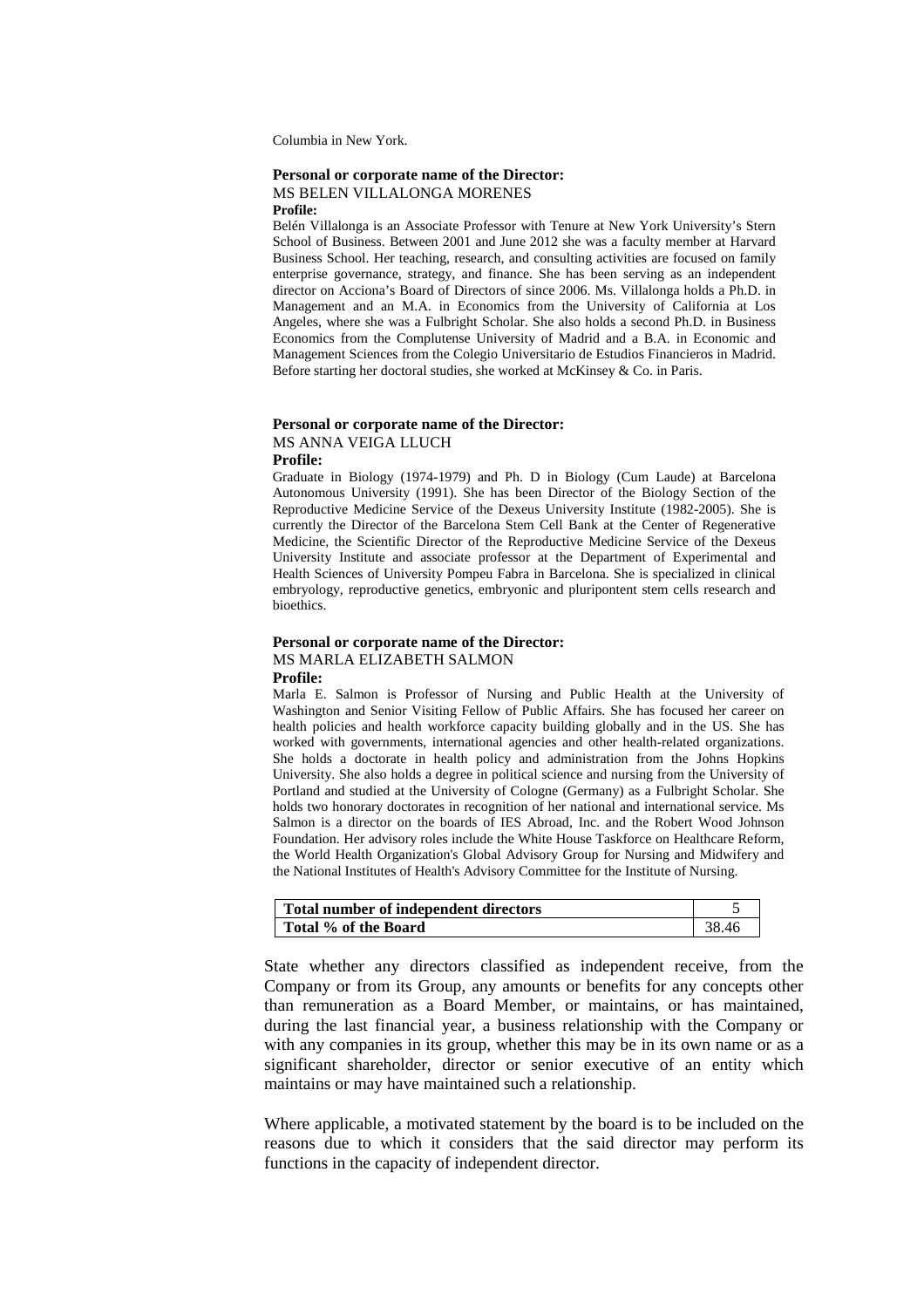Columbia in New York.

# **Personal or corporate name of the Director:**  MS BELEN VILLALONGA MORENES

**Profile:** 

Belén Villalonga is an Associate Professor with Tenure at New York University's Stern School of Business. Between 2001 and June 2012 she was a faculty member at Harvard Business School. Her teaching, research, and consulting activities are focused on family enterprise governance, strategy, and finance. She has been serving as an independent director on Acciona's Board of Directors of since 2006. Ms. Villalonga holds a Ph.D. in Management and an M.A. in Economics from the University of California at Los Angeles, where she was a Fulbright Scholar. She also holds a second Ph.D. in Business Economics from the Complutense University of Madrid and a B.A. in Economic and Management Sciences from the Colegio Universitario de Estudios Financieros in Madrid. Before starting her doctoral studies, she worked at McKinsey & Co. in Paris.

#### **Personal or corporate name of the Director:**

MS ANNA VEIGA LLUCH

**Profile:**

Graduate in Biology (1974-1979) and Ph. D in Biology (Cum Laude) at Barcelona Autonomous University (1991). She has been Director of the Biology Section of the Reproductive Medicine Service of the Dexeus University Institute (1982-2005). She is currently the Director of the Barcelona Stem Cell Bank at the Center of Regenerative Medicine, the Scientific Director of the Reproductive Medicine Service of the Dexeus University Institute and associate professor at the Department of Experimental and Health Sciences of University Pompeu Fabra in Barcelona. She is specialized in clinical embryology, reproductive genetics, embryonic and pluripontent stem cells research and bioethics.

#### **Personal or corporate name of the Director:** MS MARLA ELIZABETH SALMON **Profile:**

Marla E. Salmon is Professor of Nursing and Public Health at the University of Washington and Senior Visiting Fellow of Public Affairs. She has focused her career on health policies and health workforce capacity building globally and in the US. She has worked with governments, international agencies and other health-related organizations. She holds a doctorate in health policy and administration from the Johns Hopkins University. She also holds a degree in political science and nursing from the University of Portland and studied at the University of Cologne (Germany) as a Fulbright Scholar. She holds two honorary doctorates in recognition of her national and international service. Ms Salmon is a director on the boards of IES Abroad, Inc. and the Robert Wood Johnson Foundation. Her advisory roles include the White House Taskforce on Healthcare Reform, the World Health Organization's Global Advisory Group for Nursing and Midwifery and the National Institutes of Health's Advisory Committee for the Institute of Nursing.

| Total number of independent directors |       |
|---------------------------------------|-------|
| Total % of the Board                  | 38.46 |

State whether any directors classified as independent receive, from the Company or from its Group, any amounts or benefits for any concepts other than remuneration as a Board Member, or maintains, or has maintained, during the last financial year, a business relationship with the Company or with any companies in its group, whether this may be in its own name or as a significant shareholder, director or senior executive of an entity which maintains or may have maintained such a relationship.

Where applicable, a motivated statement by the board is to be included on the reasons due to which it considers that the said director may perform its functions in the capacity of independent director.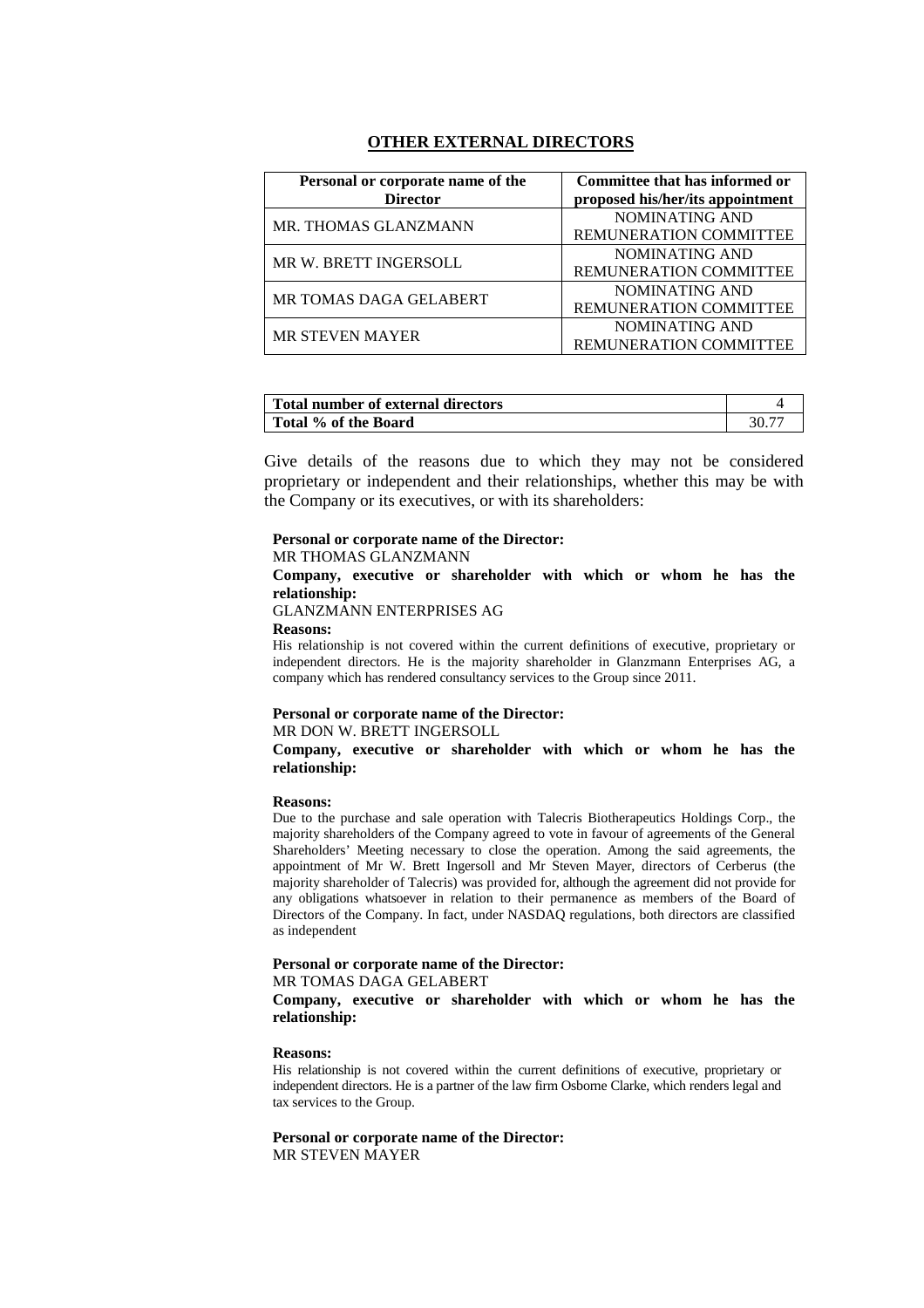### **OTHER EXTERNAL DIRECTORS**

| Personal or corporate name of the<br><b>Director</b> | Committee that has informed or<br>proposed his/her/its appointment |
|------------------------------------------------------|--------------------------------------------------------------------|
| MR. THOMAS GLANZMANN                                 | NOMINATING AND<br>REMUNERATION COMMITTEE                           |
| MR W. BRETT INGERSOLL                                | NOMINATING AND<br><b>REMUNERATION COMMITTEE</b>                    |
| MR TOMAS DAGA GELABERT                               | NOMINATING AND<br>REMUNERATION COMMITTEE                           |
| <b>MR STEVEN MAYER</b>                               | NOMINATING AND<br><b>REMUNERATION COMMITTEE</b>                    |

| Total number of external directors |  |
|------------------------------------|--|
| Total % of the Board               |  |

Give details of the reasons due to which they may not be considered proprietary or independent and their relationships, whether this may be with the Company or its executives, or with its shareholders:

#### **Personal or corporate name of the Director:**

### MR THOMAS GLANZMANN

**Company, executive or shareholder with which or whom he has the relationship:** 

### GLANZMANN ENTERPRISES AG

#### **Reasons:**

His relationship is not covered within the current definitions of executive, proprietary or independent directors. He is the majority shareholder in Glanzmann Enterprises AG, a company which has rendered consultancy services to the Group since 2011.

#### **Personal or corporate name of the Director:**  MR DON W. BRETT INGERSOLL

**Company, executive or shareholder with which or whom he has the relationship:**

#### **Reasons:**

Due to the purchase and sale operation with Talecris Biotherapeutics Holdings Corp., the majority shareholders of the Company agreed to vote in favour of agreements of the General Shareholders' Meeting necessary to close the operation. Among the said agreements, the appointment of Mr W. Brett Ingersoll and Mr Steven Mayer, directors of Cerberus (the majority shareholder of Talecris) was provided for, although the agreement did not provide for any obligations whatsoever in relation to their permanence as members of the Board of Directors of the Company. In fact, under NASDAQ regulations, both directors are classified as independent

#### **Personal or corporate name of the Director:**  MR TOMAS DAGA GELABERT

**Company, executive or shareholder with which or whom he has the relationship:** 

#### **Reasons:**

His relationship is not covered within the current definitions of executive, proprietary or independent directors. He is a partner of the law firm Osborne Clarke, which renders legal and tax services to the Group.

**Personal or corporate name of the Director:** MR STEVEN MAYER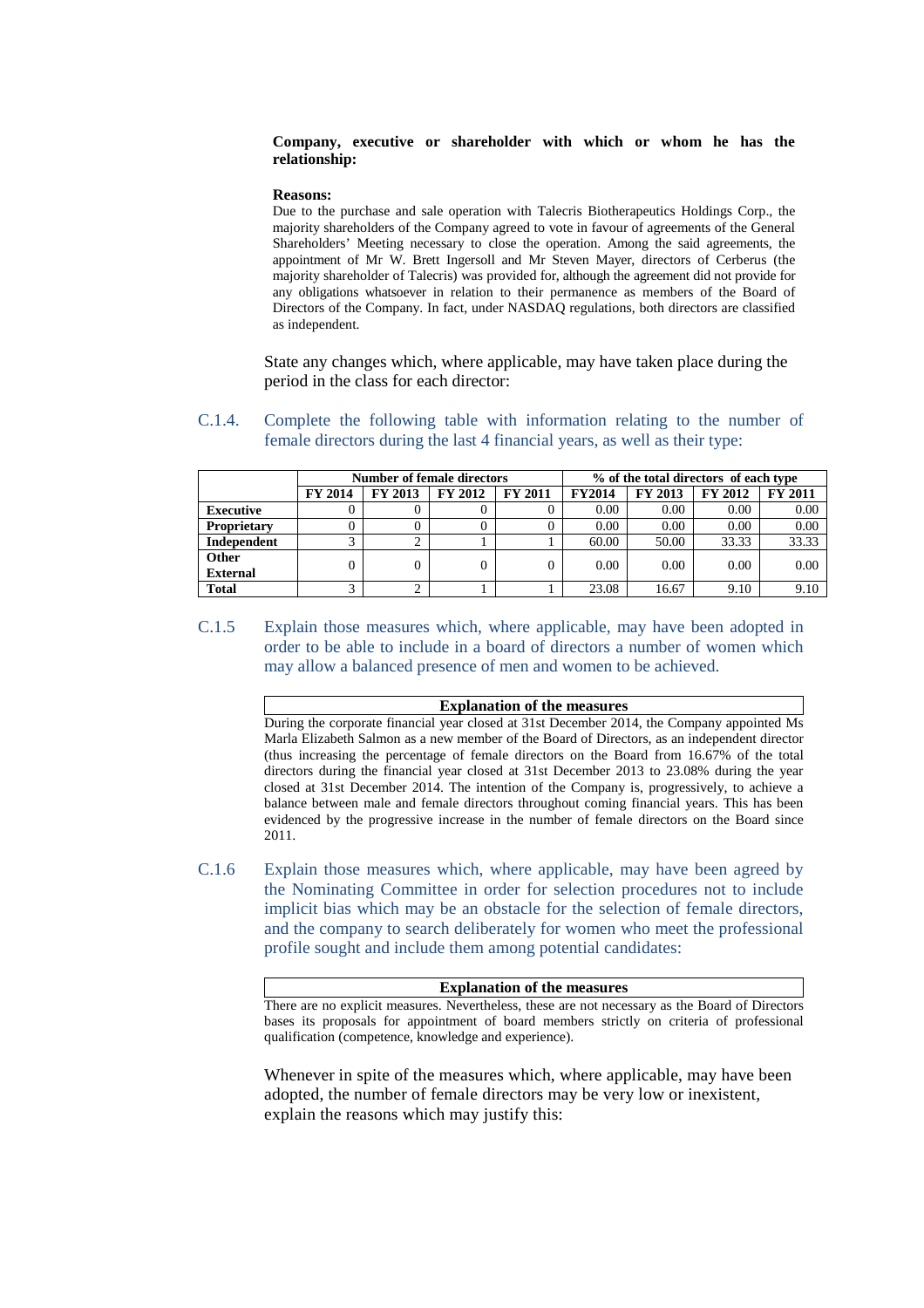#### **Company, executive or shareholder with which or whom he has the relationship:**

#### **Reasons:**

Due to the purchase and sale operation with Talecris Biotherapeutics Holdings Corp., the majority shareholders of the Company agreed to vote in favour of agreements of the General Shareholders' Meeting necessary to close the operation. Among the said agreements, the appointment of Mr W. Brett Ingersoll and Mr Steven Mayer, directors of Cerberus (the majority shareholder of Talecris) was provided for, although the agreement did not provide for any obligations whatsoever in relation to their permanence as members of the Board of Directors of the Company. In fact, under NASDAQ regulations, both directors are classified as independent.

State any changes which, where applicable, may have taken place during the period in the class for each director:

### C.1.4. Complete the following table with information relating to the number of female directors during the last 4 financial years, as well as their type:

|                    | <b>Number of female directors</b> |                |         | % of the total directors of each type |               |         |                |                |
|--------------------|-----------------------------------|----------------|---------|---------------------------------------|---------------|---------|----------------|----------------|
|                    | <b>FY 2014</b>                    | <b>FY 2013</b> | FY 2012 | <b>FY 2011</b>                        | <b>FY2014</b> | FY 2013 | <b>FY 2012</b> | <b>FY 2011</b> |
| <b>Executive</b>   |                                   |                |         |                                       | 0.00          | 0.00    | 0.00           | 0.00           |
| <b>Proprietary</b> |                                   |                |         |                                       | 0.00          | 0.00    | 0.00           | 0.00           |
| Independent        | ⌒                                 | ◠              |         |                                       | 60.00         | 50.00   | 33.33          | 33.33          |
| Other              |                                   | 0              |         | 0                                     | 0.00          | 0.00    | 0.00           | 0.00           |
| <b>External</b>    |                                   |                |         |                                       |               |         |                |                |
| <b>Total</b>       | ⌒                                 | ◠              |         |                                       | 23.08         | 16.67   | 9.10           | 9.10           |

C.1.5 Explain those measures which, where applicable, may have been adopted in order to be able to include in a board of directors a number of women which may allow a balanced presence of men and women to be achieved.

#### **Explanation of the measures**

During the corporate financial year closed at 31st December 2014, the Company appointed Ms Marla Elizabeth Salmon as a new member of the Board of Directors, as an independent director (thus increasing the percentage of female directors on the Board from 16.67% of the total directors during the financial year closed at 31st December 2013 to 23.08% during the year closed at 31st December 2014. The intention of the Company is, progressively, to achieve a balance between male and female directors throughout coming financial years. This has been evidenced by the progressive increase in the number of female directors on the Board since 2011.

C.1.6 Explain those measures which, where applicable, may have been agreed by the Nominating Committee in order for selection procedures not to include implicit bias which may be an obstacle for the selection of female directors, and the company to search deliberately for women who meet the professional profile sought and include them among potential candidates:

#### **Explanation of the measures**

There are no explicit measures. Nevertheless, these are not necessary as the Board of Directors bases its proposals for appointment of board members strictly on criteria of professional qualification (competence, knowledge and experience).

Whenever in spite of the measures which, where applicable, may have been adopted, the number of female directors may be very low or inexistent, explain the reasons which may justify this: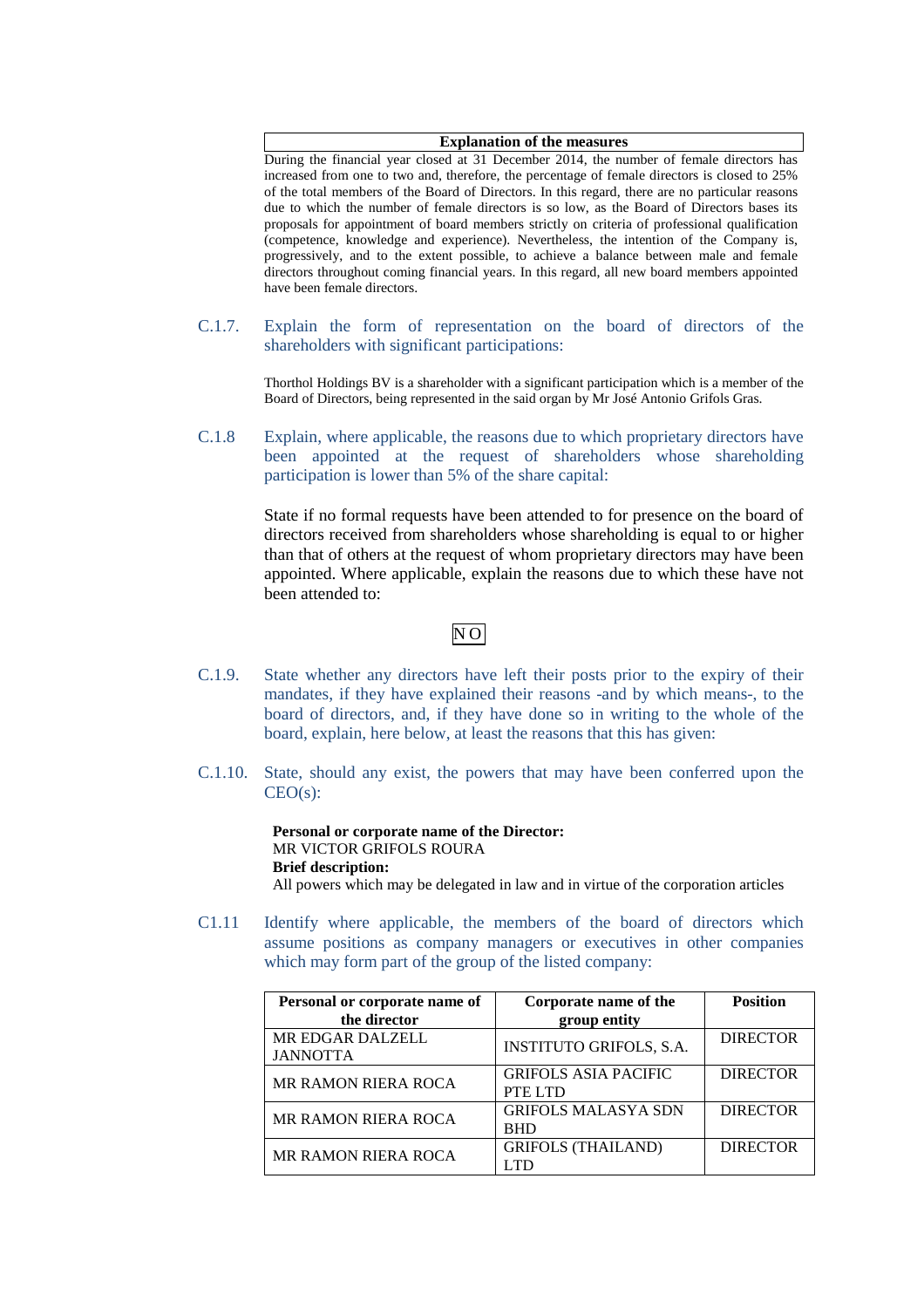#### **Explanation of the measures**

During the financial year closed at 31 December 2014, the number of female directors has increased from one to two and, therefore, the percentage of female directors is closed to 25% of the total members of the Board of Directors. In this regard, there are no particular reasons due to which the number of female directors is so low, as the Board of Directors bases its proposals for appointment of board members strictly on criteria of professional qualification (competence, knowledge and experience). Nevertheless, the intention of the Company is, progressively, and to the extent possible, to achieve a balance between male and female directors throughout coming financial years. In this regard, all new board members appointed have been female directors.

C.1.7. Explain the form of representation on the board of directors of the shareholders with significant participations:

> Thorthol Holdings BV is a shareholder with a significant participation which is a member of the Board of Directors, being represented in the said organ by Mr José Antonio Grifols Gras.

C.1.8 Explain, where applicable, the reasons due to which proprietary directors have been appointed at the request of shareholders whose shareholding participation is lower than 5% of the share capital:

> State if no formal requests have been attended to for presence on the board of directors received from shareholders whose shareholding is equal to or higher than that of others at the request of whom proprietary directors may have been appointed. Where applicable, explain the reasons due to which these have not been attended to:

# $\overline{N}$ O

- C.1.9. State whether any directors have left their posts prior to the expiry of their mandates, if they have explained their reasons -and by which means-, to the board of directors, and, if they have done so in writing to the whole of the board, explain, here below, at least the reasons that this has given:
- C.1.10. State, should any exist, the powers that may have been conferred upon the CEO(s):

**Personal or corporate name of the Director:**  MR VICTOR GRIFOLS ROURA **Brief description:**  All powers which may be delegated in law and in virtue of the corporation articles

C1.11 Identify where applicable, the members of the board of directors which assume positions as company managers or executives in other companies which may form part of the group of the listed company:

| Personal or corporate name of | Corporate name of the          | <b>Position</b> |
|-------------------------------|--------------------------------|-----------------|
| the director                  | group entity                   |                 |
| MR EDGAR DALZELL              | <b>INSTITUTO GRIFOLS, S.A.</b> | <b>DIRECTOR</b> |
| <b>JANNOTTA</b>               |                                |                 |
| MR RAMON RIERA ROCA           | <b>GRIFOLS ASIA PACIFIC</b>    | <b>DIRECTOR</b> |
|                               | PTE LTD                        |                 |
| <b>MR RAMON RIERA ROCA</b>    | <b>GRIFOLS MALASYA SDN</b>     | <b>DIRECTOR</b> |
|                               | <b>BHD</b>                     |                 |
| <b>MR RAMON RIERA ROCA</b>    | <b>GRIFOLS (THAILAND)</b>      | <b>DIRECTOR</b> |
|                               |                                |                 |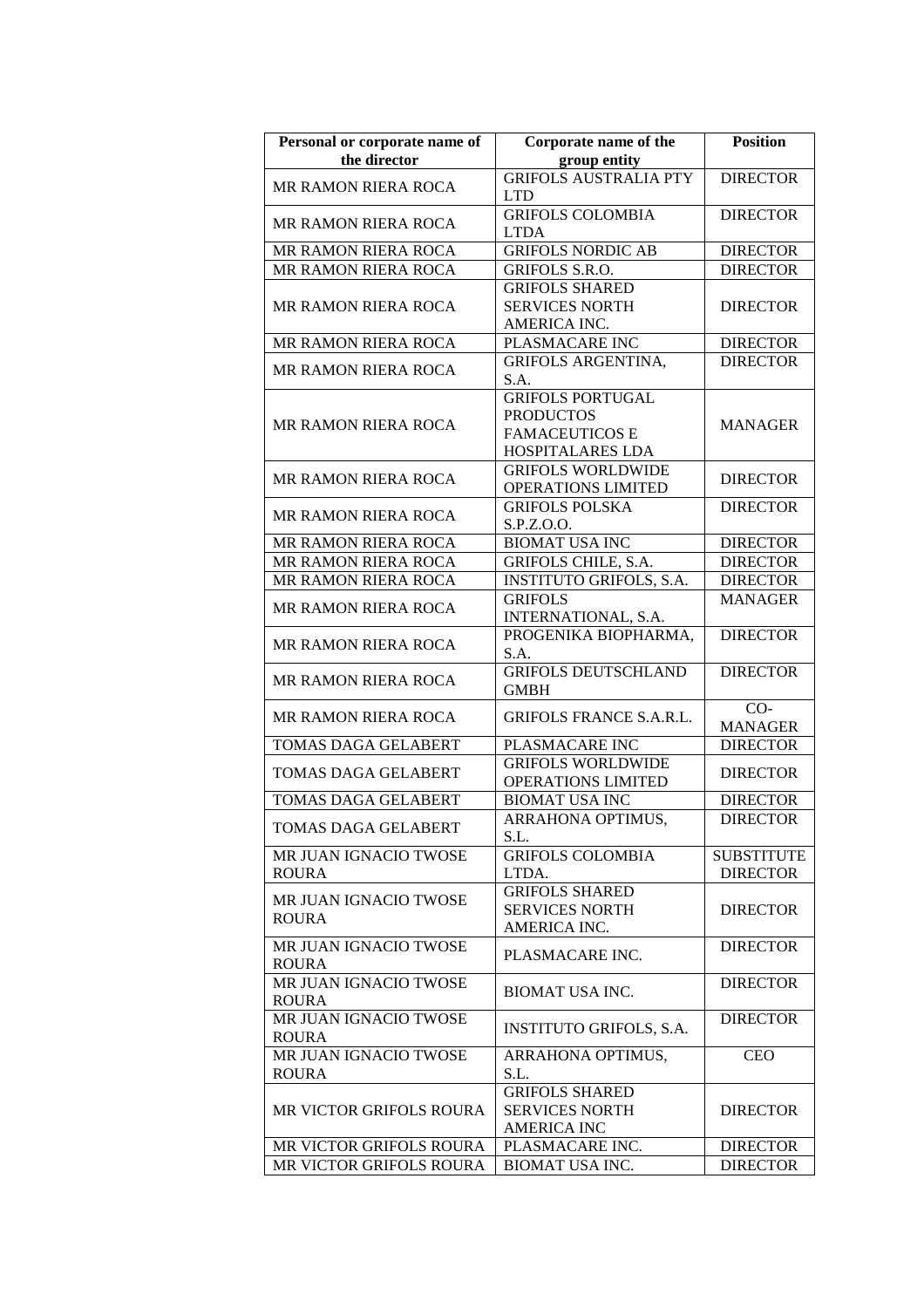| Personal or corporate name of<br>the director | Corporate name of the<br>group entity                                                    | <b>Position</b>                      |
|-----------------------------------------------|------------------------------------------------------------------------------------------|--------------------------------------|
| <b>MR RAMON RIERA ROCA</b>                    | <b>GRIFOLS AUSTRALIA PTY</b><br><b>LTD</b>                                               | <b>DIRECTOR</b>                      |
| <b>MR RAMON RIERA ROCA</b>                    | <b>GRIFOLS COLOMBIA</b><br><b>LTDA</b>                                                   | <b>DIRECTOR</b>                      |
| MR RAMON RIERA ROCA                           | <b>GRIFOLS NORDIC AB</b>                                                                 | <b>DIRECTOR</b>                      |
| MR RAMON RIERA ROCA                           | GRIFOLS S.R.O.                                                                           | <b>DIRECTOR</b>                      |
| <b>MR RAMON RIERA ROCA</b>                    | <b>GRIFOLS SHARED</b><br><b>SERVICES NORTH</b><br>AMERICA INC.                           | <b>DIRECTOR</b>                      |
| MR RAMON RIERA ROCA                           | PLASMACARE INC                                                                           | <b>DIRECTOR</b>                      |
| MR RAMON RIERA ROCA                           | <b>GRIFOLS ARGENTINA,</b><br>S.A.                                                        | <b>DIRECTOR</b>                      |
| <b>MR RAMON RIERA ROCA</b>                    | <b>GRIFOLS PORTUGAL</b><br><b>PRODUCTOS</b><br><b>FAMACEUTICOS E</b><br>HOSPITALARES LDA | <b>MANAGER</b>                       |
| <b>MR RAMON RIERA ROCA</b>                    | <b>GRIFOLS WORLDWIDE</b><br>OPERATIONS LIMITED                                           | <b>DIRECTOR</b>                      |
| <b>MR RAMON RIERA ROCA</b>                    | <b>GRIFOLS POLSKA</b><br>S.P.Z.O.O.                                                      | <b>DIRECTOR</b>                      |
| MR RAMON RIERA ROCA                           | <b>BIOMAT USA INC</b>                                                                    | <b>DIRECTOR</b>                      |
| MR RAMON RIERA ROCA                           | <b>GRIFOLS CHILE, S.A.</b>                                                               | <b>DIRECTOR</b>                      |
| MR RAMON RIERA ROCA                           | <b>INSTITUTO GRIFOLS, S.A.</b>                                                           | <b>DIRECTOR</b>                      |
| MR RAMON RIERA ROCA                           | <b>GRIFOLS</b><br>INTERNATIONAL, S.A.                                                    | <b>MANAGER</b>                       |
| <b>MR RAMON RIERA ROCA</b>                    | PROGENIKA BIOPHARMA,<br>S.A.                                                             | <b>DIRECTOR</b>                      |
| <b>MR RAMON RIERA ROCA</b>                    | <b>GRIFOLS DEUTSCHLAND</b><br><b>GMBH</b>                                                | <b>DIRECTOR</b>                      |
| <b>MR RAMON RIERA ROCA</b>                    | <b>GRIFOLS FRANCE S.A.R.L.</b>                                                           | $CO-$<br><b>MANAGER</b>              |
| TOMAS DAGA GELABERT                           | PLASMACARE INC                                                                           | <b>DIRECTOR</b>                      |
| <b>TOMAS DAGA GELABERT</b>                    | <b>GRIFOLS WORLDWIDE</b><br><b>OPERATIONS LIMITED</b>                                    | <b>DIRECTOR</b>                      |
| TOMAS DAGA GELABERT                           | <b>BIOMAT USA INC</b>                                                                    | <b>DIRECTOR</b>                      |
| <b>TOMAS DAGA GELABERT</b>                    | ARRAHONA OPTIMUS,<br>S.L.                                                                | <b>DIRECTOR</b>                      |
| MR JUAN IGNACIO TWOSE<br><b>ROURA</b>         | <b>GRIFOLS COLOMBIA</b><br>LTDA.                                                         | <b>SUBSTITUTE</b><br><b>DIRECTOR</b> |
| MR JUAN IGNACIO TWOSE<br><b>ROURA</b>         | <b>GRIFOLS SHARED</b><br><b>SERVICES NORTH</b><br>AMERICA INC.                           | <b>DIRECTOR</b>                      |
| MR JUAN IGNACIO TWOSE<br><b>ROURA</b>         | PLASMACARE INC.                                                                          | <b>DIRECTOR</b>                      |
| MR JUAN IGNACIO TWOSE<br><b>ROURA</b>         | <b>BIOMAT USA INC.</b>                                                                   | <b>DIRECTOR</b>                      |
| MR JUAN IGNACIO TWOSE<br><b>ROURA</b>         | <b>INSTITUTO GRIFOLS, S.A.</b>                                                           | <b>DIRECTOR</b>                      |
| MR JUAN IGNACIO TWOSE<br><b>ROURA</b>         | ARRAHONA OPTIMUS,<br>S.L.                                                                | <b>CEO</b>                           |
| <b>MR VICTOR GRIFOLS ROURA</b>                | <b>GRIFOLS SHARED</b><br><b>SERVICES NORTH</b><br><b>AMERICA INC</b>                     | <b>DIRECTOR</b>                      |
| MR VICTOR GRIFOLS ROURA                       | PLASMACARE INC.                                                                          | <b>DIRECTOR</b>                      |
| <b>MR VICTOR GRIFOLS ROURA</b>                | <b>BIOMAT USA INC.</b>                                                                   | <b>DIRECTOR</b>                      |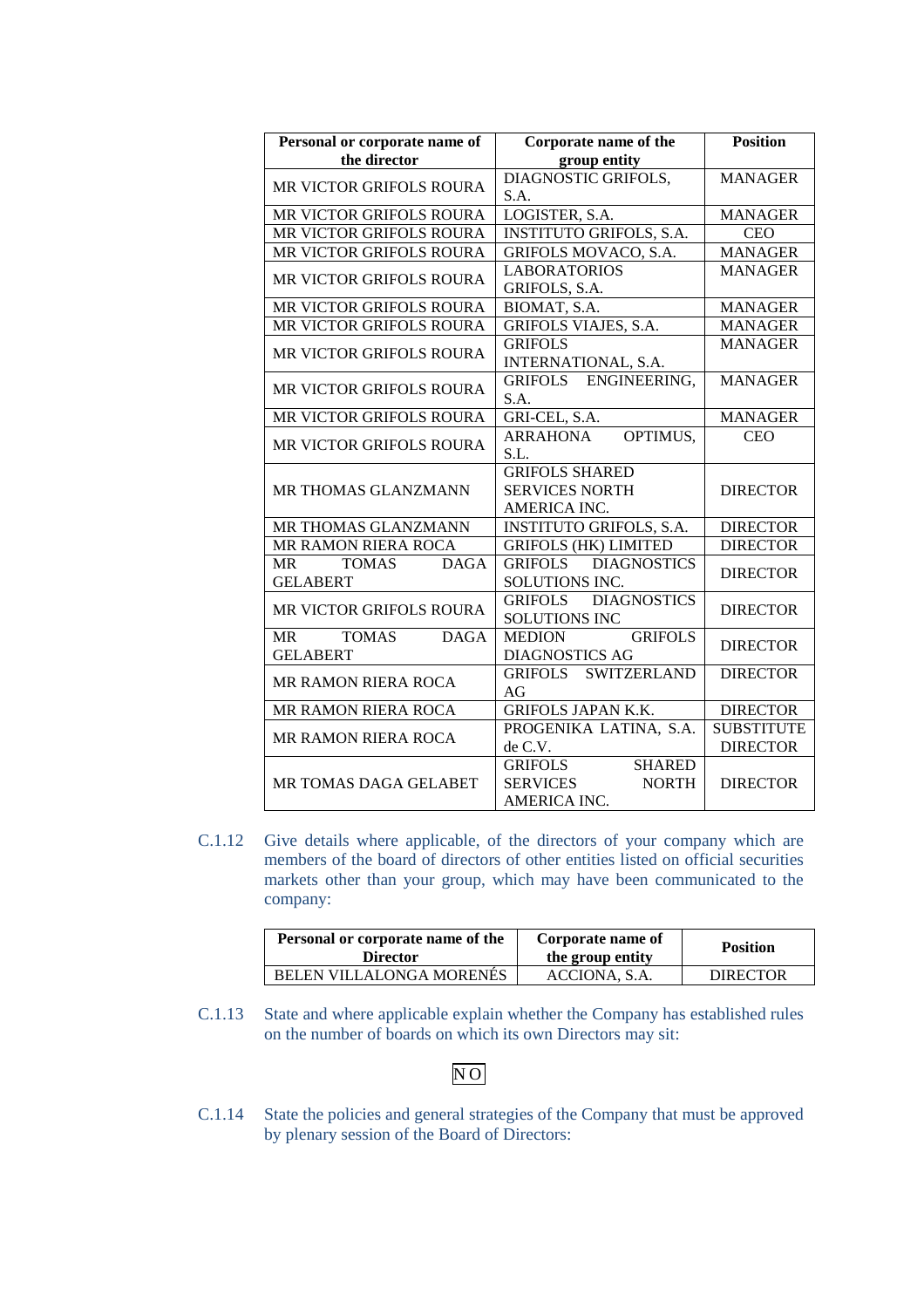| Personal or corporate name of            | Corporate name of the                | <b>Position</b>   |
|------------------------------------------|--------------------------------------|-------------------|
| the director                             | group entity                         |                   |
| MR VICTOR GRIFOLS ROURA                  | DIAGNOSTIC GRIFOLS,                  | <b>MANAGER</b>    |
|                                          | S.A.                                 |                   |
| MR VICTOR GRIFOLS ROURA                  | LOGISTER, S.A.                       | <b>MANAGER</b>    |
| MR VICTOR GRIFOLS ROURA                  | <b>INSTITUTO GRIFOLS, S.A.</b>       | <b>CEO</b>        |
| MR VICTOR GRIFOLS ROURA                  | <b>GRIFOLS MOVACO, S.A.</b>          | <b>MANAGER</b>    |
|                                          | <b>LABORATORIOS</b>                  | <b>MANAGER</b>    |
| MR VICTOR GRIFOLS ROURA                  | GRIFOLS, S.A.                        |                   |
| MR VICTOR GRIFOLS ROURA                  | BIOMAT, S.A.                         | <b>MANAGER</b>    |
| MR VICTOR GRIFOLS ROURA                  | <b>GRIFOLS VIAJES, S.A.</b>          | <b>MANAGER</b>    |
| MR VICTOR GRIFOLS ROURA                  | <b>GRIFOLS</b>                       | <b>MANAGER</b>    |
|                                          | INTERNATIONAL, S.A.                  |                   |
| MR VICTOR GRIFOLS ROURA                  | GRIFOLS ENGINEERING,                 | <b>MANAGER</b>    |
|                                          | S.A.                                 |                   |
| MR VICTOR GRIFOLS ROURA                  | GRI-CEL, S.A.                        | <b>MANAGER</b>    |
| MR VICTOR GRIFOLS ROURA                  | OPTIMUS,<br><b>ARRAHONA</b>          | <b>CEO</b>        |
|                                          | S.L.                                 |                   |
|                                          | <b>GRIFOLS SHARED</b>                |                   |
| <b>MR THOMAS GLANZMANN</b>               | <b>SERVICES NORTH</b>                | <b>DIRECTOR</b>   |
|                                          | AMERICA INC.                         |                   |
| MR THOMAS GLANZMANN                      | <b>INSTITUTO GRIFOLS, S.A.</b>       | <b>DIRECTOR</b>   |
| MR RAMON RIERA ROCA                      | <b>GRIFOLS (HK) LIMITED</b>          | <b>DIRECTOR</b>   |
| <b>DAGA</b><br><b>TOMAS</b><br><b>MR</b> | GRIFOLS DIAGNOSTICS                  | <b>DIRECTOR</b>   |
| <b>GELABERT</b>                          | SOLUTIONS INC.                       |                   |
| MR VICTOR GRIFOLS ROURA                  | GRIFOLS DIAGNOSTICS                  | <b>DIRECTOR</b>   |
|                                          | <b>SOLUTIONS INC</b>                 |                   |
| <b>TOMAS</b><br><b>DAGA</b><br>MR        | <b>GRIFOLS</b><br><b>MEDION</b>      | <b>DIRECTOR</b>   |
| <b>GELABERT</b>                          | <b>DIAGNOSTICS AG</b>                |                   |
| MR RAMON RIERA ROCA                      | <b>SWITZERLAND</b><br><b>GRIFOLS</b> | <b>DIRECTOR</b>   |
|                                          | AG                                   |                   |
| MR RAMON RIERA ROCA                      | <b>GRIFOLS JAPAN K.K.</b>            | <b>DIRECTOR</b>   |
| <b>MR RAMON RIERA ROCA</b>               | PROGENIKA LATINA, S.A.               | <b>SUBSTITUTE</b> |
|                                          | de C.V.                              | <b>DIRECTOR</b>   |
|                                          | <b>SHARED</b><br><b>GRIFOLS</b>      |                   |
| <b>MR TOMAS DAGA GELABET</b>             | <b>SERVICES</b><br><b>NORTH</b>      | <b>DIRECTOR</b>   |
|                                          | AMERICA INC.                         |                   |

C.1.12 Give details where applicable, of the directors of your company which are members of the board of directors of other entities listed on official securities markets other than your group, which may have been communicated to the company:

| Personal or corporate name of the<br><b>Director</b> | Corporate name of<br>the group entity | <b>Position</b> |
|------------------------------------------------------|---------------------------------------|-----------------|
| BELEN VILLALONGA MORENES                             | ACCIONA, S.A.                         | <b>DIRECTOR</b> |

C.1.13 State and where applicable explain whether the Company has established rules on the number of boards on which its own Directors may sit:

# N O

C.1.14 State the policies and general strategies of the Company that must be approved by plenary session of the Board of Directors: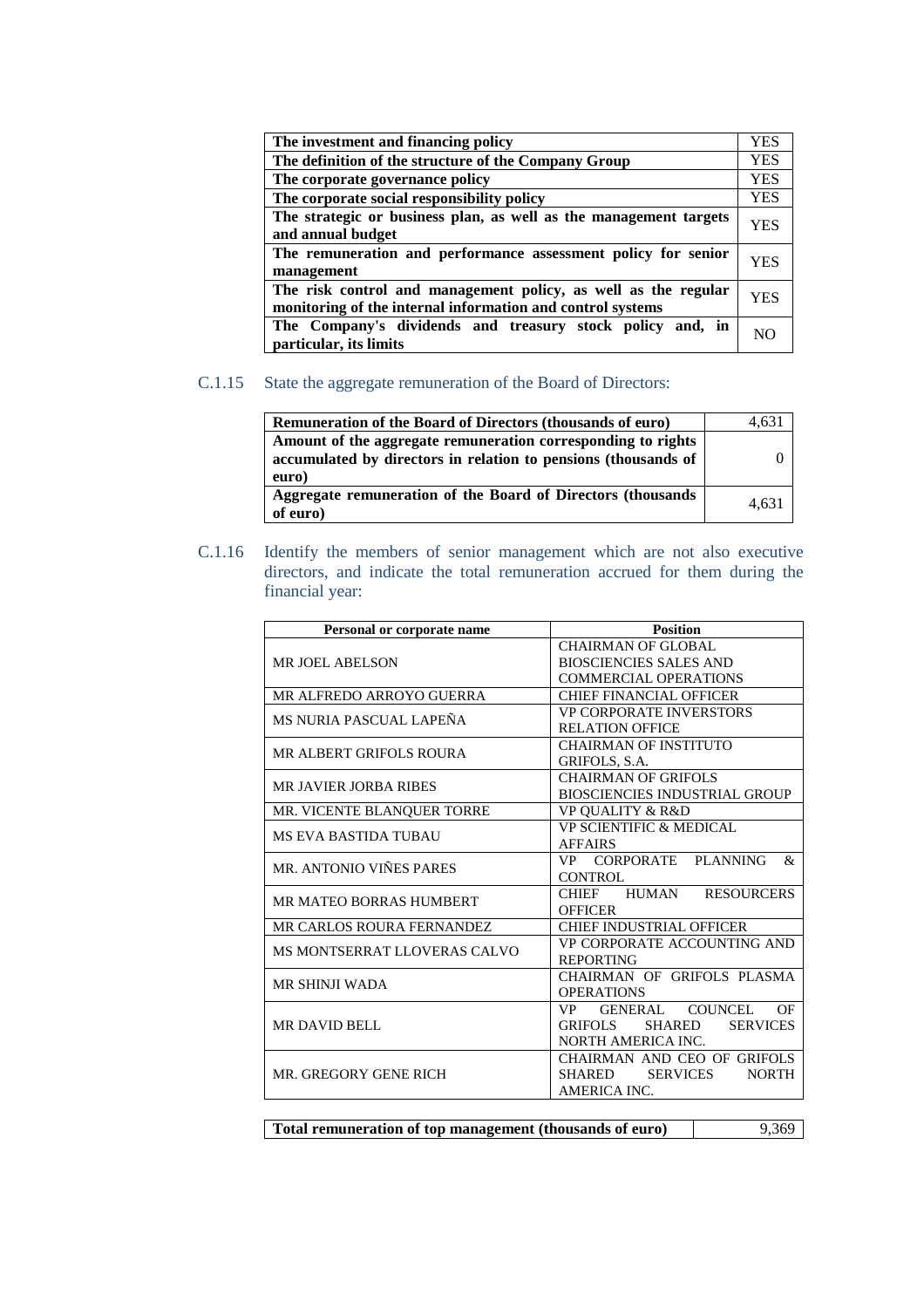| The investment and financing policy                                                                                          | <b>YES</b> |
|------------------------------------------------------------------------------------------------------------------------------|------------|
| The definition of the structure of the Company Group                                                                         | <b>YES</b> |
| The corporate governance policy                                                                                              | <b>YES</b> |
| The corporate social responsibility policy                                                                                   | <b>YES</b> |
| The strategic or business plan, as well as the management targets<br>and annual budget                                       | YES        |
| The remuneration and performance assessment policy for senior<br>management                                                  | YES        |
| The risk control and management policy, as well as the regular<br>monitoring of the internal information and control systems | YES        |
| The Company's dividends and treasury stock policy and, in<br>particular, its limits                                          | NC         |

# C.1.15 State the aggregate remuneration of the Board of Directors:

| <b>Remuneration of the Board of Directors (thousands of euro)</b>                                                                       | 4.631 |
|-----------------------------------------------------------------------------------------------------------------------------------------|-------|
| Amount of the aggregate remuneration corresponding to rights<br>accumulated by directors in relation to pensions (thousands of<br>euro) |       |
| Aggregate remuneration of the Board of Directors (thousands<br>of euro)                                                                 | 4.631 |

C.1.16 Identify the members of senior management which are not also executive directors, and indicate the total remuneration accrued for them during the financial year:

| <b>Position</b><br>Personal or corporate name |                                           |  |
|-----------------------------------------------|-------------------------------------------|--|
|                                               | <b>CHAIRMAN OF GLOBAL</b>                 |  |
| <b>MR JOEL ABELSON</b>                        | <b>BIOSCIENCIES SALES AND</b>             |  |
|                                               | <b>COMMERCIAL OPERATIONS</b>              |  |
| MR ALFREDO ARROYO GUERRA                      | <b>CHIEF FINANCIAL OFFICER</b>            |  |
| MS NURIA PASCUAL LAPEÑA                       | <b>VP CORPORATE INVERSTORS</b>            |  |
|                                               | <b>RELATION OFFICE</b>                    |  |
| MR ALBERT GRIFOLS ROURA                       | <b>CHAIRMAN OF INSTITUTO</b>              |  |
|                                               | GRIFOLS, S.A.                             |  |
| <b>MR JAVIER JORBA RIBES</b>                  | <b>CHAIRMAN OF GRIFOLS</b>                |  |
|                                               | <b>BIOSCIENCIES INDUSTRIAL GROUP</b>      |  |
| MR. VICENTE BLANQUER TORRE                    | <b>VP OUALITY &amp; R&amp;D</b>           |  |
| <b>MS EVA BASTIDA TUBAU</b>                   | <b>VP SCIENTIFIC &amp; MEDICAL</b>        |  |
|                                               | <b>AFFAIRS</b>                            |  |
| MR. ANTONIO VIÑES PARES                       | VP CORPORATE PLANNING<br>&                |  |
|                                               | <b>CONTROL</b>                            |  |
| MR MATEO BORRAS HUMBERT                       | CHIEF HUMAN RESOURCERS                    |  |
|                                               | <b>OFFICER</b>                            |  |
| MR CARLOS ROURA FERNANDEZ                     | <b>CHIEF INDUSTRIAL OFFICER</b>           |  |
| MS MONTSERRAT LLOVERAS CALVO                  | VP CORPORATE ACCOUNTING AND               |  |
|                                               | <b>REPORTING</b>                          |  |
| <b>MR SHINJI WADA</b>                         | CHAIRMAN OF GRIFOLS PLASMA                |  |
|                                               | <b>OPERATIONS</b>                         |  |
|                                               | GENERAL COUNCEL<br>VP —<br>OF             |  |
| <b>MR DAVID BELL</b>                          | GRIFOLS<br>SHARED<br><b>SERVICES</b>      |  |
|                                               | NORTH AMERICA INC.                        |  |
|                                               | CHAIRMAN AND CEO OF GRIFOLS               |  |
| MR. GREGORY GENE RICH                         | SHARED<br><b>SERVICES</b><br><b>NORTH</b> |  |
|                                               | AMERICA INC.                              |  |
|                                               |                                           |  |

| Total remuneration of top management (thousands of euro) | 9.369 |
|----------------------------------------------------------|-------|
|----------------------------------------------------------|-------|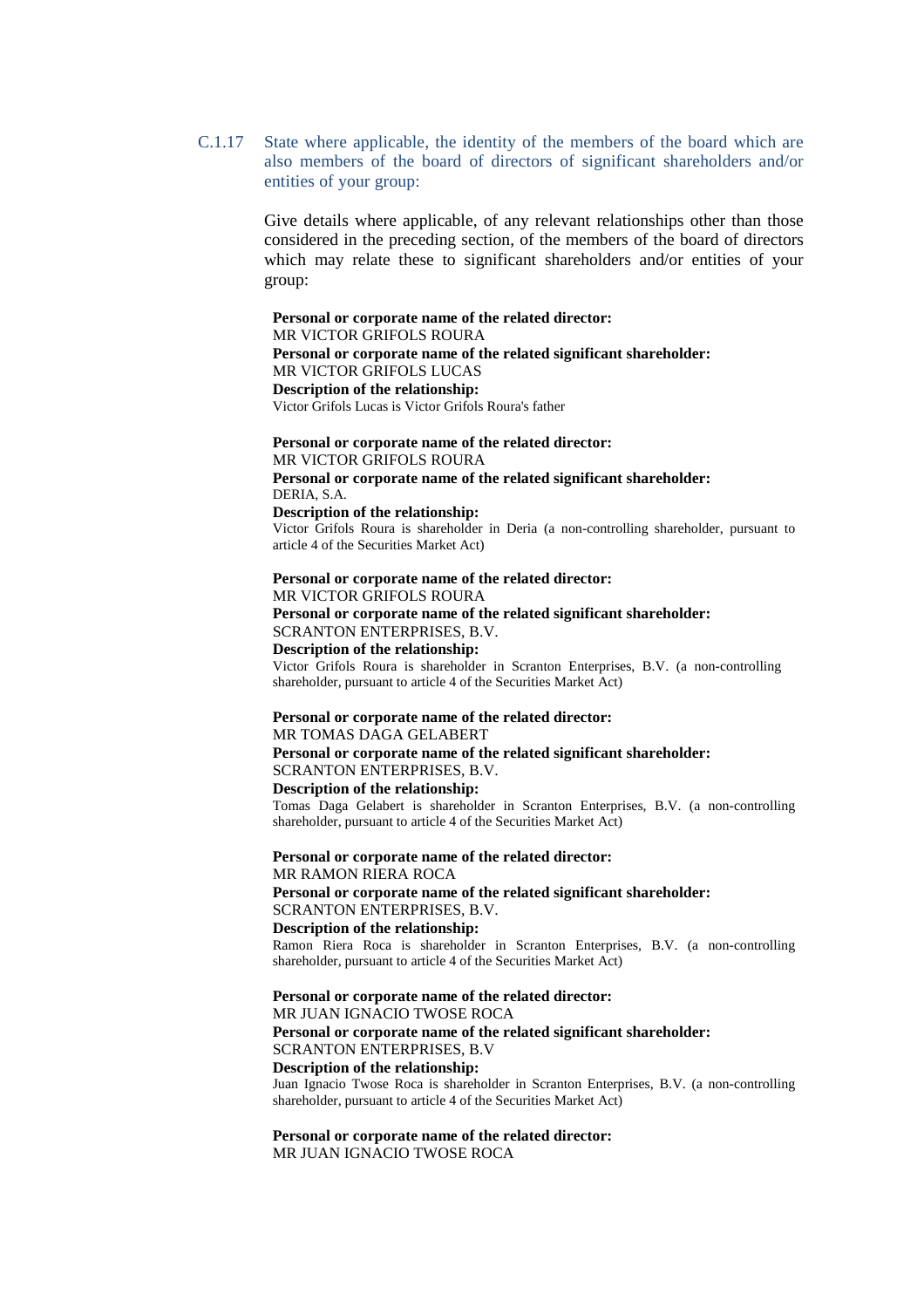C.1.17 State where applicable, the identity of the members of the board which are also members of the board of directors of significant shareholders and/or entities of your group:

> Give details where applicable, of any relevant relationships other than those considered in the preceding section, of the members of the board of directors which may relate these to significant shareholders and/or entities of your group:

**Personal or corporate name of the related director:** MR VICTOR GRIFOLS ROURA **Personal or corporate name of the related significant shareholder:**  MR VICTOR GRIFOLS LUCAS **Description of the relationship:**  Victor Grifols Lucas is Victor Grifols Roura's father

**Personal or corporate name of the related director:** MR VICTOR GRIFOLS ROURA **Personal or corporate name of the related significant shareholder:** DERIA, S.A. **Description of the relationship:**  Victor Grifols Roura is shareholder in Deria (a non-controlling shareholder, pursuant to

article 4 of the Securities Market Act) **Personal or corporate name of the related director:**

MR VICTOR GRIFOLS ROURA **Personal or corporate name of the related significant shareholder:**  SCRANTON ENTERPRISES, B.V. **Description of the relationship:**

Victor Grifols Roura is shareholder in Scranton Enterprises, B.V. (a non-controlling shareholder, pursuant to article 4 of the Securities Market Act)

### **Personal or corporate name of the related director:** MR TOMAS DAGA GELABERT

**Personal or corporate name of the related significant shareholder:**  SCRANTON ENTERPRISES, B.V. **Description of the relationship:**

Tomas Daga Gelabert is shareholder in Scranton Enterprises, B.V. (a non-controlling shareholder, pursuant to article 4 of the Securities Market Act)

**Personal or corporate name of the related director:** MR RAMON RIERA ROCA **Personal or corporate name of the related significant shareholder:** SCRANTON ENTERPRISES, B.V. **Description of the relationship:**

Ramon Riera Roca is shareholder in Scranton Enterprises, B.V. (a non-controlling shareholder, pursuant to article 4 of the Securities Market Act)

**Personal or corporate name of the related director:**

MR JUAN IGNACIO TWOSE ROCA **Personal or corporate name of the related significant shareholder:** SCRANTON ENTERPRISES, B.V **Description of the relationship:** Juan Ignacio Twose Roca is shareholder in Scranton Enterprises, B.V. (a non-controlling shareholder, pursuant to article 4 of the Securities Market Act)

**Personal or corporate name of the related director:** MR JUAN IGNACIO TWOSE ROCA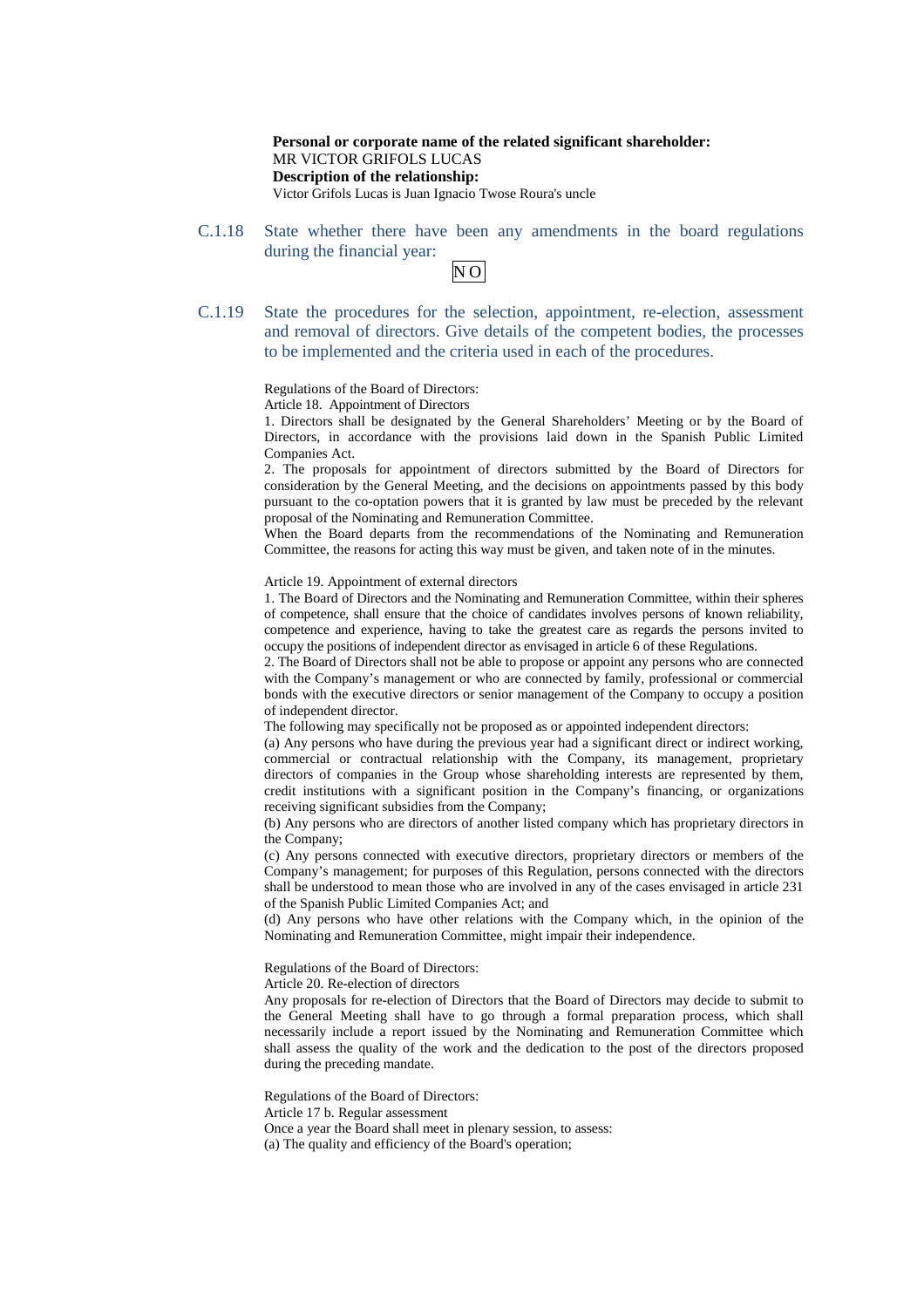**Personal or corporate name of the related significant shareholder:** MR VICTOR GRIFOLS LUCAS **Description of the relationship:** Victor Grifols Lucas is Juan Ignacio Twose Roura's uncle

C.1.18 State whether there have been any amendments in the board regulations during the financial year:

| ۰, |  |
|----|--|
|    |  |

C.1.19 State the procedures for the selection, appointment, re-election, assessment and removal of directors. Give details of the competent bodies, the processes to be implemented and the criteria used in each of the procedures.

Regulations of the Board of Directors:

Article 18. Appointment of Directors

1. Directors shall be designated by the General Shareholders' Meeting or by the Board of Directors, in accordance with the provisions laid down in the Spanish Public Limited Companies Act.

2. The proposals for appointment of directors submitted by the Board of Directors for consideration by the General Meeting, and the decisions on appointments passed by this body pursuant to the co-optation powers that it is granted by law must be preceded by the relevant proposal of the Nominating and Remuneration Committee.

When the Board departs from the recommendations of the Nominating and Remuneration Committee, the reasons for acting this way must be given, and taken note of in the minutes.

Article 19. Appointment of external directors

1. The Board of Directors and the Nominating and Remuneration Committee, within their spheres of competence, shall ensure that the choice of candidates involves persons of known reliability, competence and experience, having to take the greatest care as regards the persons invited to occupy the positions of independent director as envisaged in article 6 of these Regulations.

2. The Board of Directors shall not be able to propose or appoint any persons who are connected with the Company's management or who are connected by family, professional or commercial bonds with the executive directors or senior management of the Company to occupy a position of independent director.

The following may specifically not be proposed as or appointed independent directors:

(a) Any persons who have during the previous year had a significant direct or indirect working, commercial or contractual relationship with the Company, its management, proprietary directors of companies in the Group whose shareholding interests are represented by them, credit institutions with a significant position in the Company's financing, or organizations receiving significant subsidies from the Company;

(b) Any persons who are directors of another listed company which has proprietary directors in the Company;

(c) Any persons connected with executive directors, proprietary directors or members of the Company's management; for purposes of this Regulation, persons connected with the directors shall be understood to mean those who are involved in any of the cases envisaged in article 231 of the Spanish Public Limited Companies Act; and

(d) Any persons who have other relations with the Company which, in the opinion of the Nominating and Remuneration Committee, might impair their independence.

Regulations of the Board of Directors:

Article 20. Re-election of directors

Any proposals for re-election of Directors that the Board of Directors may decide to submit to the General Meeting shall have to go through a formal preparation process, which shall necessarily include a report issued by the Nominating and Remuneration Committee which shall assess the quality of the work and the dedication to the post of the directors proposed during the preceding mandate.

Regulations of the Board of Directors:

Article 17 b. Regular assessment

Once a year the Board shall meet in plenary session, to assess:

(a) The quality and efficiency of the Board's operation;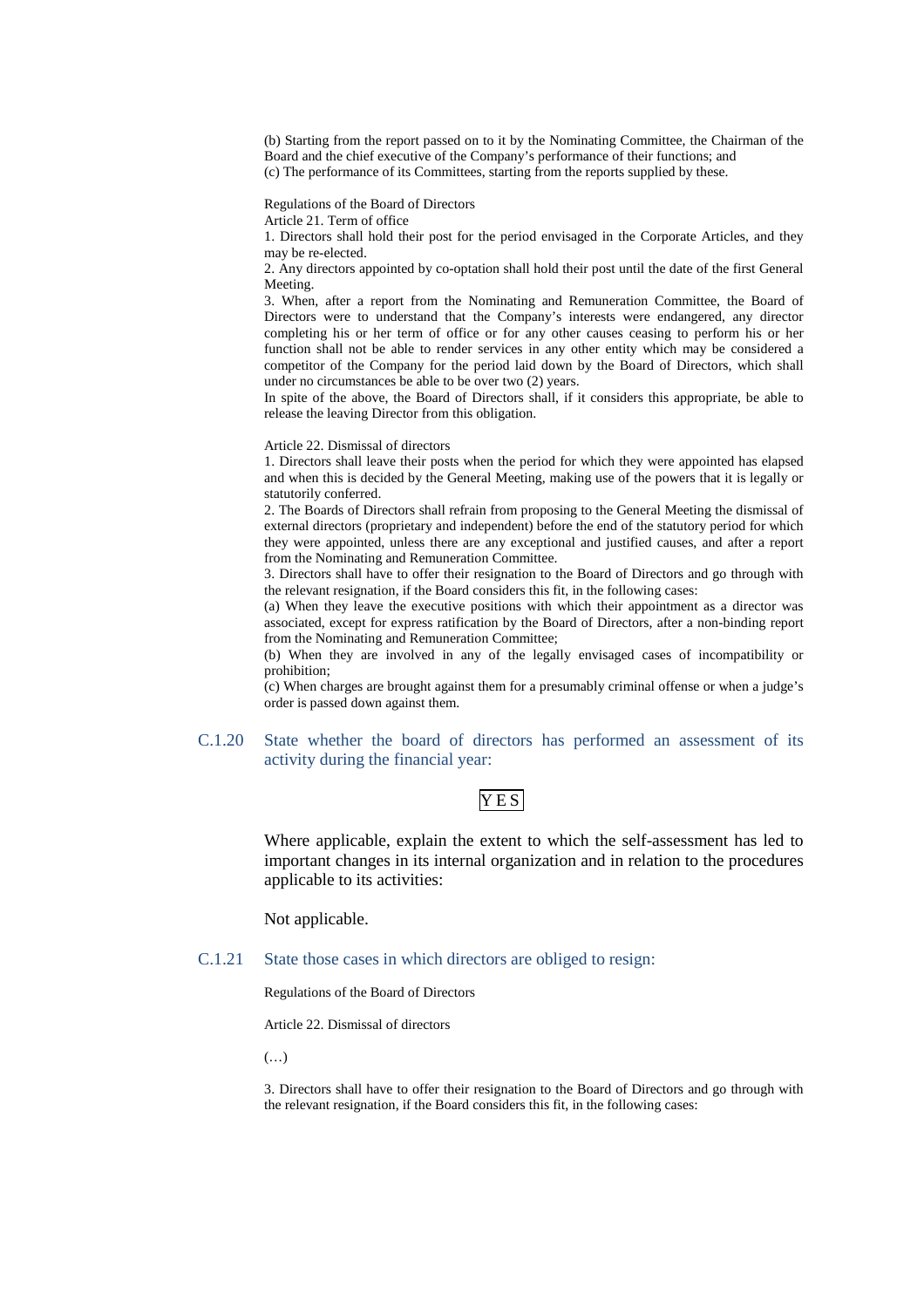(b) Starting from the report passed on to it by the Nominating Committee, the Chairman of the Board and the chief executive of the Company's performance of their functions; and (c) The performance of its Committees, starting from the reports supplied by these.

Regulations of the Board of Directors

Article 21. Term of office

1. Directors shall hold their post for the period envisaged in the Corporate Articles, and they may be re-elected.

2. Any directors appointed by co-optation shall hold their post until the date of the first General Meeting.

3. When, after a report from the Nominating and Remuneration Committee, the Board of Directors were to understand that the Company's interests were endangered, any director completing his or her term of office or for any other causes ceasing to perform his or her function shall not be able to render services in any other entity which may be considered a competitor of the Company for the period laid down by the Board of Directors, which shall under no circumstances be able to be over two (2) years.

In spite of the above, the Board of Directors shall, if it considers this appropriate, be able to release the leaving Director from this obligation.

Article 22. Dismissal of directors

1. Directors shall leave their posts when the period for which they were appointed has elapsed and when this is decided by the General Meeting, making use of the powers that it is legally or statutorily conferred.

2. The Boards of Directors shall refrain from proposing to the General Meeting the dismissal of external directors (proprietary and independent) before the end of the statutory period for which they were appointed, unless there are any exceptional and justified causes, and after a report from the Nominating and Remuneration Committee.

3. Directors shall have to offer their resignation to the Board of Directors and go through with the relevant resignation, if the Board considers this fit, in the following cases:

(a) When they leave the executive positions with which their appointment as a director was associated, except for express ratification by the Board of Directors, after a non-binding report from the Nominating and Remuneration Committee;

(b) When they are involved in any of the legally envisaged cases of incompatibility or prohibition;

(c) When charges are brought against them for a presumably criminal offense or when a judge's order is passed down against them.

### C.1.20 State whether the board of directors has performed an assessment of its activity during the financial year:

# YE<sub>S</sub>

Where applicable, explain the extent to which the self-assessment has led to important changes in its internal organization and in relation to the procedures applicable to its activities:

Not applicable.

C.1.21 State those cases in which directors are obliged to resign:

Regulations of the Board of Directors

Article 22. Dismissal of directors

(…)

3. Directors shall have to offer their resignation to the Board of Directors and go through with the relevant resignation, if the Board considers this fit, in the following cases: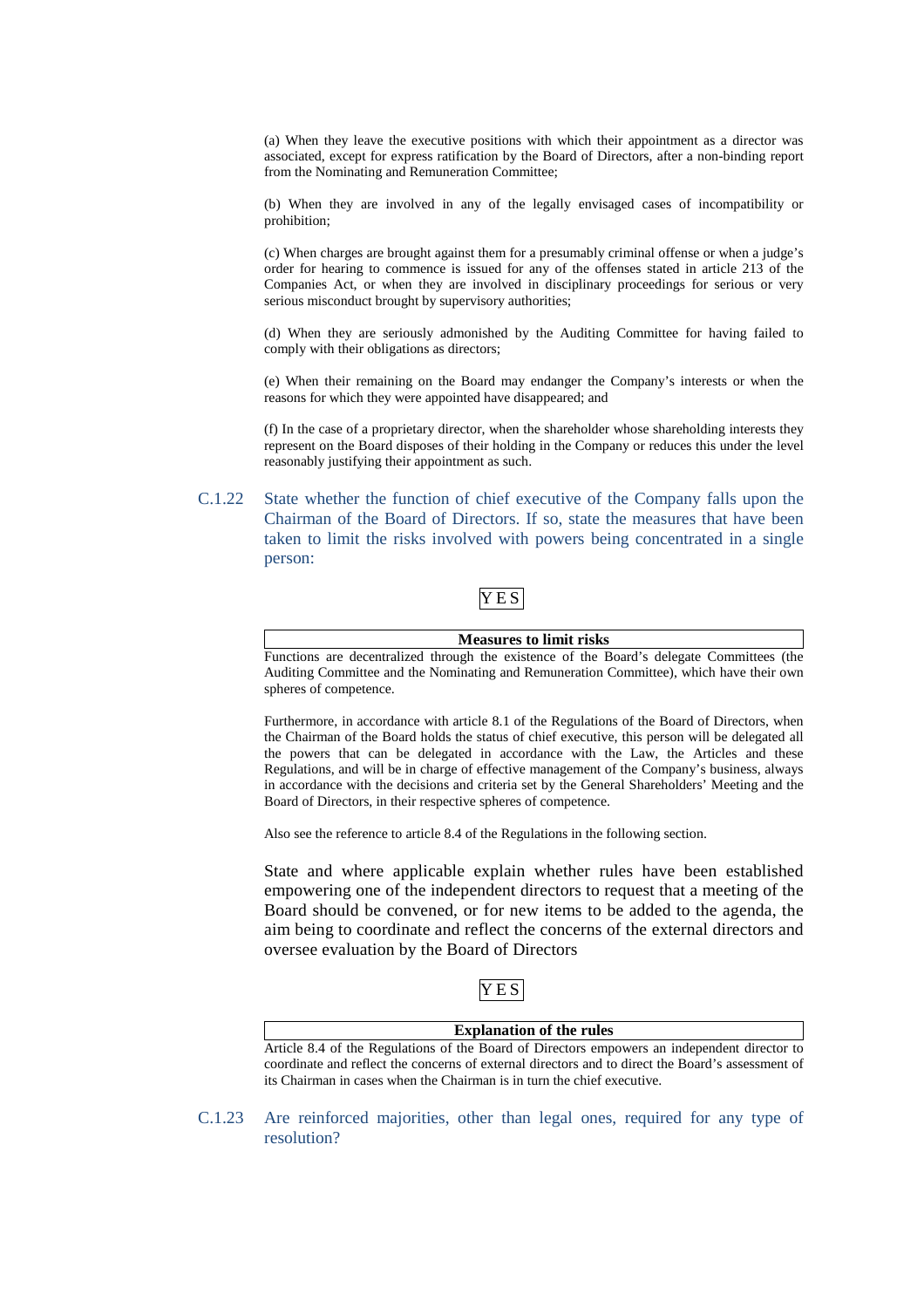(a) When they leave the executive positions with which their appointment as a director was associated, except for express ratification by the Board of Directors, after a non-binding report from the Nominating and Remuneration Committee;

(b) When they are involved in any of the legally envisaged cases of incompatibility or prohibition;

(c) When charges are brought against them for a presumably criminal offense or when a judge's order for hearing to commence is issued for any of the offenses stated in article 213 of the Companies Act, or when they are involved in disciplinary proceedings for serious or very serious misconduct brought by supervisory authorities;

(d) When they are seriously admonished by the Auditing Committee for having failed to comply with their obligations as directors;

(e) When their remaining on the Board may endanger the Company's interests or when the reasons for which they were appointed have disappeared; and

(f) In the case of a proprietary director, when the shareholder whose shareholding interests they represent on the Board disposes of their holding in the Company or reduces this under the level reasonably justifying their appointment as such.

C.1.22 State whether the function of chief executive of the Company falls upon the Chairman of the Board of Directors. If so, state the measures that have been taken to limit the risks involved with powers being concentrated in a single person:

# Y E S

#### **Measures to limit risks**

Functions are decentralized through the existence of the Board's delegate Committees (the Auditing Committee and the Nominating and Remuneration Committee), which have their own spheres of competence.

Furthermore, in accordance with article 8.1 of the Regulations of the Board of Directors, when the Chairman of the Board holds the status of chief executive, this person will be delegated all the powers that can be delegated in accordance with the Law, the Articles and these Regulations, and will be in charge of effective management of the Company's business, always in accordance with the decisions and criteria set by the General Shareholders' Meeting and the Board of Directors, in their respective spheres of competence.

Also see the reference to article 8.4 of the Regulations in the following section.

State and where applicable explain whether rules have been established empowering one of the independent directors to request that a meeting of the Board should be convened, or for new items to be added to the agenda, the aim being to coordinate and reflect the concerns of the external directors and oversee evaluation by the Board of Directors

# Y E S

| <b>Explanation of the rules</b>                                                                   |
|---------------------------------------------------------------------------------------------------|
| Article 8.4 of the Regulations of the Board of Directors empowers an independent director to      |
| coordinate and reflect the concerns of external directors and to direct the Board's assessment of |
| its Chairman in cases when the Chairman is in turn the chief executive.                           |

C.1.23 Are reinforced majorities, other than legal ones, required for any type of resolution?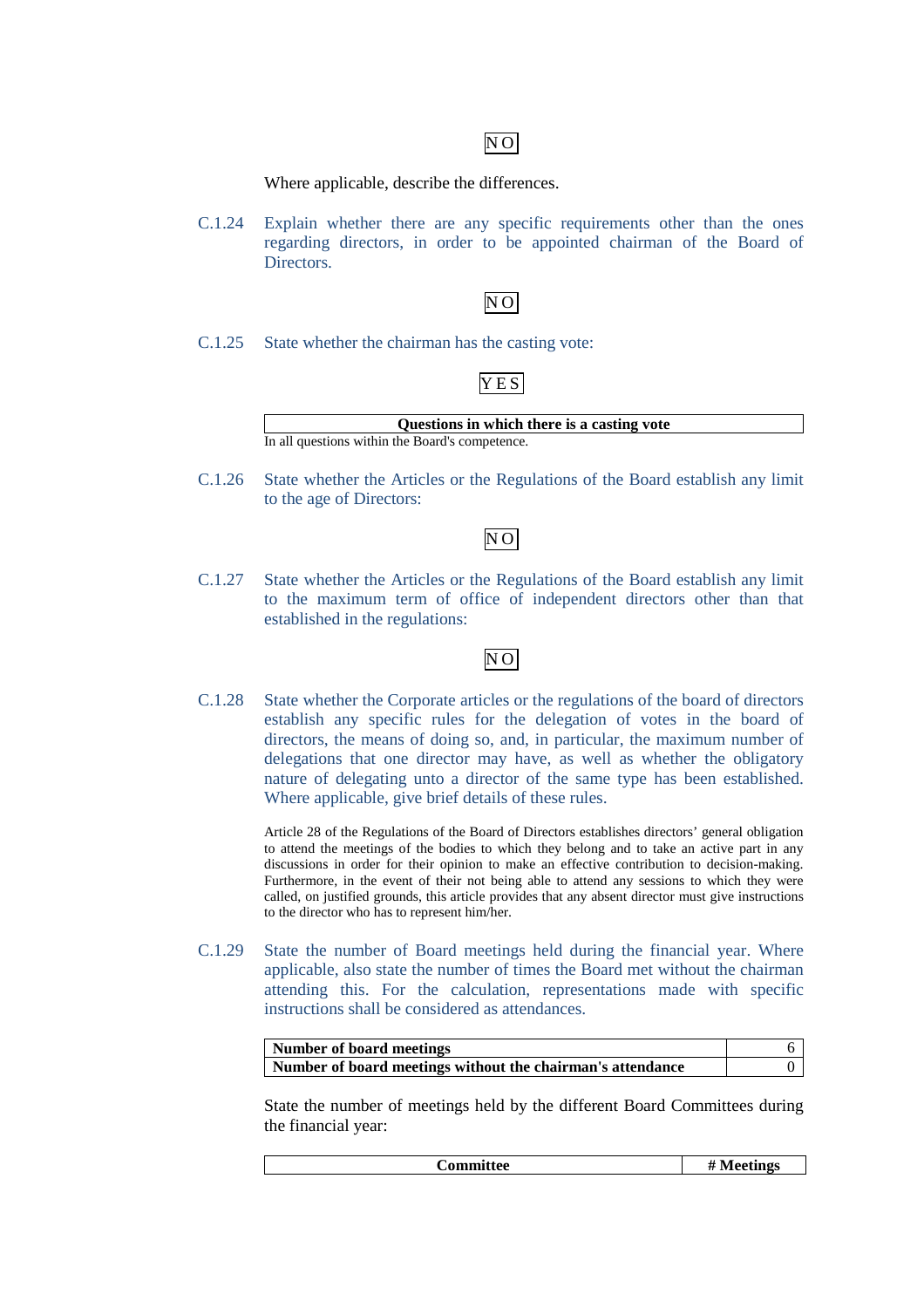# $\overline{NO}$

Where applicable, describe the differences.

C.1.24 Explain whether there are any specific requirements other than the ones regarding directors, in order to be appointed chairman of the Board of Directors.

# N O

C.1.25 State whether the chairman has the casting vote:

# Y E S



C.1.26 State whether the Articles or the Regulations of the Board establish any limit to the age of Directors:

# N O

C.1.27 State whether the Articles or the Regulations of the Board establish any limit to the maximum term of office of independent directors other than that established in the regulations:

# $\overline{NO}$

C.1.28 State whether the Corporate articles or the regulations of the board of directors establish any specific rules for the delegation of votes in the board of directors, the means of doing so, and, in particular, the maximum number of delegations that one director may have, as well as whether the obligatory nature of delegating unto a director of the same type has been established. Where applicable, give brief details of these rules.

> Article 28 of the Regulations of the Board of Directors establishes directors' general obligation to attend the meetings of the bodies to which they belong and to take an active part in any discussions in order for their opinion to make an effective contribution to decision-making. Furthermore, in the event of their not being able to attend any sessions to which they were called, on justified grounds, this article provides that any absent director must give instructions to the director who has to represent him/her.

C.1.29 State the number of Board meetings held during the financial year. Where applicable, also state the number of times the Board met without the chairman attending this. For the calculation, representations made with specific instructions shall be considered as attendances.

| Number of board meetings                                   |  |
|------------------------------------------------------------|--|
| Number of board meetings without the chairman's attendance |  |

State the number of meetings held by the different Board Committees during the financial year:

**Committee # Meetings**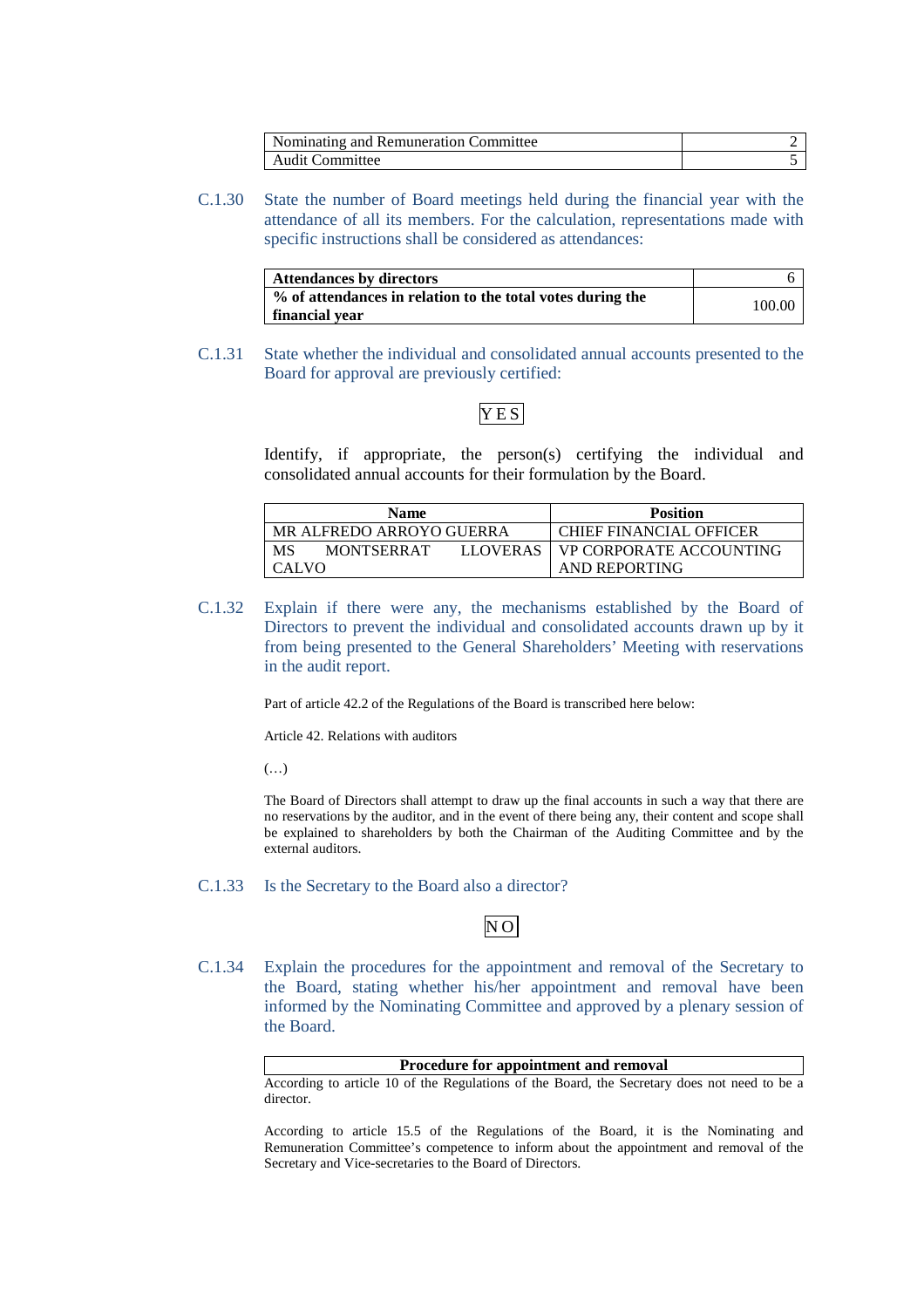| Nominating and Remuneration Committee |  |
|---------------------------------------|--|
| <b>Audit Committee</b>                |  |

C.1.30 State the number of Board meetings held during the financial year with the attendance of all its members. For the calculation, representations made with specific instructions shall be considered as attendances:

| Attendances by directors                                                     |        |
|------------------------------------------------------------------------------|--------|
| % of attendances in relation to the total votes during the<br>financial vear | 100.00 |

C.1.31 State whether the individual and consolidated annual accounts presented to the Board for approval are previously certified:

# Y E S

Identify, if appropriate, the person(s) certifying the individual and consolidated annual accounts for their formulation by the Board.

| <b>Name</b>                                | <b>Position</b>         |
|--------------------------------------------|-------------------------|
| MR ALFREDO ARROYO GUERRA                   | CHIEF FINANCIAL OFFICER |
| MS<br><b>MONTSERRAT</b><br><b>LLOVERAS</b> | VP CORPORATE ACCOUNTING |
| CALVO                                      | AND REPORTING           |

C.1.32 Explain if there were any, the mechanisms established by the Board of Directors to prevent the individual and consolidated accounts drawn up by it from being presented to the General Shareholders' Meeting with reservations in the audit report.

Part of article 42.2 of the Regulations of the Board is transcribed here below:

Article 42. Relations with auditors

(…)

The Board of Directors shall attempt to draw up the final accounts in such a way that there are no reservations by the auditor, and in the event of there being any, their content and scope shall be explained to shareholders by both the Chairman of the Auditing Committee and by the external auditors.

### C.1.33 Is the Secretary to the Board also a director?

# N O

C.1.34 Explain the procedures for the appointment and removal of the Secretary to the Board, stating whether his/her appointment and removal have been informed by the Nominating Committee and approved by a plenary session of the Board.

**Procedure for appointment and removal**  According to article 10 of the Regulations of the Board, the Secretary does not need to be a director.

According to article 15.5 of the Regulations of the Board, it is the Nominating and Remuneration Committee's competence to inform about the appointment and removal of the Secretary and Vice-secretaries to the Board of Directors.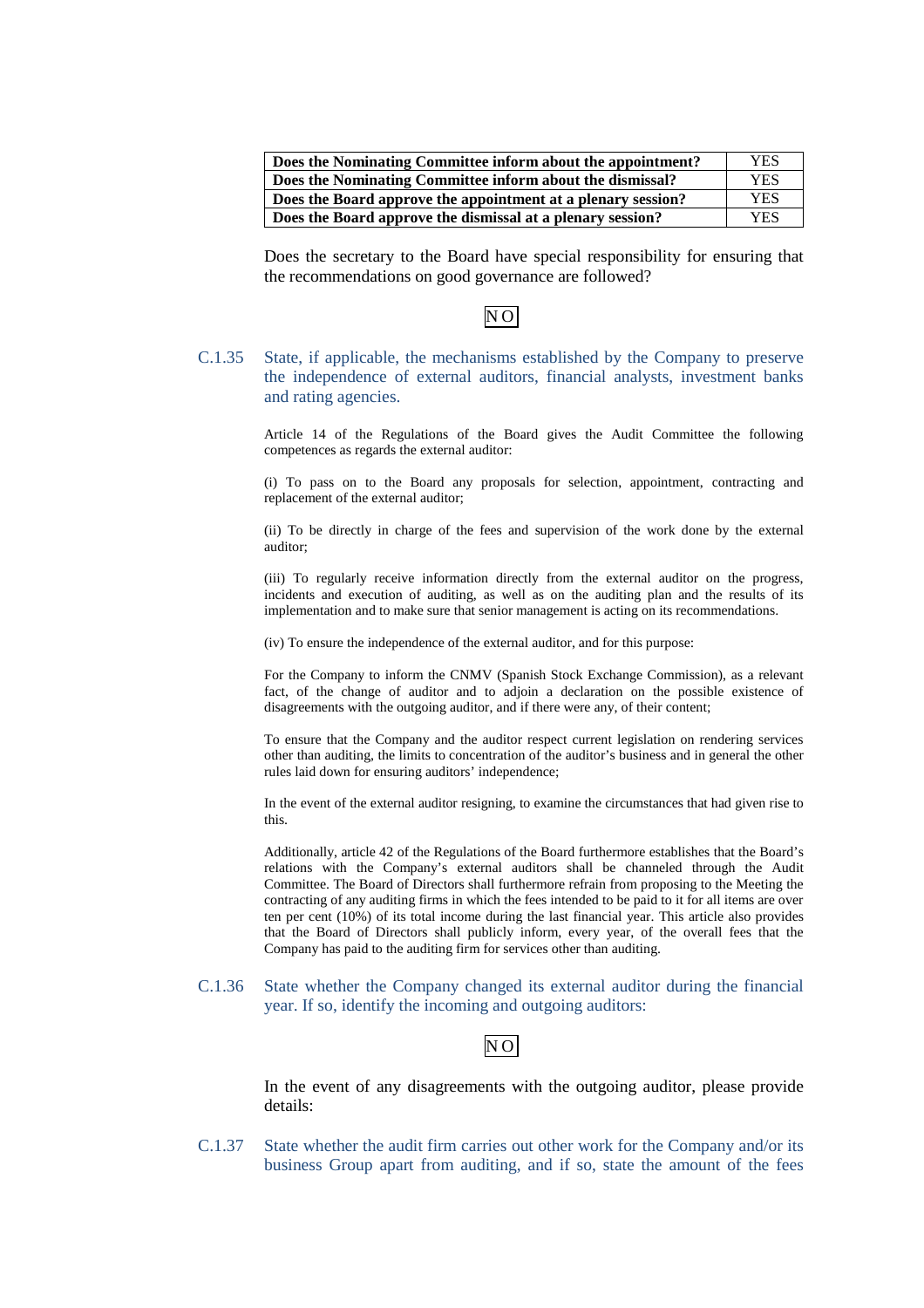| Does the Nominating Committee inform about the appointment?  |     |
|--------------------------------------------------------------|-----|
| Does the Nominating Committee inform about the dismissal?    | YES |
| Does the Board approve the appointment at a plenary session? | YES |
| Does the Board approve the dismissal at a plenary session?   | YES |

Does the secretary to the Board have special responsibility for ensuring that the recommendations on good governance are followed?

# N O

C.1.35 State, if applicable, the mechanisms established by the Company to preserve the independence of external auditors, financial analysts, investment banks and rating agencies.

> Article 14 of the Regulations of the Board gives the Audit Committee the following competences as regards the external auditor:

> (i) To pass on to the Board any proposals for selection, appointment, contracting and replacement of the external auditor;

> (ii) To be directly in charge of the fees and supervision of the work done by the external auditor;

> (iii) To regularly receive information directly from the external auditor on the progress, incidents and execution of auditing, as well as on the auditing plan and the results of its implementation and to make sure that senior management is acting on its recommendations.

(iv) To ensure the independence of the external auditor, and for this purpose:

For the Company to inform the CNMV (Spanish Stock Exchange Commission), as a relevant fact, of the change of auditor and to adjoin a declaration on the possible existence of disagreements with the outgoing auditor, and if there were any, of their content;

To ensure that the Company and the auditor respect current legislation on rendering services other than auditing, the limits to concentration of the auditor's business and in general the other rules laid down for ensuring auditors' independence;

In the event of the external auditor resigning, to examine the circumstances that had given rise to this.

Additionally, article 42 of the Regulations of the Board furthermore establishes that the Board's relations with the Company's external auditors shall be channeled through the Audit Committee. The Board of Directors shall furthermore refrain from proposing to the Meeting the contracting of any auditing firms in which the fees intended to be paid to it for all items are over ten per cent (10%) of its total income during the last financial year. This article also provides that the Board of Directors shall publicly inform, every year, of the overall fees that the Company has paid to the auditing firm for services other than auditing.

C.1.36 State whether the Company changed its external auditor during the financial year. If so, identify the incoming and outgoing auditors:

# N O

In the event of any disagreements with the outgoing auditor, please provide details:

C.1.37 State whether the audit firm carries out other work for the Company and/or its business Group apart from auditing, and if so, state the amount of the fees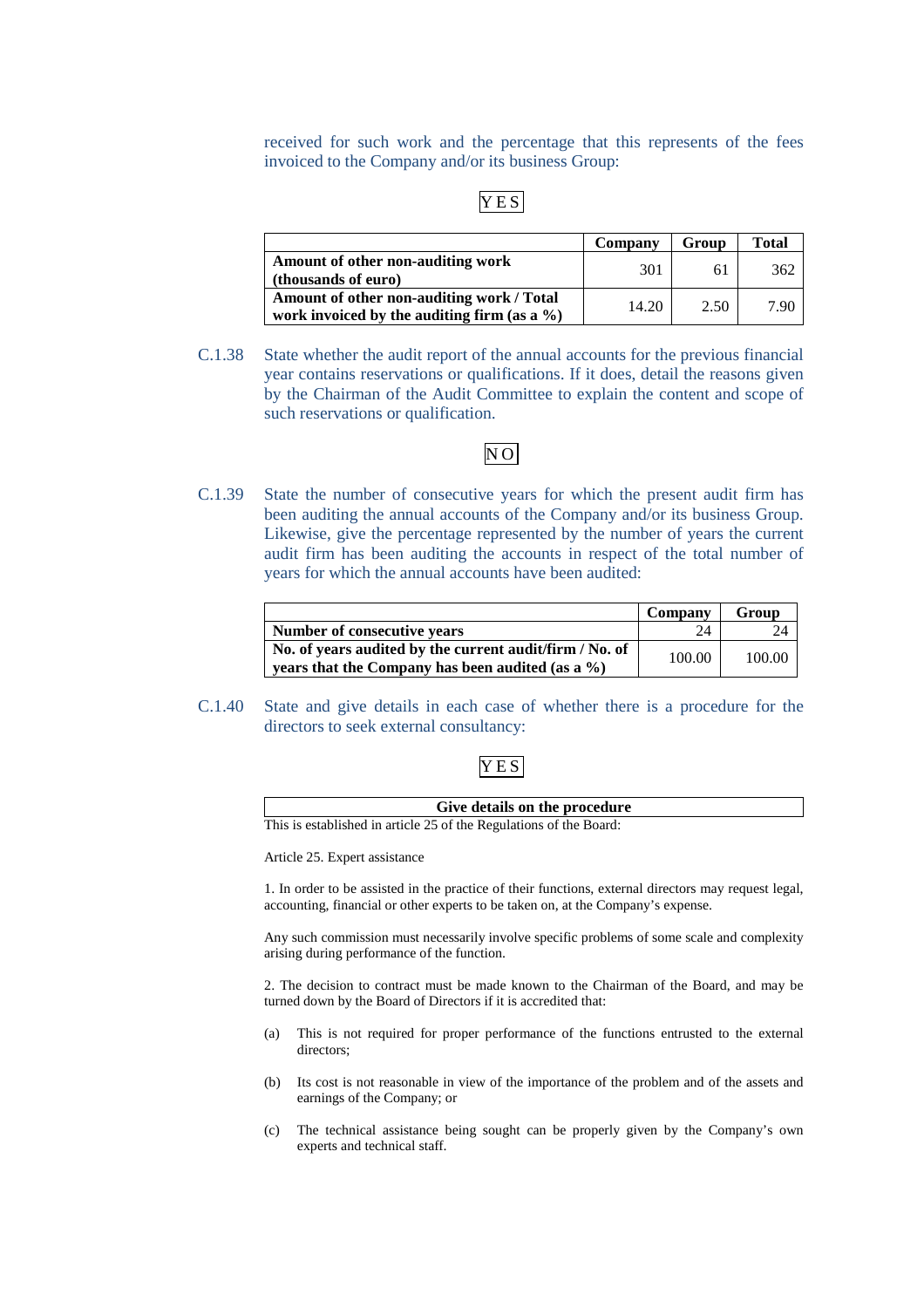received for such work and the percentage that this represents of the fees invoiced to the Company and/or its business Group:

# Y E S

|                                                                                              | Company | Group | <b>Total</b> |
|----------------------------------------------------------------------------------------------|---------|-------|--------------|
| Amount of other non-auditing work<br>(thousands of euro)                                     | 301     | 61    | 362          |
| Amount of other non-auditing work / Total<br>work invoiced by the auditing firm (as a $\%$ ) | 14.20   | 2.50  | 7.90         |

C.1.38 State whether the audit report of the annual accounts for the previous financial year contains reservations or qualifications. If it does, detail the reasons given by the Chairman of the Audit Committee to explain the content and scope of such reservations or qualification.

# N O

C.1.39 State the number of consecutive years for which the present audit firm has been auditing the annual accounts of the Company and/or its business Group. Likewise, give the percentage represented by the number of years the current audit firm has been auditing the accounts in respect of the total number of years for which the annual accounts have been audited:

|                                                         | Company | Group  |
|---------------------------------------------------------|---------|--------|
| Number of consecutive years                             | 24      | 24     |
| No. of years audited by the current audit/firm / No. of | 100.00  | 100.00 |
| years that the Company has been audited (as a $\%$ )    |         |        |

C.1.40 State and give details in each case of whether there is a procedure for the directors to seek external consultancy:

# Y E S

| Give details on the procedure                                      |
|--------------------------------------------------------------------|
| This is established in article 25 of the Regulations of the Board: |

Article 25. Expert assistance

1. In order to be assisted in the practice of their functions, external directors may request legal, accounting, financial or other experts to be taken on, at the Company's expense.

Any such commission must necessarily involve specific problems of some scale and complexity arising during performance of the function.

2. The decision to contract must be made known to the Chairman of the Board, and may be turned down by the Board of Directors if it is accredited that:

- (a) This is not required for proper performance of the functions entrusted to the external directors;
- (b) Its cost is not reasonable in view of the importance of the problem and of the assets and earnings of the Company; or
- (c) The technical assistance being sought can be properly given by the Company's own experts and technical staff.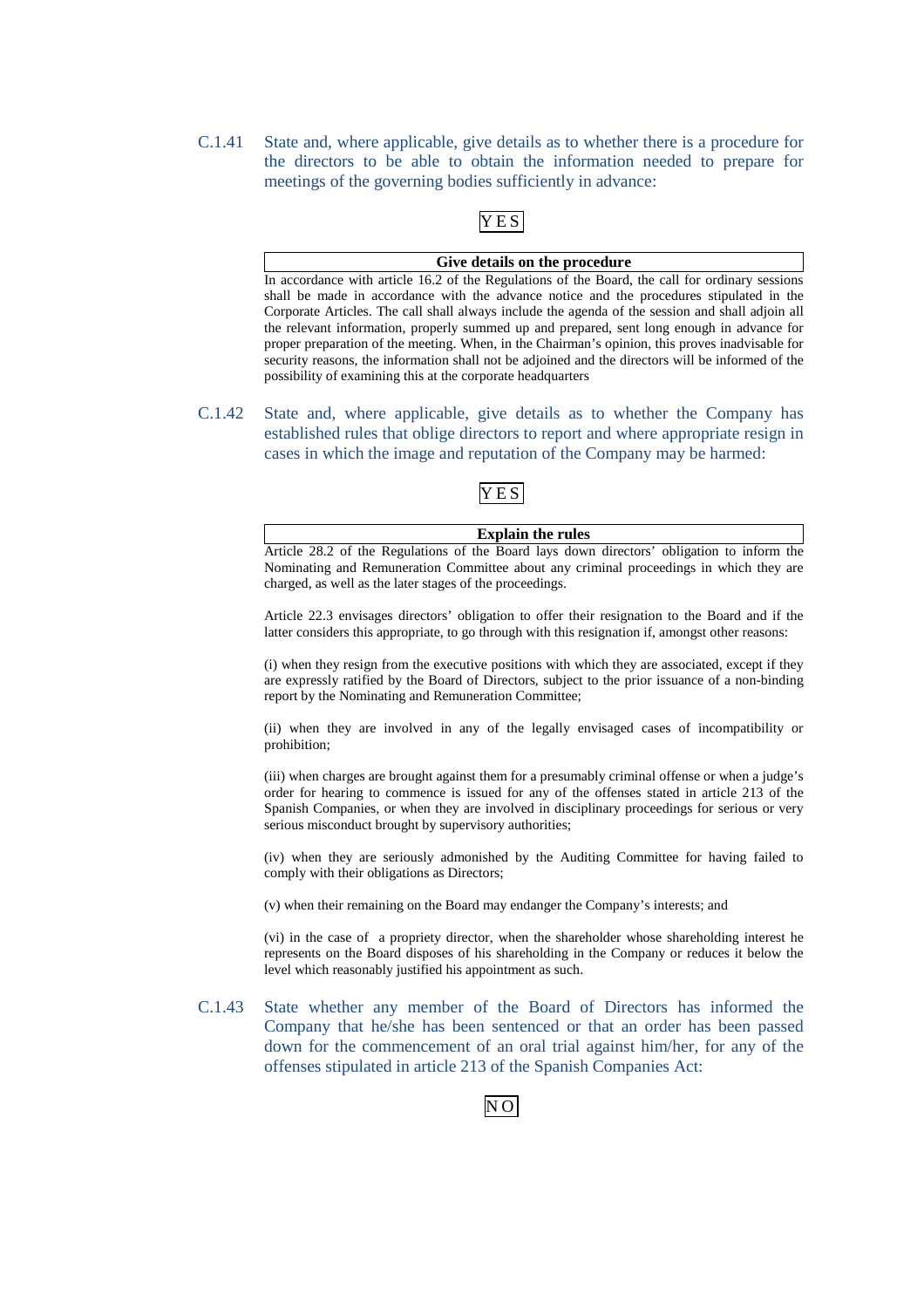C.1.41 State and, where applicable, give details as to whether there is a procedure for the directors to be able to obtain the information needed to prepare for meetings of the governing bodies sufficiently in advance:

# Y E S

### **Give details on the procedure**

In accordance with article 16.2 of the Regulations of the Board, the call for ordinary sessions shall be made in accordance with the advance notice and the procedures stipulated in the Corporate Articles. The call shall always include the agenda of the session and shall adjoin all the relevant information, properly summed up and prepared, sent long enough in advance for proper preparation of the meeting. When, in the Chairman's opinion, this proves inadvisable for security reasons, the information shall not be adjoined and the directors will be informed of the possibility of examining this at the corporate headquarters

C.1.42 State and, where applicable, give details as to whether the Company has established rules that oblige directors to report and where appropriate resign in cases in which the image and reputation of the Company may be harmed:

# Y E S

**Explain the rules**  Article 28.2 of the Regulations of the Board lays down directors' obligation to inform the Nominating and Remuneration Committee about any criminal proceedings in which they are charged, as well as the later stages of the proceedings.

Article 22.3 envisages directors' obligation to offer their resignation to the Board and if the latter considers this appropriate, to go through with this resignation if, amongst other reasons:

(i) when they resign from the executive positions with which they are associated, except if they are expressly ratified by the Board of Directors, subject to the prior issuance of a non-binding report by the Nominating and Remuneration Committee;

(ii) when they are involved in any of the legally envisaged cases of incompatibility or prohibition;

(iii) when charges are brought against them for a presumably criminal offense or when a judge's order for hearing to commence is issued for any of the offenses stated in article 213 of the Spanish Companies, or when they are involved in disciplinary proceedings for serious or very serious misconduct brought by supervisory authorities;

(iv) when they are seriously admonished by the Auditing Committee for having failed to comply with their obligations as Directors;

(v) when their remaining on the Board may endanger the Company's interests; and

(vi) in the case of a propriety director, when the shareholder whose shareholding interest he represents on the Board disposes of his shareholding in the Company or reduces it below the level which reasonably justified his appointment as such.

C.1.43 State whether any member of the Board of Directors has informed the Company that he/she has been sentenced or that an order has been passed down for the commencement of an oral trial against him/her, for any of the offenses stipulated in article 213 of the Spanish Companies Act:

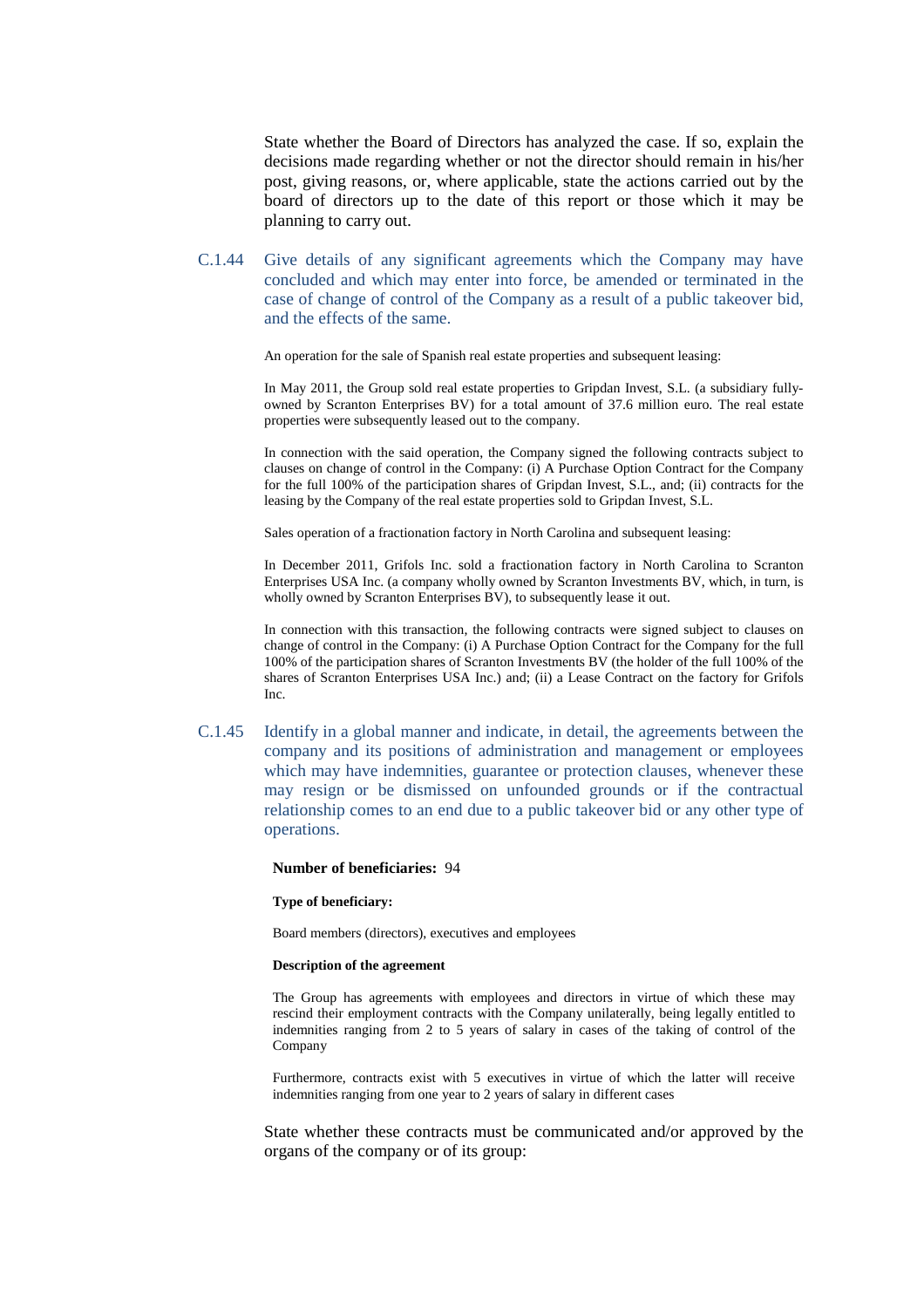State whether the Board of Directors has analyzed the case. If so, explain the decisions made regarding whether or not the director should remain in his/her post, giving reasons, or, where applicable, state the actions carried out by the board of directors up to the date of this report or those which it may be planning to carry out.

C.1.44 Give details of any significant agreements which the Company may have concluded and which may enter into force, be amended or terminated in the case of change of control of the Company as a result of a public takeover bid, and the effects of the same.

An operation for the sale of Spanish real estate properties and subsequent leasing:

In May 2011, the Group sold real estate properties to Gripdan Invest, S.L. (a subsidiary fullyowned by Scranton Enterprises BV) for a total amount of 37.6 million euro. The real estate properties were subsequently leased out to the company.

In connection with the said operation, the Company signed the following contracts subject to clauses on change of control in the Company: (i) A Purchase Option Contract for the Company for the full 100% of the participation shares of Gripdan Invest, S.L., and; (ii) contracts for the leasing by the Company of the real estate properties sold to Gripdan Invest, S.L.

Sales operation of a fractionation factory in North Carolina and subsequent leasing:

In December 2011, Grifols Inc. sold a fractionation factory in North Carolina to Scranton Enterprises USA Inc. (a company wholly owned by Scranton Investments BV, which, in turn, is wholly owned by Scranton Enterprises BV), to subsequently lease it out.

In connection with this transaction, the following contracts were signed subject to clauses on change of control in the Company: (i) A Purchase Option Contract for the Company for the full 100% of the participation shares of Scranton Investments BV (the holder of the full 100% of the shares of Scranton Enterprises USA Inc.) and; (ii) a Lease Contract on the factory for Grifols Inc.

C.1.45 Identify in a global manner and indicate, in detail, the agreements between the company and its positions of administration and management or employees which may have indemnities, guarantee or protection clauses, whenever these may resign or be dismissed on unfounded grounds or if the contractual relationship comes to an end due to a public takeover bid or any other type of operations.

#### **Number of beneficiaries:** 94

#### **Type of beneficiary:**

Board members (directors), executives and employees

#### **Description of the agreement**

The Group has agreements with employees and directors in virtue of which these may rescind their employment contracts with the Company unilaterally, being legally entitled to indemnities ranging from 2 to 5 years of salary in cases of the taking of control of the Company

Furthermore, contracts exist with 5 executives in virtue of which the latter will receive indemnities ranging from one year to 2 years of salary in different cases

State whether these contracts must be communicated and/or approved by the organs of the company or of its group: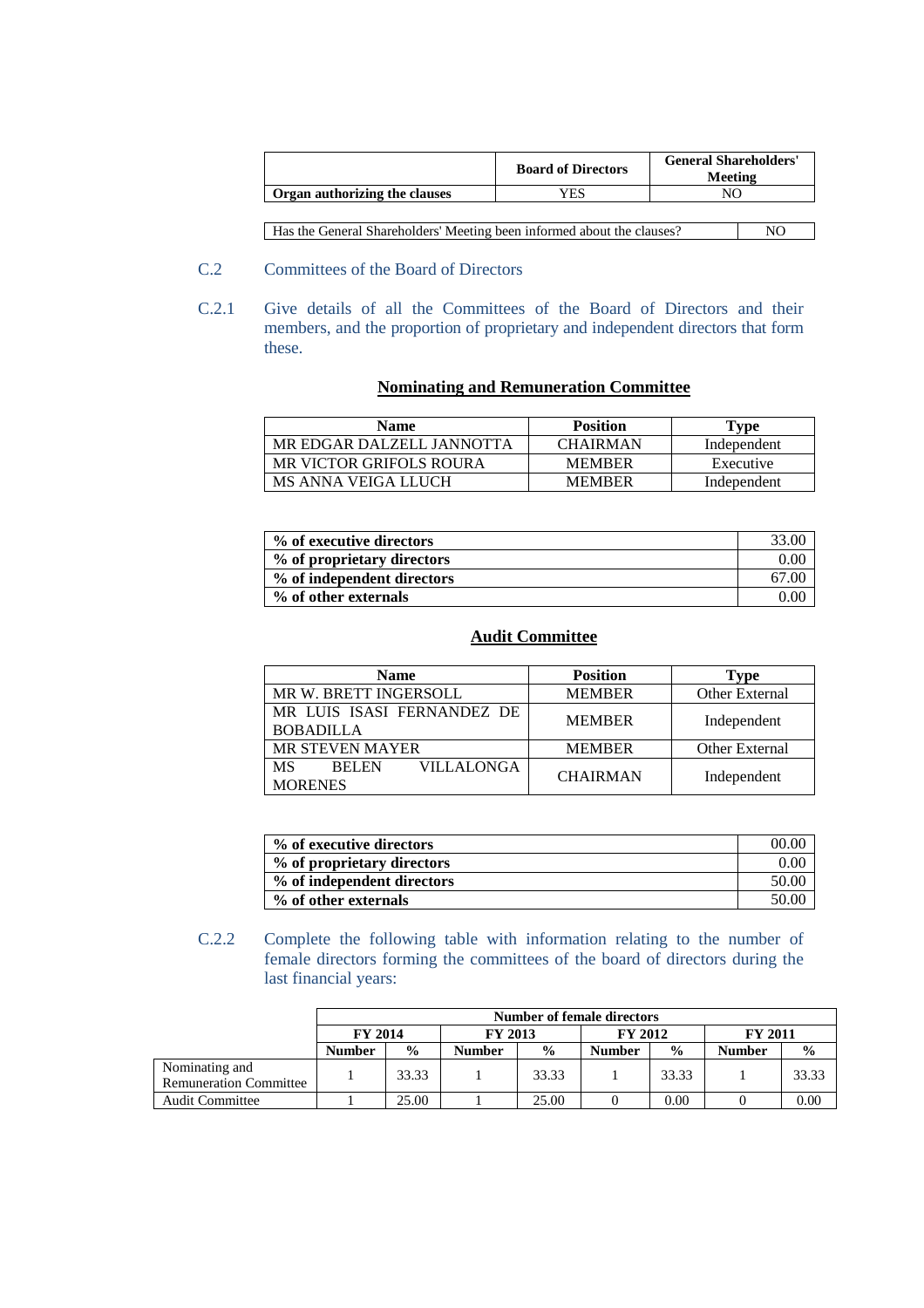|                                                                        | <b>Board of Directors</b> | <b>General Shareholders'</b><br>Meeting |    |
|------------------------------------------------------------------------|---------------------------|-----------------------------------------|----|
| Organ authorizing the clauses                                          | YES                       |                                         |    |
|                                                                        |                           |                                         |    |
| Has the General Shareholders' Meeting been informed about the clauses? |                           |                                         | NΩ |

- C.2 Committees of the Board of Directors
- C.2.1 Give details of all the Committees of the Board of Directors and their members, and the proportion of proprietary and independent directors that form these.

# **Nominating and Remuneration Committee**

| <b>Name</b>               | <b>Position</b> | Type        |
|---------------------------|-----------------|-------------|
| MR EDGAR DALZELL JANNOTTA | <b>CHAIRMAN</b> | Independent |
| MR VICTOR GRIFOLS ROURA   | <b>MEMBER</b>   | Executive   |
| MS ANNA VEIGA LLUCH       | <b>MEMBER</b>   | Independent |

| % of executive directors   | 33.00 |
|----------------------------|-------|
| % of proprietary directors | 0.00  |
| % of independent directors | 67.00 |
| % of other externals       | 0.00  |

# **Audit Committee**

| <b>Name</b>                                                      | <b>Position</b> | Type                  |  |
|------------------------------------------------------------------|-----------------|-----------------------|--|
| MR W. BRETT INGERSOLL                                            | <b>MEMBER</b>   | <b>Other External</b> |  |
| MR LUIS ISASI FERNANDEZ DE<br><b>BOBADILLA</b>                   | <b>MEMBER</b>   | Independent           |  |
| <b>MR STEVEN MAYER</b>                                           | <b>MEMBER</b>   | Other External        |  |
| <b>VILLALONGA</b><br><b>MS</b><br><b>BELEN</b><br><b>MORENES</b> | <b>CHAIRMAN</b> | Independent           |  |

| % of executive directors   | (00.00)  |
|----------------------------|----------|
| % of proprietary directors | $0.00\,$ |
| % of independent directors | 50.00    |
| % of other externals       | 50.00    |

C.2.2 Complete the following table with information relating to the number of female directors forming the committees of the board of directors during the last financial years:

|                                                 | <b>Number of female directors</b> |               |                                  |               |               |                |               |               |
|-------------------------------------------------|-----------------------------------|---------------|----------------------------------|---------------|---------------|----------------|---------------|---------------|
|                                                 | <b>FY 2014</b>                    |               | <b>FY 2013</b><br><b>FY 2012</b> |               |               | <b>FY 2011</b> |               |               |
|                                                 | <b>Number</b>                     | $\frac{0}{0}$ | <b>Number</b>                    | $\frac{0}{0}$ | <b>Number</b> | $\frac{6}{9}$  | <b>Number</b> | $\frac{0}{0}$ |
| Nominating and<br><b>Remuneration Committee</b> |                                   | 33.33         |                                  | 33.33         |               | 33.33          |               | 33.33         |
| <b>Audit Committee</b>                          |                                   | 25.00         |                                  | 25.00         |               | 0.00           |               | 0.00          |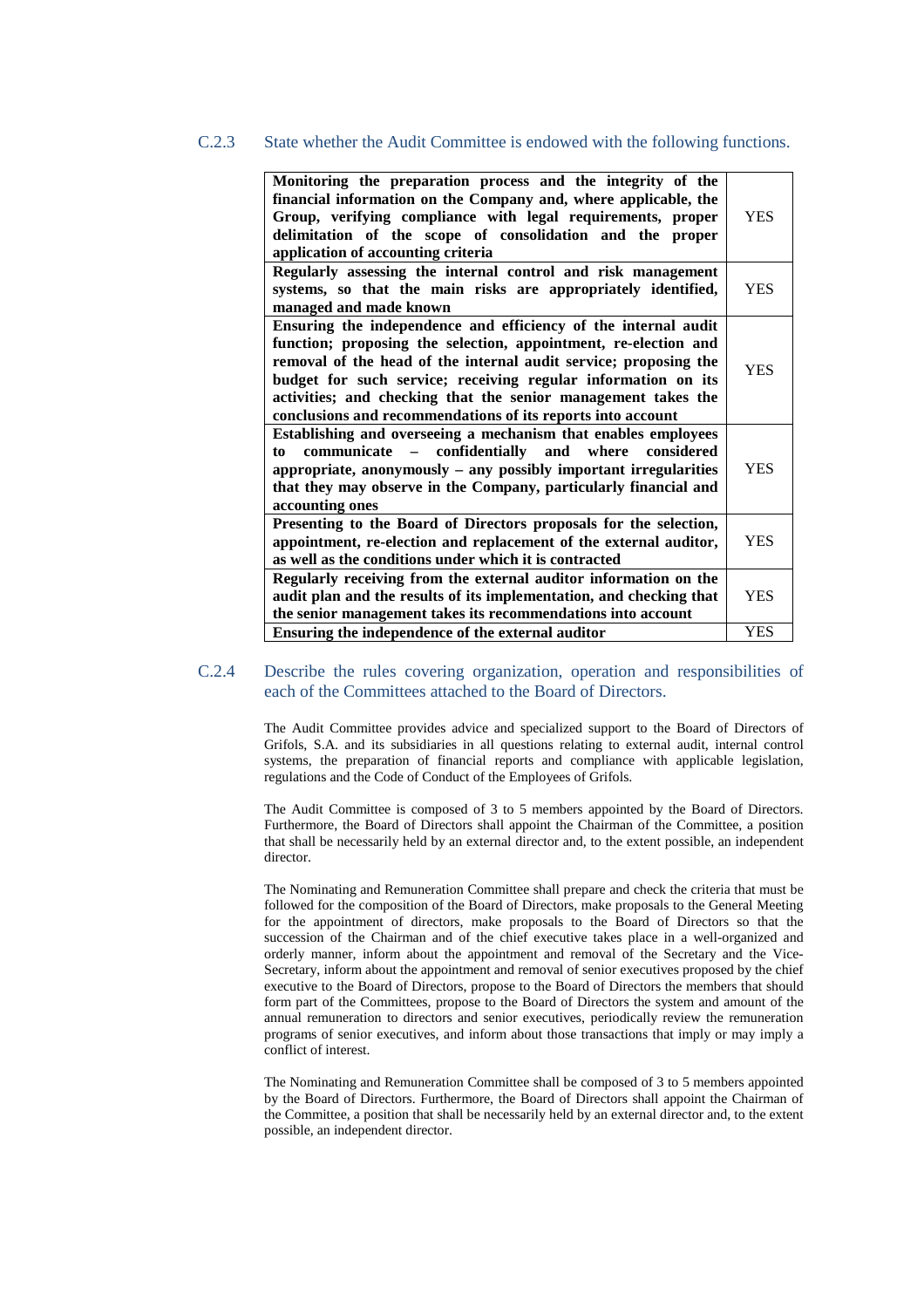#### C.2.3 State whether the Audit Committee is endowed with the following functions.

| Monitoring the preparation process and the integrity of the<br>financial information on the Company and, where applicable, the<br>Group, verifying compliance with legal requirements, proper<br>delimitation of the scope of consolidation and the proper<br>application of accounting criteria                                                                                                       | <b>YES</b> |
|--------------------------------------------------------------------------------------------------------------------------------------------------------------------------------------------------------------------------------------------------------------------------------------------------------------------------------------------------------------------------------------------------------|------------|
| Regularly assessing the internal control and risk management<br>systems, so that the main risks are appropriately identified,<br>managed and made known                                                                                                                                                                                                                                                | YES        |
| Ensuring the independence and efficiency of the internal audit<br>function; proposing the selection, appointment, re-election and<br>removal of the head of the internal audit service; proposing the<br>budget for such service; receiving regular information on its<br>activities; and checking that the senior management takes the<br>conclusions and recommendations of its reports into account | <b>YES</b> |
| Establishing and overseeing a mechanism that enables employees<br>communicate - confidentially and where considered<br>to<br>appropriate, anonymously – any possibly important irregularities<br>that they may observe in the Company, particularly financial and<br>accounting ones                                                                                                                   | <b>YES</b> |
| Presenting to the Board of Directors proposals for the selection,<br>appointment, re-election and replacement of the external auditor,<br>as well as the conditions under which it is contracted                                                                                                                                                                                                       | YES        |
| Regularly receiving from the external auditor information on the<br>audit plan and the results of its implementation, and checking that<br>the senior management takes its recommendations into account                                                                                                                                                                                                | <b>YES</b> |
| Ensuring the independence of the external auditor                                                                                                                                                                                                                                                                                                                                                      | <b>YES</b> |

### C.2.4 Describe the rules covering organization, operation and responsibilities of each of the Committees attached to the Board of Directors.

The Audit Committee provides advice and specialized support to the Board of Directors of Grifols, S.A. and its subsidiaries in all questions relating to external audit, internal control systems, the preparation of financial reports and compliance with applicable legislation, regulations and the Code of Conduct of the Employees of Grifols.

The Audit Committee is composed of 3 to 5 members appointed by the Board of Directors. Furthermore, the Board of Directors shall appoint the Chairman of the Committee, a position that shall be necessarily held by an external director and, to the extent possible, an independent director.

The Nominating and Remuneration Committee shall prepare and check the criteria that must be followed for the composition of the Board of Directors, make proposals to the General Meeting for the appointment of directors, make proposals to the Board of Directors so that the succession of the Chairman and of the chief executive takes place in a well-organized and orderly manner, inform about the appointment and removal of the Secretary and the Vice-Secretary, inform about the appointment and removal of senior executives proposed by the chief executive to the Board of Directors, propose to the Board of Directors the members that should form part of the Committees, propose to the Board of Directors the system and amount of the annual remuneration to directors and senior executives, periodically review the remuneration programs of senior executives, and inform about those transactions that imply or may imply a conflict of interest.

The Nominating and Remuneration Committee shall be composed of 3 to 5 members appointed by the Board of Directors. Furthermore, the Board of Directors shall appoint the Chairman of the Committee, a position that shall be necessarily held by an external director and, to the extent possible, an independent director.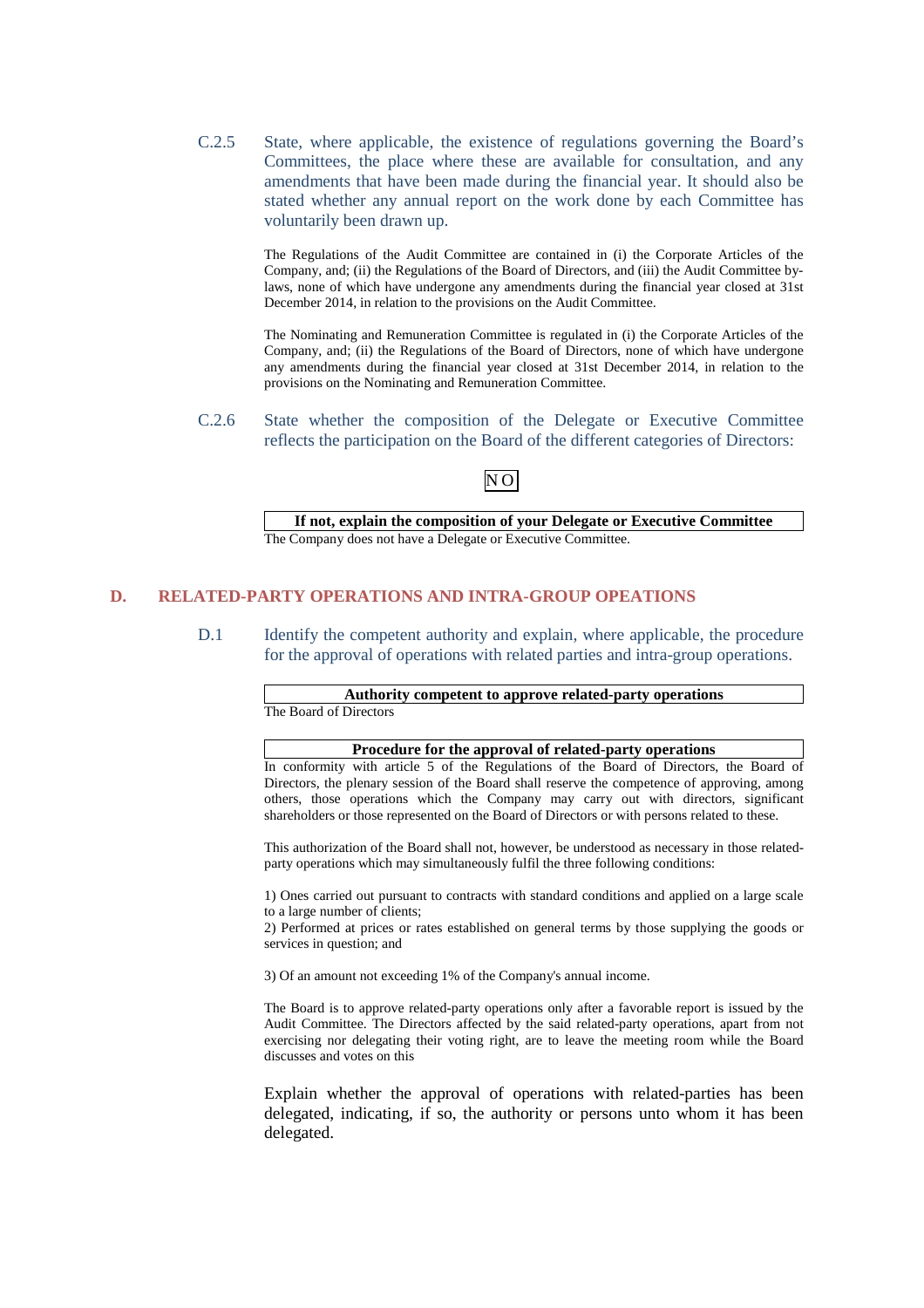C.2.5 State, where applicable, the existence of regulations governing the Board's Committees, the place where these are available for consultation, and any amendments that have been made during the financial year. It should also be stated whether any annual report on the work done by each Committee has voluntarily been drawn up.

> The Regulations of the Audit Committee are contained in (i) the Corporate Articles of the Company, and; (ii) the Regulations of the Board of Directors, and (iii) the Audit Committee bylaws, none of which have undergone any amendments during the financial year closed at 31st December 2014, in relation to the provisions on the Audit Committee.

> The Nominating and Remuneration Committee is regulated in (i) the Corporate Articles of the Company, and; (ii) the Regulations of the Board of Directors, none of which have undergone any amendments during the financial year closed at 31st December 2014, in relation to the provisions on the Nominating and Remuneration Committee.

C.2.6 State whether the composition of the Delegate or Executive Committee reflects the participation on the Board of the different categories of Directors:



**If not, explain the composition of your Delegate or Executive Committee**  The Company does not have a Delegate or Executive Committee.

# **D. RELATED-PARTY OPERATIONS AND INTRA-GROUP OPEATIONS**

D.1 Identify the competent authority and explain, where applicable, the procedure for the approval of operations with related parties and intra-group operations.

# **Authority competent to approve related-party operations**

The Board of Directors

#### **Procedure for the approval of related-party operations**

In conformity with article 5 of the Regulations of the Board of Directors, the Board of Directors, the plenary session of the Board shall reserve the competence of approving, among others, those operations which the Company may carry out with directors, significant shareholders or those represented on the Board of Directors or with persons related to these.

This authorization of the Board shall not, however, be understood as necessary in those relatedparty operations which may simultaneously fulfil the three following conditions:

1) Ones carried out pursuant to contracts with standard conditions and applied on a large scale to a large number of clients;

2) Performed at prices or rates established on general terms by those supplying the goods or services in question; and

3) Of an amount not exceeding 1% of the Company's annual income.

The Board is to approve related-party operations only after a favorable report is issued by the Audit Committee. The Directors affected by the said related-party operations, apart from not exercising nor delegating their voting right, are to leave the meeting room while the Board discusses and votes on this

Explain whether the approval of operations with related-parties has been delegated, indicating, if so, the authority or persons unto whom it has been delegated.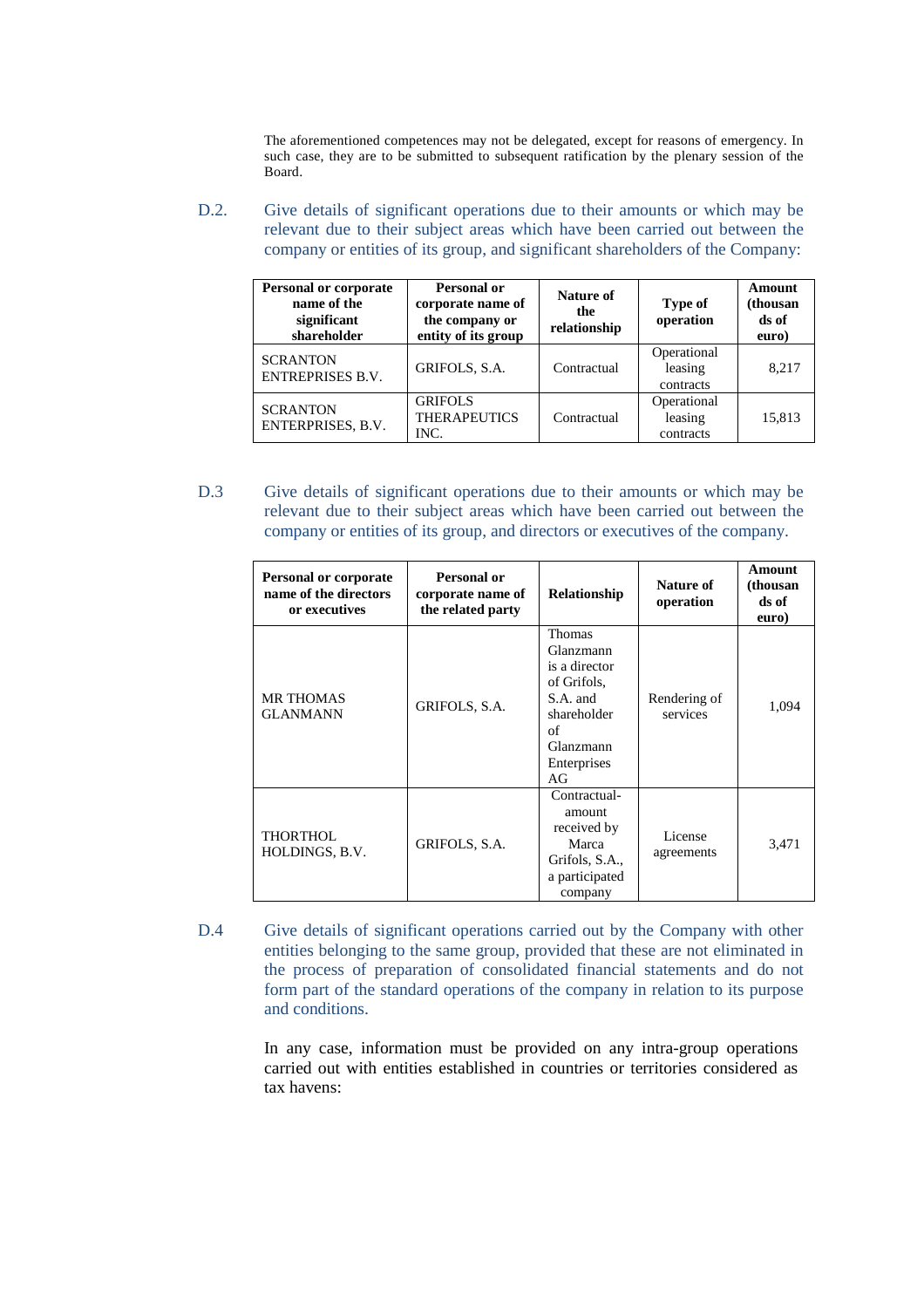The aforementioned competences may not be delegated, except for reasons of emergency. In such case, they are to be submitted to subsequent ratification by the plenary session of the Board.

D.2. Give details of significant operations due to their amounts or which may be relevant due to their subject areas which have been carried out between the company or entities of its group, and significant shareholders of the Company:

| Personal or corporate<br>name of the<br>significant<br>shareholder | Personal or<br>corporate name of<br>the company or<br>entity of its group | Nature of<br>the<br>relationship | Type of<br>operation                | Amount<br>(thousan<br>ds of<br>euro) |
|--------------------------------------------------------------------|---------------------------------------------------------------------------|----------------------------------|-------------------------------------|--------------------------------------|
| <b>SCRANTON</b><br><b>ENTREPRISES B.V.</b>                         | GRIFOLS, S.A.                                                             | Contractual                      | Operational<br>leasing<br>contracts | 8,217                                |
| <b>SCRANTON</b><br>ENTERPRISES, B.V.                               | <b>GRIFOLS</b><br><b>THERAPEUTICS</b><br>INC.                             | Contractual                      | Operational<br>leasing<br>contracts | 15,813                               |

D.3 Give details of significant operations due to their amounts or which may be relevant due to their subject areas which have been carried out between the company or entities of its group, and directors or executives of the company.

| <b>Personal or corporate</b><br>name of the directors<br>or executives | Personal or<br>corporate name of<br>the related party | Relationship                                                                                                           | Nature of<br>operation   | Amount<br>(thousan<br>ds of<br>euro) |
|------------------------------------------------------------------------|-------------------------------------------------------|------------------------------------------------------------------------------------------------------------------------|--------------------------|--------------------------------------|
| <b>MR THOMAS</b><br><b>GLANMANN</b>                                    | GRIFOLS, S.A.                                         | Thomas<br>Glanzmann<br>is a director<br>of Grifols,<br>S.A. and<br>shareholder<br>of<br>Glanzmann<br>Enterprises<br>AG | Rendering of<br>services | 1,094                                |
| THORTHOL<br>HOLDINGS, B.V.                                             | GRIFOLS, S.A.                                         | Contractual-<br>amount<br>received by<br>Marca<br>Grifols, S.A.,<br>a participated<br>company                          | License<br>agreements    | 3,471                                |

D.4 Give details of significant operations carried out by the Company with other entities belonging to the same group, provided that these are not eliminated in the process of preparation of consolidated financial statements and do not form part of the standard operations of the company in relation to its purpose and conditions.

> In any case, information must be provided on any intra-group operations carried out with entities established in countries or territories considered as tax havens: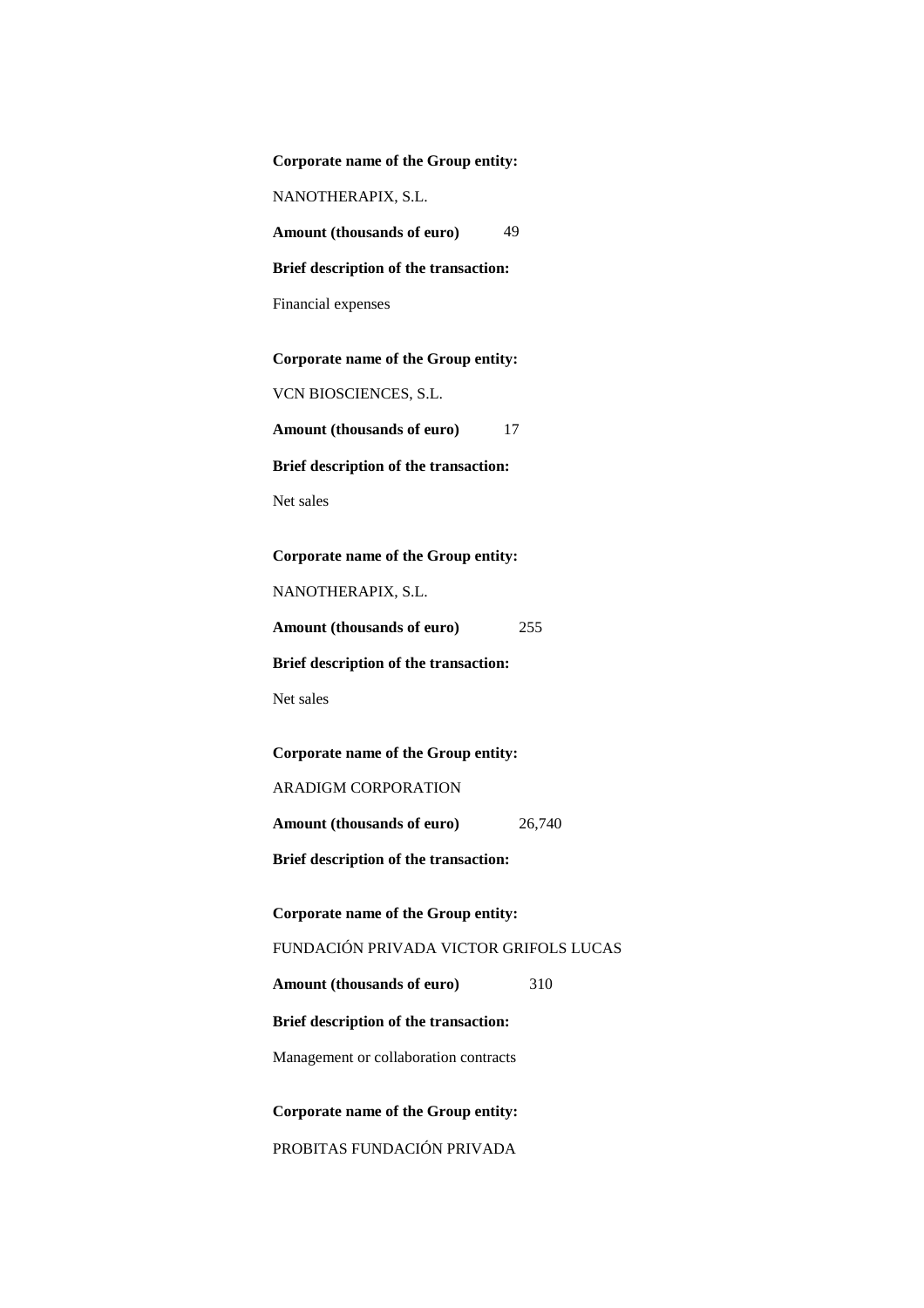| Corporate name of the Group entity:    |
|----------------------------------------|
| NANOTHERAPIX, S.L.                     |
| 49<br>Amount (thousands of euro)       |
| Brief description of the transaction:  |
| Financial expenses                     |
| Corporate name of the Group entity:    |
| VCN BIOSCIENCES, S.L.                  |
|                                        |
| Amount (thousands of euro)<br>17       |
| Brief description of the transaction:  |
| Net sales                              |
|                                        |
| Corporate name of the Group entity:    |
| NANOTHERAPIX, S.L.                     |
| Amount (thousands of euro)<br>255      |
| Brief description of the transaction:  |
| Net sales                              |
|                                        |
| Corporate name of the Group entity:    |
| <b>ARADIGM CORPORATION</b>             |
| Amount (thousands of euro)<br>26,740   |
| Brief description of the transaction:  |
| Corporate name of the Group entity:    |
| FUNDACIÓN PRIVADA VICTOR GRIFOLS LUCAS |
| Amount (thousands of euro)<br>310      |
|                                        |
| Brief description of the transaction:  |
| Management or collaboration contracts  |
| Corporate name of the Group entity:    |
|                                        |
| PROBITAS FUNDACIÓN PRIVADA             |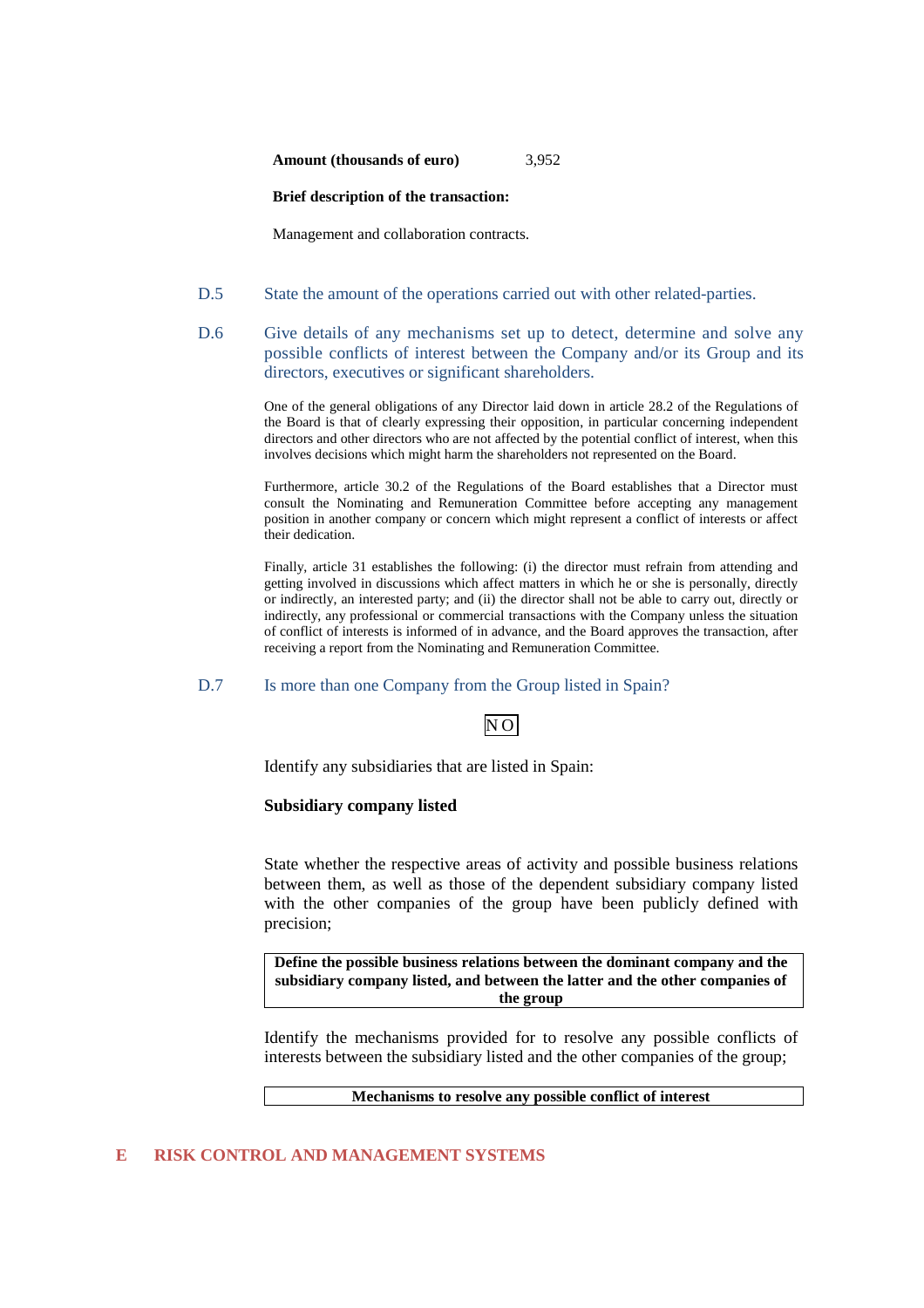**Amount (thousands of euro)** 3,952

#### **Brief description of the transaction:**

Management and collaboration contracts.

- D.5 State the amount of the operations carried out with other related-parties.
- D.6 Give details of any mechanisms set up to detect, determine and solve any possible conflicts of interest between the Company and/or its Group and its directors, executives or significant shareholders.

One of the general obligations of any Director laid down in article 28.2 of the Regulations of the Board is that of clearly expressing their opposition, in particular concerning independent directors and other directors who are not affected by the potential conflict of interest, when this involves decisions which might harm the shareholders not represented on the Board.

Furthermore, article 30.2 of the Regulations of the Board establishes that a Director must consult the Nominating and Remuneration Committee before accepting any management position in another company or concern which might represent a conflict of interests or affect their dedication.

Finally, article 31 establishes the following: (i) the director must refrain from attending and getting involved in discussions which affect matters in which he or she is personally, directly or indirectly, an interested party; and (ii) the director shall not be able to carry out, directly or indirectly, any professional or commercial transactions with the Company unless the situation of conflict of interests is informed of in advance, and the Board approves the transaction, after receiving a report from the Nominating and Remuneration Committee.

D.7 Is more than one Company from the Group listed in Spain?

Identify any subsidiaries that are listed in Spain:

### **Subsidiary company listed**

State whether the respective areas of activity and possible business relations between them, as well as those of the dependent subsidiary company listed with the other companies of the group have been publicly defined with precision;

**Define the possible business relations between the dominant company and the subsidiary company listed, and between the latter and the other companies of the group** 

Identify the mechanisms provided for to resolve any possible conflicts of interests between the subsidiary listed and the other companies of the group;

#### **Mechanisms to resolve any possible conflict of interest**

#### **E RISK CONTROL AND MANAGEMENT SYSTEMS**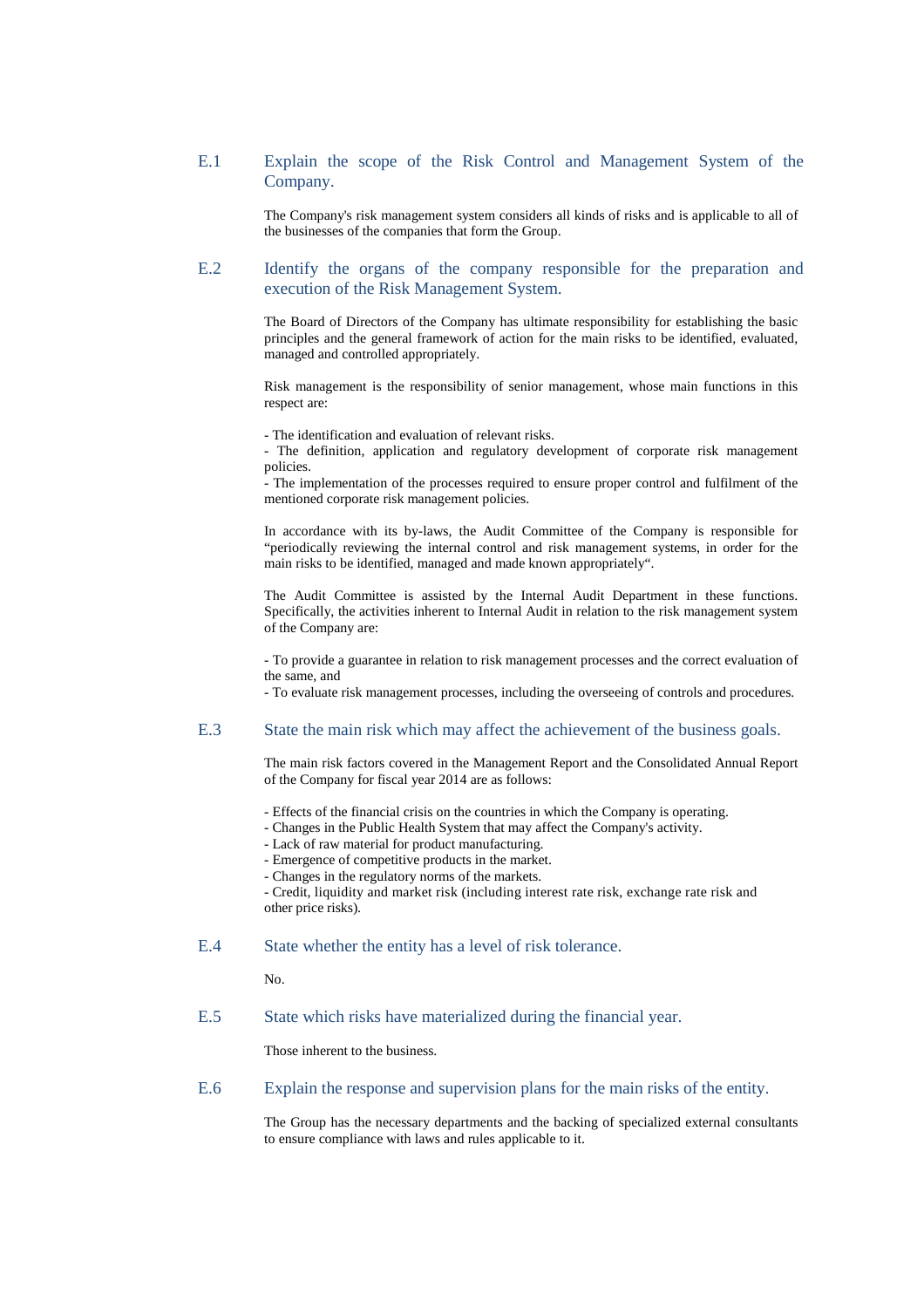### E.1 Explain the scope of the Risk Control and Management System of the Company.

The Company's risk management system considers all kinds of risks and is applicable to all of the businesses of the companies that form the Group.

### E.2 Identify the organs of the company responsible for the preparation and execution of the Risk Management System.

The Board of Directors of the Company has ultimate responsibility for establishing the basic principles and the general framework of action for the main risks to be identified, evaluated, managed and controlled appropriately.

Risk management is the responsibility of senior management, whose main functions in this respect are:

- The identification and evaluation of relevant risks.

- The definition, application and regulatory development of corporate risk management policies.

- The implementation of the processes required to ensure proper control and fulfilment of the mentioned corporate risk management policies.

In accordance with its by-laws, the Audit Committee of the Company is responsible for "periodically reviewing the internal control and risk management systems, in order for the main risks to be identified, managed and made known appropriately".

The Audit Committee is assisted by the Internal Audit Department in these functions. Specifically, the activities inherent to Internal Audit in relation to the risk management system of the Company are:

- To provide a guarantee in relation to risk management processes and the correct evaluation of the same, and

- To evaluate risk management processes, including the overseeing of controls and procedures.

### E.3 State the main risk which may affect the achievement of the business goals.

The main risk factors covered in the Management Report and the Consolidated Annual Report of the Company for fiscal year 2014 are as follows:

- Effects of the financial crisis on the countries in which the Company is operating.
- Changes in the Public Health System that may affect the Company's activity.
- Lack of raw material for product manufacturing.
- Emergence of competitive products in the market.
- Changes in the regulatory norms of the markets.

- Credit, liquidity and market risk (including interest rate risk, exchange rate risk and other price risks).

#### E.4 State whether the entity has a level of risk tolerance.

No.

### E.5 State which risks have materialized during the financial year.

Those inherent to the business.

E.6 Explain the response and supervision plans for the main risks of the entity.

The Group has the necessary departments and the backing of specialized external consultants to ensure compliance with laws and rules applicable to it.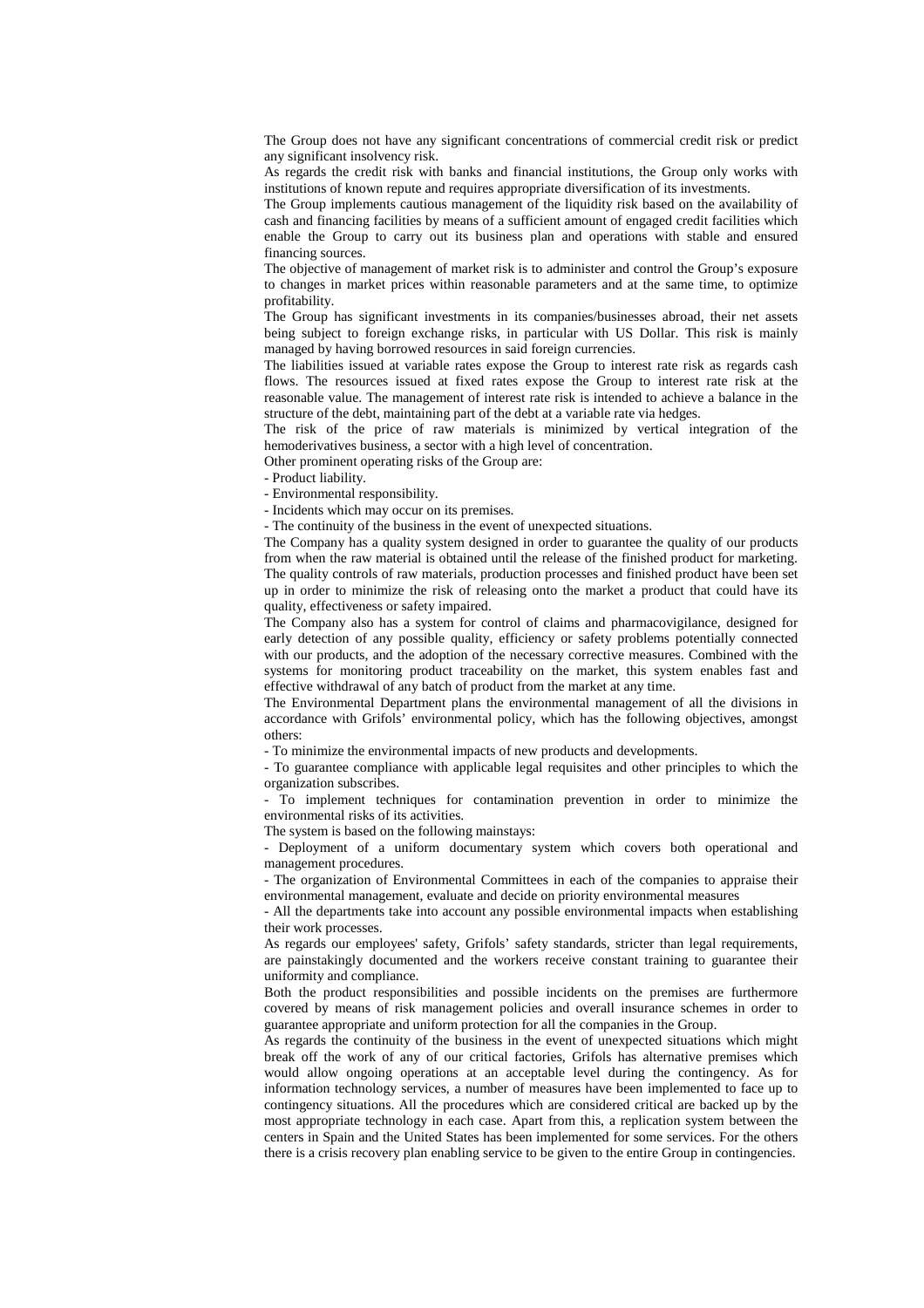The Group does not have any significant concentrations of commercial credit risk or predict any significant insolvency risk.

As regards the credit risk with banks and financial institutions, the Group only works with institutions of known repute and requires appropriate diversification of its investments.

The Group implements cautious management of the liquidity risk based on the availability of cash and financing facilities by means of a sufficient amount of engaged credit facilities which enable the Group to carry out its business plan and operations with stable and ensured financing sources.

The objective of management of market risk is to administer and control the Group's exposure to changes in market prices within reasonable parameters and at the same time, to optimize profitability.

The Group has significant investments in its companies/businesses abroad, their net assets being subject to foreign exchange risks, in particular with US Dollar. This risk is mainly managed by having borrowed resources in said foreign currencies.

The liabilities issued at variable rates expose the Group to interest rate risk as regards cash flows. The resources issued at fixed rates expose the Group to interest rate risk at the reasonable value. The management of interest rate risk is intended to achieve a balance in the structure of the debt, maintaining part of the debt at a variable rate via hedges.

The risk of the price of raw materials is minimized by vertical integration of the hemoderivatives business, a sector with a high level of concentration.

Other prominent operating risks of the Group are:

- Product liability.

- Environmental responsibility.

- Incidents which may occur on its premises.

- The continuity of the business in the event of unexpected situations.

The Company has a quality system designed in order to guarantee the quality of our products from when the raw material is obtained until the release of the finished product for marketing. The quality controls of raw materials, production processes and finished product have been set up in order to minimize the risk of releasing onto the market a product that could have its quality, effectiveness or safety impaired.

The Company also has a system for control of claims and pharmacovigilance, designed for early detection of any possible quality, efficiency or safety problems potentially connected with our products, and the adoption of the necessary corrective measures. Combined with the systems for monitoring product traceability on the market, this system enables fast and effective withdrawal of any batch of product from the market at any time.

The Environmental Department plans the environmental management of all the divisions in accordance with Grifols' environmental policy, which has the following objectives, amongst others:

- To minimize the environmental impacts of new products and developments.

- To guarantee compliance with applicable legal requisites and other principles to which the organization subscribes.

- To implement techniques for contamination prevention in order to minimize the environmental risks of its activities.

The system is based on the following mainstays:

- Deployment of a uniform documentary system which covers both operational and management procedures.

- The organization of Environmental Committees in each of the companies to appraise their environmental management, evaluate and decide on priority environmental measures

- All the departments take into account any possible environmental impacts when establishing their work processes.

As regards our employees' safety, Grifols' safety standards, stricter than legal requirements, are painstakingly documented and the workers receive constant training to guarantee their uniformity and compliance.

Both the product responsibilities and possible incidents on the premises are furthermore covered by means of risk management policies and overall insurance schemes in order to guarantee appropriate and uniform protection for all the companies in the Group.

As regards the continuity of the business in the event of unexpected situations which might break off the work of any of our critical factories, Grifols has alternative premises which would allow ongoing operations at an acceptable level during the contingency. As for information technology services, a number of measures have been implemented to face up to contingency situations. All the procedures which are considered critical are backed up by the most appropriate technology in each case. Apart from this, a replication system between the centers in Spain and the United States has been implemented for some services. For the others there is a crisis recovery plan enabling service to be given to the entire Group in contingencies.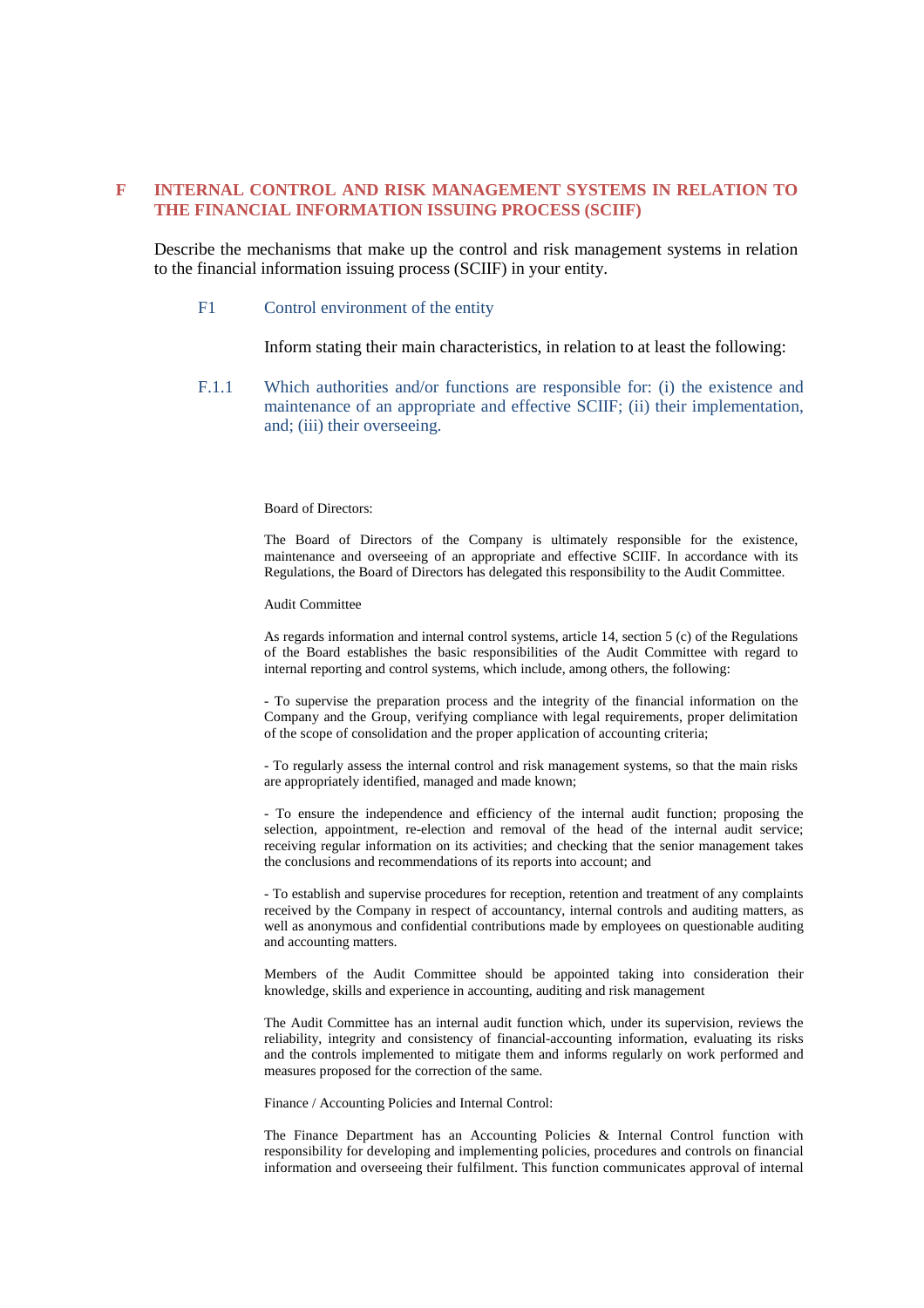### **F INTERNAL CONTROL AND RISK MANAGEMENT SYSTEMS IN RELATION TO THE FINANCIAL INFORMATION ISSUING PROCESS (SCIIF)**

Describe the mechanisms that make up the control and risk management systems in relation to the financial information issuing process (SCIIF) in your entity.

#### F1 Control environment of the entity

Inform stating their main characteristics, in relation to at least the following:

F.1.1 Which authorities and/or functions are responsible for: (i) the existence and maintenance of an appropriate and effective SCIIF; (ii) their implementation, and; (iii) their overseeing.

#### Board of Directors:

The Board of Directors of the Company is ultimately responsible for the existence, maintenance and overseeing of an appropriate and effective SCIIF. In accordance with its Regulations, the Board of Directors has delegated this responsibility to the Audit Committee.

Audit Committee

As regards information and internal control systems, article 14, section 5 (c) of the Regulations of the Board establishes the basic responsibilities of the Audit Committee with regard to internal reporting and control systems, which include, among others, the following:

- To supervise the preparation process and the integrity of the financial information on the Company and the Group, verifying compliance with legal requirements, proper delimitation of the scope of consolidation and the proper application of accounting criteria;

- To regularly assess the internal control and risk management systems, so that the main risks are appropriately identified, managed and made known;

- To ensure the independence and efficiency of the internal audit function; proposing the selection, appointment, re-election and removal of the head of the internal audit service; receiving regular information on its activities; and checking that the senior management takes the conclusions and recommendations of its reports into account; and

- To establish and supervise procedures for reception, retention and treatment of any complaints received by the Company in respect of accountancy, internal controls and auditing matters, as well as anonymous and confidential contributions made by employees on questionable auditing and accounting matters.

Members of the Audit Committee should be appointed taking into consideration their knowledge, skills and experience in accounting, auditing and risk management

The Audit Committee has an internal audit function which, under its supervision, reviews the reliability, integrity and consistency of financial-accounting information, evaluating its risks and the controls implemented to mitigate them and informs regularly on work performed and measures proposed for the correction of the same.

Finance / Accounting Policies and Internal Control:

The Finance Department has an Accounting Policies & Internal Control function with responsibility for developing and implementing policies, procedures and controls on financial information and overseeing their fulfilment. This function communicates approval of internal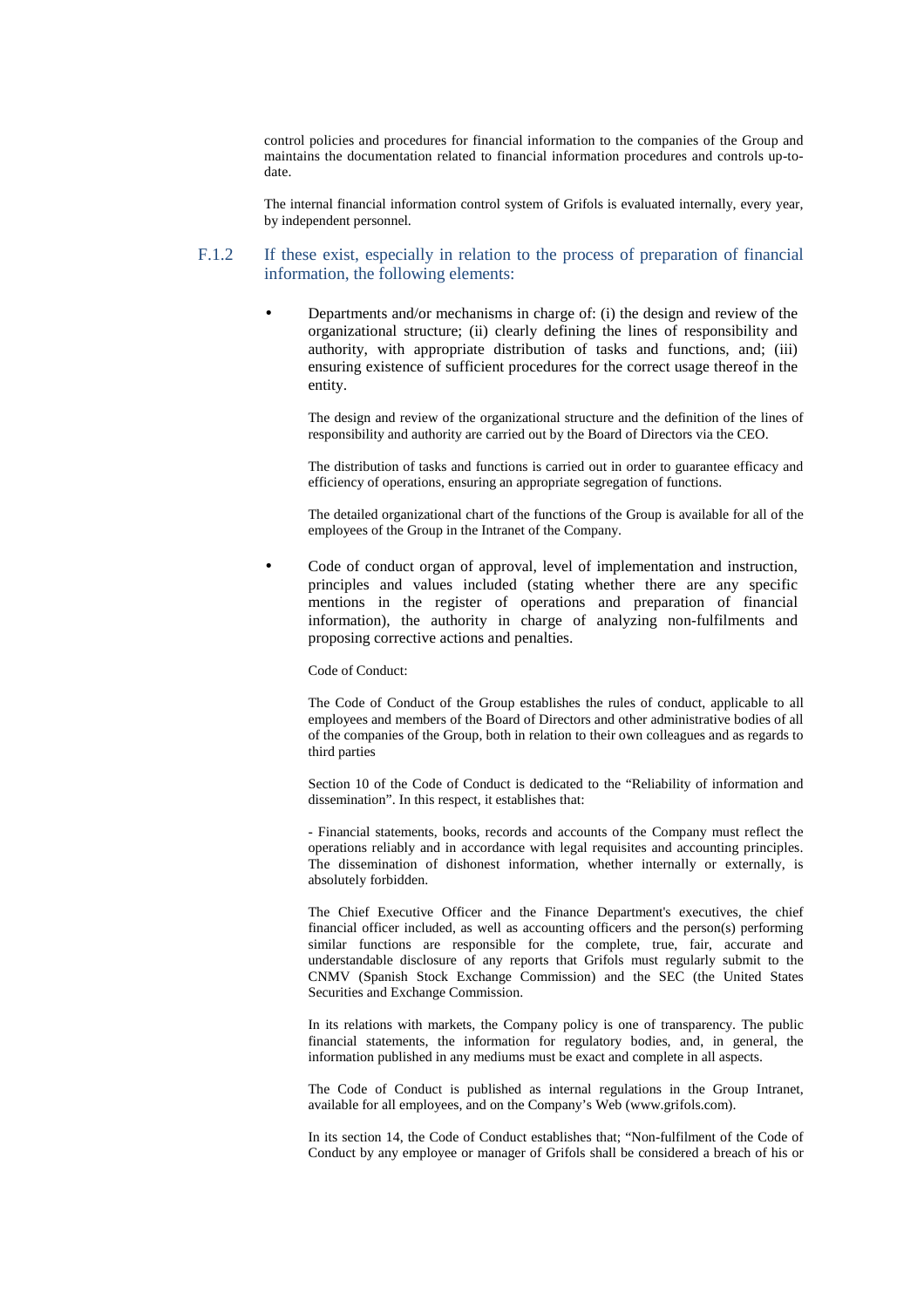control policies and procedures for financial information to the companies of the Group and maintains the documentation related to financial information procedures and controls up-todate.

The internal financial information control system of Grifols is evaluated internally, every year, by independent personnel.

### F.1.2 If these exist, especially in relation to the process of preparation of financial information, the following elements:

• Departments and/or mechanisms in charge of: (i) the design and review of the organizational structure; (ii) clearly defining the lines of responsibility and authority, with appropriate distribution of tasks and functions, and; (iii) ensuring existence of sufficient procedures for the correct usage thereof in the entity.

The design and review of the organizational structure and the definition of the lines of responsibility and authority are carried out by the Board of Directors via the CEO.

The distribution of tasks and functions is carried out in order to guarantee efficacy and efficiency of operations, ensuring an appropriate segregation of functions.

The detailed organizational chart of the functions of the Group is available for all of the employees of the Group in the Intranet of the Company.

• Code of conduct organ of approval, level of implementation and instruction, principles and values included (stating whether there are any specific mentions in the register of operations and preparation of financial information), the authority in charge of analyzing non-fulfilments and proposing corrective actions and penalties.

Code of Conduct:

The Code of Conduct of the Group establishes the rules of conduct, applicable to all employees and members of the Board of Directors and other administrative bodies of all of the companies of the Group, both in relation to their own colleagues and as regards to third parties

Section 10 of the Code of Conduct is dedicated to the "Reliability of information and dissemination". In this respect, it establishes that:

- Financial statements, books, records and accounts of the Company must reflect the operations reliably and in accordance with legal requisites and accounting principles. The dissemination of dishonest information, whether internally or externally, is absolutely forbidden.

The Chief Executive Officer and the Finance Department's executives, the chief financial officer included, as well as accounting officers and the person(s) performing similar functions are responsible for the complete, true, fair, accurate and understandable disclosure of any reports that Grifols must regularly submit to the CNMV (Spanish Stock Exchange Commission) and the SEC (the United States Securities and Exchange Commission.

In its relations with markets, the Company policy is one of transparency. The public financial statements, the information for regulatory bodies, and, in general, the information published in any mediums must be exact and complete in all aspects.

The Code of Conduct is published as internal regulations in the Group Intranet, available for all employees, and on the Company's Web (www.grifols.com).

In its section 14, the Code of Conduct establishes that; "Non-fulfilment of the Code of Conduct by any employee or manager of Grifols shall be considered a breach of his or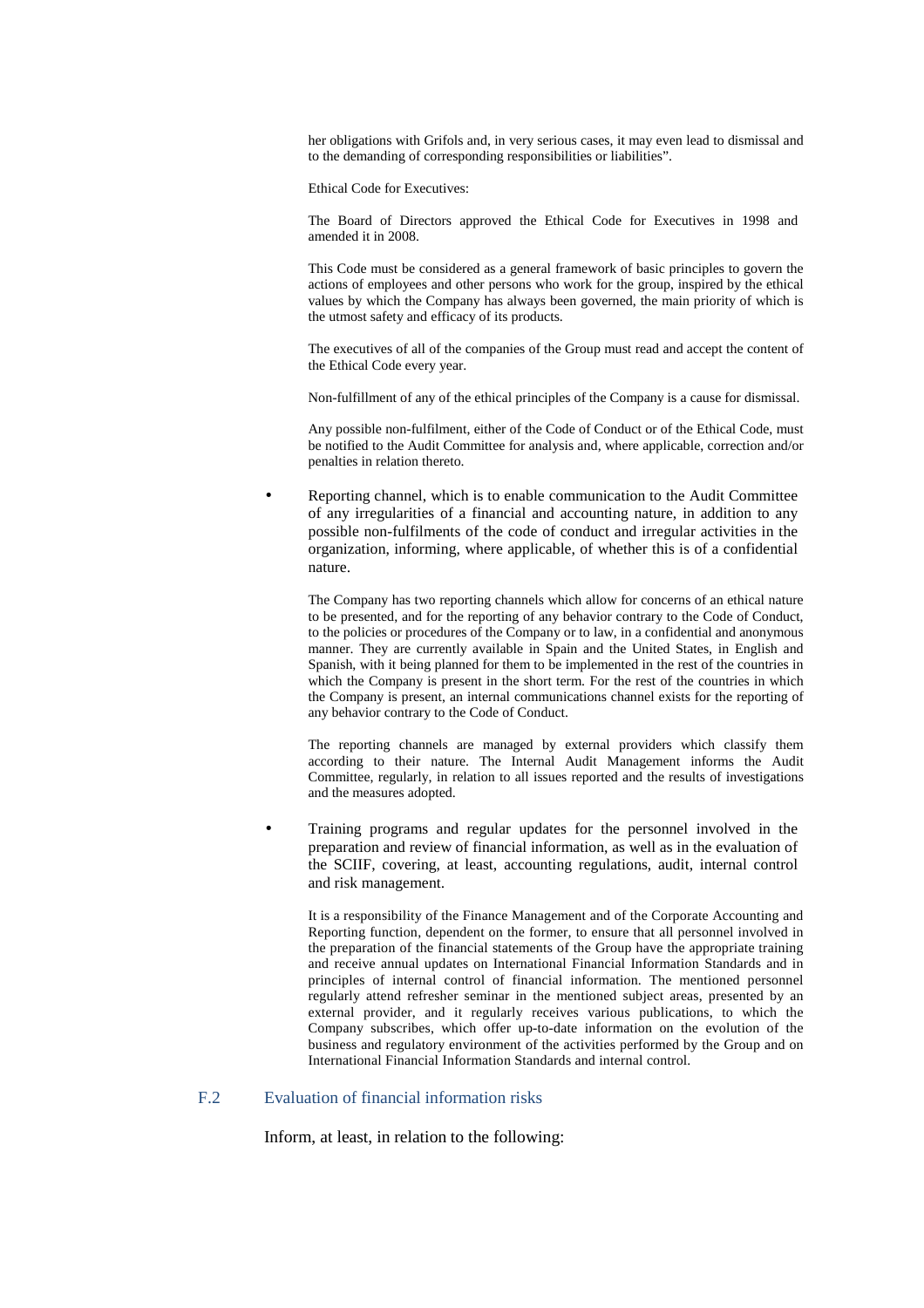her obligations with Grifols and, in very serious cases, it may even lead to dismissal and to the demanding of corresponding responsibilities or liabilities".

Ethical Code for Executives:

The Board of Directors approved the Ethical Code for Executives in 1998 and amended it in 2008.

This Code must be considered as a general framework of basic principles to govern the actions of employees and other persons who work for the group, inspired by the ethical values by which the Company has always been governed, the main priority of which is the utmost safety and efficacy of its products.

The executives of all of the companies of the Group must read and accept the content of the Ethical Code every year.

Non-fulfillment of any of the ethical principles of the Company is a cause for dismissal.

Any possible non-fulfilment, either of the Code of Conduct or of the Ethical Code, must be notified to the Audit Committee for analysis and, where applicable, correction and/or penalties in relation thereto.

• Reporting channel, which is to enable communication to the Audit Committee of any irregularities of a financial and accounting nature, in addition to any possible non-fulfilments of the code of conduct and irregular activities in the organization, informing, where applicable, of whether this is of a confidential nature.

The Company has two reporting channels which allow for concerns of an ethical nature to be presented, and for the reporting of any behavior contrary to the Code of Conduct, to the policies or procedures of the Company or to law, in a confidential and anonymous manner. They are currently available in Spain and the United States, in English and Spanish, with it being planned for them to be implemented in the rest of the countries in which the Company is present in the short term. For the rest of the countries in which the Company is present, an internal communications channel exists for the reporting of any behavior contrary to the Code of Conduct.

The reporting channels are managed by external providers which classify them according to their nature. The Internal Audit Management informs the Audit Committee, regularly, in relation to all issues reported and the results of investigations and the measures adopted.

• Training programs and regular updates for the personnel involved in the preparation and review of financial information, as well as in the evaluation of the SCIIF, covering, at least, accounting regulations, audit, internal control and risk management.

It is a responsibility of the Finance Management and of the Corporate Accounting and Reporting function, dependent on the former, to ensure that all personnel involved in the preparation of the financial statements of the Group have the appropriate training and receive annual updates on International Financial Information Standards and in principles of internal control of financial information. The mentioned personnel regularly attend refresher seminar in the mentioned subject areas, presented by an external provider, and it regularly receives various publications, to which the Company subscribes, which offer up-to-date information on the evolution of the business and regulatory environment of the activities performed by the Group and on International Financial Information Standards and internal control.

### F.2 Evaluation of financial information risks

Inform, at least, in relation to the following: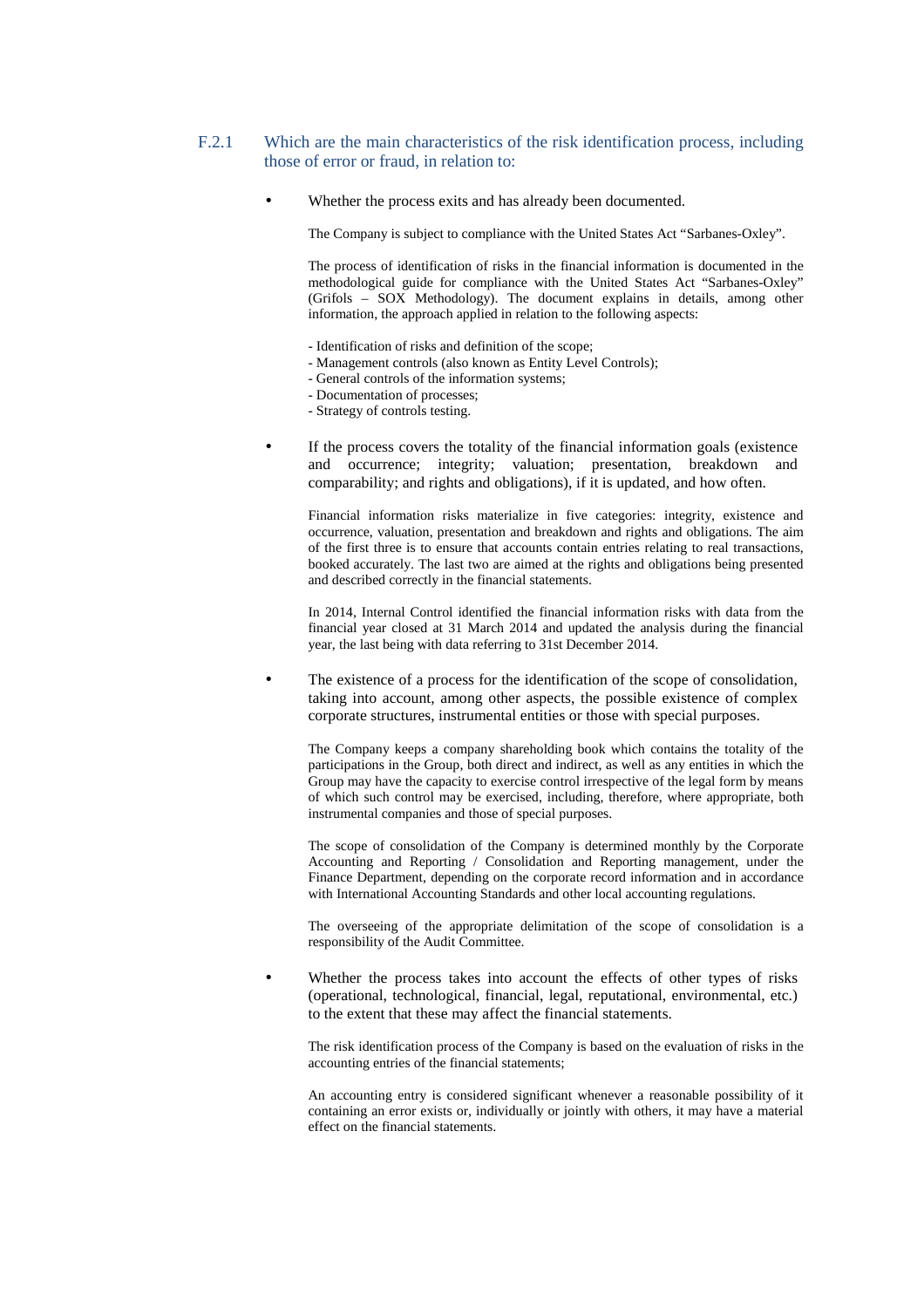### F.2.1 Which are the main characteristics of the risk identification process, including those of error or fraud, in relation to:

Whether the process exits and has already been documented.

The Company is subject to compliance with the United States Act "Sarbanes-Oxley".

The process of identification of risks in the financial information is documented in the methodological guide for compliance with the United States Act "Sarbanes-Oxley" (Grifols – SOX Methodology). The document explains in details, among other information, the approach applied in relation to the following aspects:

- Identification of risks and definition of the scope;
- Management controls (also known as Entity Level Controls);
- General controls of the information systems;
- Documentation of processes;
- Strategy of controls testing.
- If the process covers the totality of the financial information goals (existence and occurrence; integrity; valuation; presentation, breakdown and comparability; and rights and obligations), if it is updated, and how often.

Financial information risks materialize in five categories: integrity, existence and occurrence, valuation, presentation and breakdown and rights and obligations. The aim of the first three is to ensure that accounts contain entries relating to real transactions, booked accurately. The last two are aimed at the rights and obligations being presented and described correctly in the financial statements.

In 2014, Internal Control identified the financial information risks with data from the financial year closed at 31 March 2014 and updated the analysis during the financial year, the last being with data referring to 31st December 2014.

The existence of a process for the identification of the scope of consolidation, taking into account, among other aspects, the possible existence of complex corporate structures, instrumental entities or those with special purposes.

The Company keeps a company shareholding book which contains the totality of the participations in the Group, both direct and indirect, as well as any entities in which the Group may have the capacity to exercise control irrespective of the legal form by means of which such control may be exercised, including, therefore, where appropriate, both instrumental companies and those of special purposes.

The scope of consolidation of the Company is determined monthly by the Corporate Accounting and Reporting / Consolidation and Reporting management, under the Finance Department, depending on the corporate record information and in accordance with International Accounting Standards and other local accounting regulations.

The overseeing of the appropriate delimitation of the scope of consolidation is a responsibility of the Audit Committee.

Whether the process takes into account the effects of other types of risks (operational, technological, financial, legal, reputational, environmental, etc.) to the extent that these may affect the financial statements.

The risk identification process of the Company is based on the evaluation of risks in the accounting entries of the financial statements;

An accounting entry is considered significant whenever a reasonable possibility of it containing an error exists or, individually or jointly with others, it may have a material effect on the financial statements.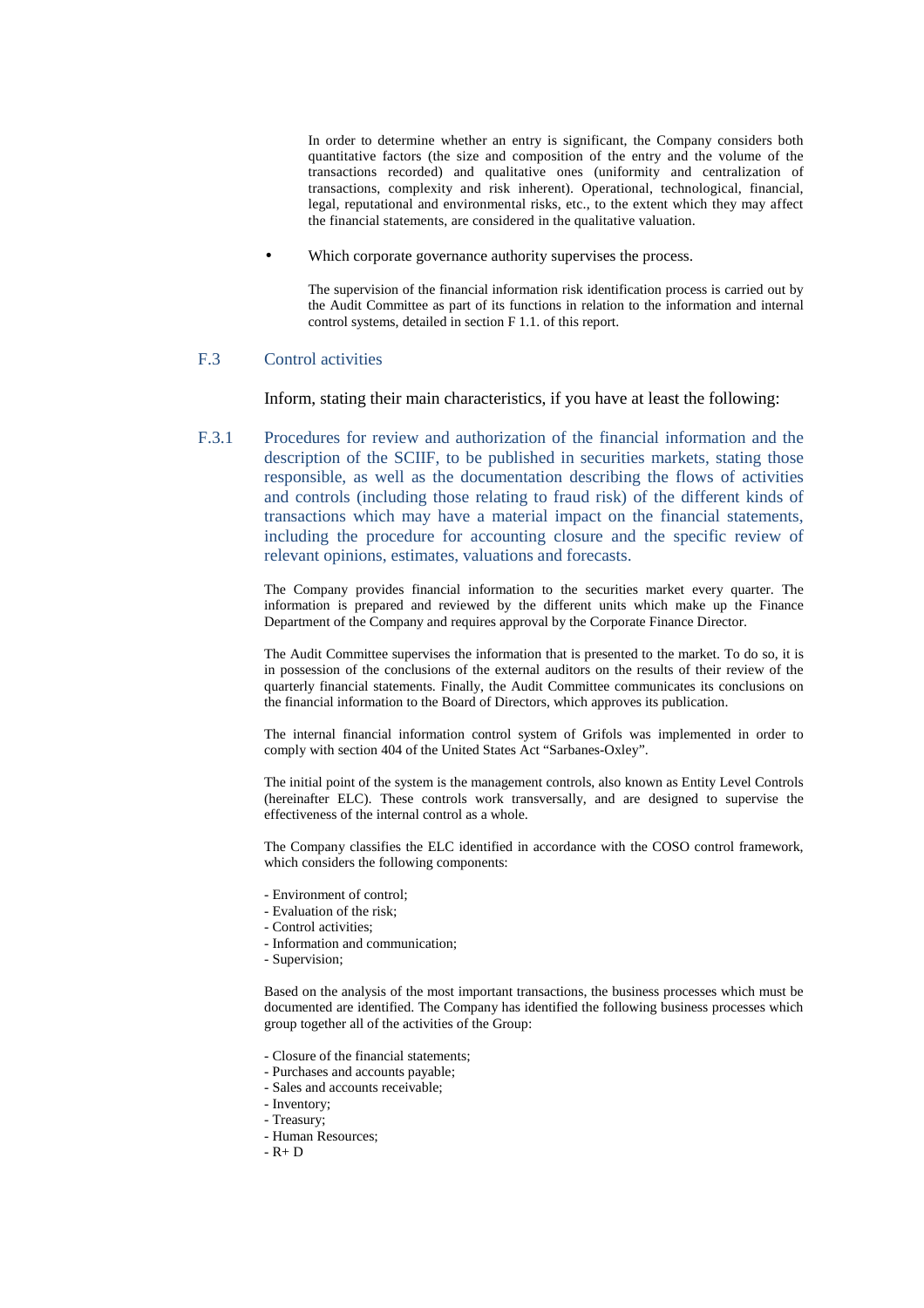In order to determine whether an entry is significant, the Company considers both quantitative factors (the size and composition of the entry and the volume of the transactions recorded) and qualitative ones (uniformity and centralization of transactions, complexity and risk inherent). Operational, technological, financial, legal, reputational and environmental risks, etc., to the extent which they may affect the financial statements, are considered in the qualitative valuation.

• Which corporate governance authority supervises the process.

The supervision of the financial information risk identification process is carried out by the Audit Committee as part of its functions in relation to the information and internal control systems, detailed in section F 1.1. of this report.

### F.3 Control activities

Inform, stating their main characteristics, if you have at least the following:

F.3.1 Procedures for review and authorization of the financial information and the description of the SCIIF, to be published in securities markets, stating those responsible, as well as the documentation describing the flows of activities and controls (including those relating to fraud risk) of the different kinds of transactions which may have a material impact on the financial statements, including the procedure for accounting closure and the specific review of relevant opinions, estimates, valuations and forecasts.

> The Company provides financial information to the securities market every quarter. The information is prepared and reviewed by the different units which make up the Finance Department of the Company and requires approval by the Corporate Finance Director.

> The Audit Committee supervises the information that is presented to the market. To do so, it is in possession of the conclusions of the external auditors on the results of their review of the quarterly financial statements. Finally, the Audit Committee communicates its conclusions on the financial information to the Board of Directors, which approves its publication.

> The internal financial information control system of Grifols was implemented in order to comply with section 404 of the United States Act "Sarbanes-Oxley".

> The initial point of the system is the management controls, also known as Entity Level Controls (hereinafter ELC). These controls work transversally, and are designed to supervise the effectiveness of the internal control as a whole.

> The Company classifies the ELC identified in accordance with the COSO control framework, which considers the following components:

- Environment of control;
- Evaluation of the risk;
- Control activities;
- Information and communication;
- Supervision;

Based on the analysis of the most important transactions, the business processes which must be documented are identified. The Company has identified the following business processes which group together all of the activities of the Group:

- Closure of the financial statements;
- Purchases and accounts payable;
- Sales and accounts receivable;
- Inventory;
- Treasury;
- Human Resources;
- $-$  R  $+$  D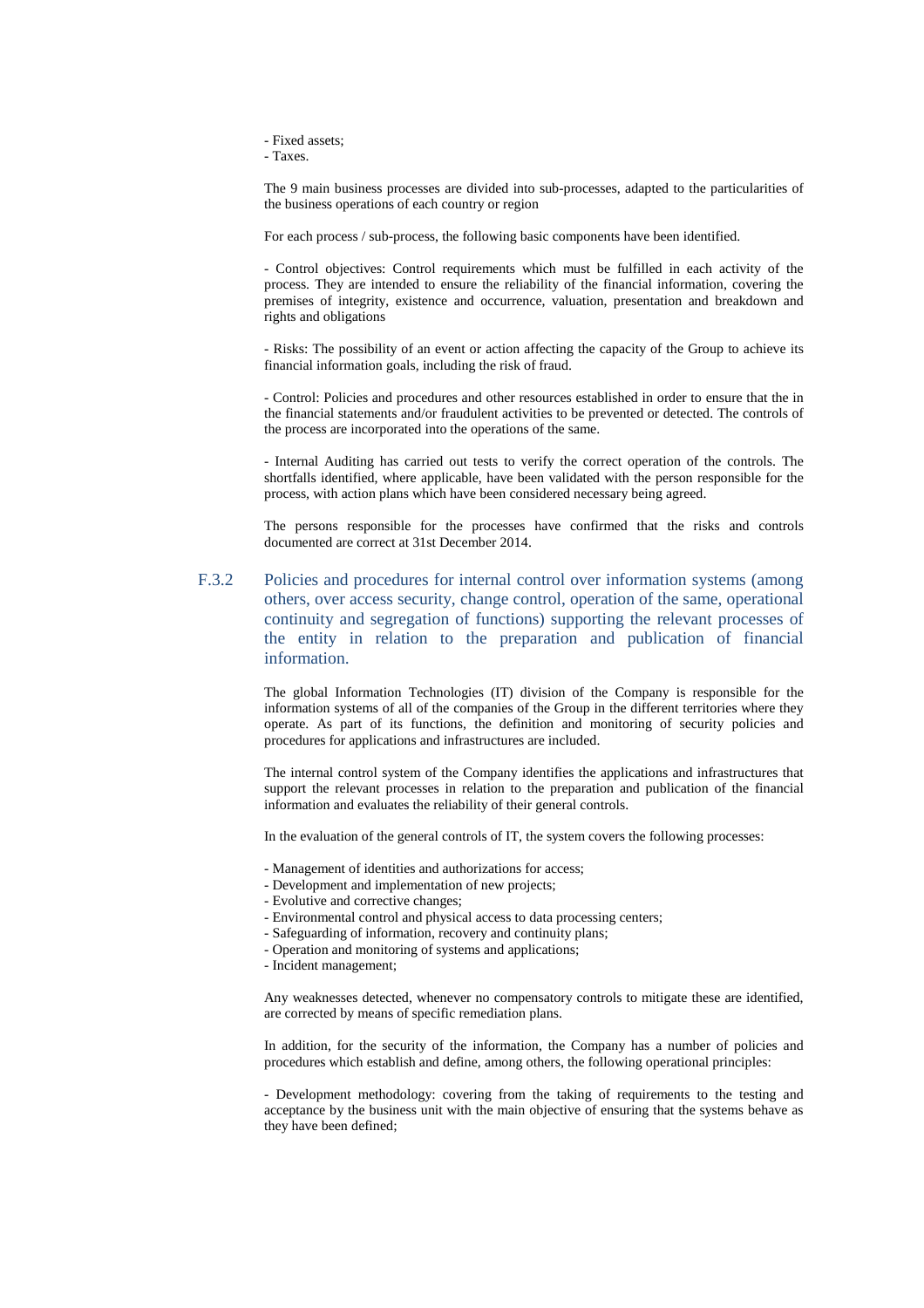- Fixed assets;

- Taxes.

The 9 main business processes are divided into sub-processes, adapted to the particularities of the business operations of each country or region

For each process / sub-process, the following basic components have been identified.

- Control objectives: Control requirements which must be fulfilled in each activity of the process. They are intended to ensure the reliability of the financial information, covering the premises of integrity, existence and occurrence, valuation, presentation and breakdown and rights and obligations

- Risks: The possibility of an event or action affecting the capacity of the Group to achieve its financial information goals, including the risk of fraud.

- Control: Policies and procedures and other resources established in order to ensure that the in the financial statements and/or fraudulent activities to be prevented or detected. The controls of the process are incorporated into the operations of the same.

- Internal Auditing has carried out tests to verify the correct operation of the controls. The shortfalls identified, where applicable, have been validated with the person responsible for the process, with action plans which have been considered necessary being agreed.

The persons responsible for the processes have confirmed that the risks and controls documented are correct at 31st December 2014.

F.3.2 Policies and procedures for internal control over information systems (among others, over access security, change control, operation of the same, operational continuity and segregation of functions) supporting the relevant processes of the entity in relation to the preparation and publication of financial information.

> The global Information Technologies (IT) division of the Company is responsible for the information systems of all of the companies of the Group in the different territories where they operate. As part of its functions, the definition and monitoring of security policies and procedures for applications and infrastructures are included.

> The internal control system of the Company identifies the applications and infrastructures that support the relevant processes in relation to the preparation and publication of the financial information and evaluates the reliability of their general controls.

In the evaluation of the general controls of IT, the system covers the following processes:

- Management of identities and authorizations for access;
- Development and implementation of new projects;
- Evolutive and corrective changes;
- Environmental control and physical access to data processing centers;
- Safeguarding of information, recovery and continuity plans;
- Operation and monitoring of systems and applications;
- Incident management;

Any weaknesses detected, whenever no compensatory controls to mitigate these are identified, are corrected by means of specific remediation plans.

In addition, for the security of the information, the Company has a number of policies and procedures which establish and define, among others, the following operational principles:

- Development methodology: covering from the taking of requirements to the testing and acceptance by the business unit with the main objective of ensuring that the systems behave as they have been defined;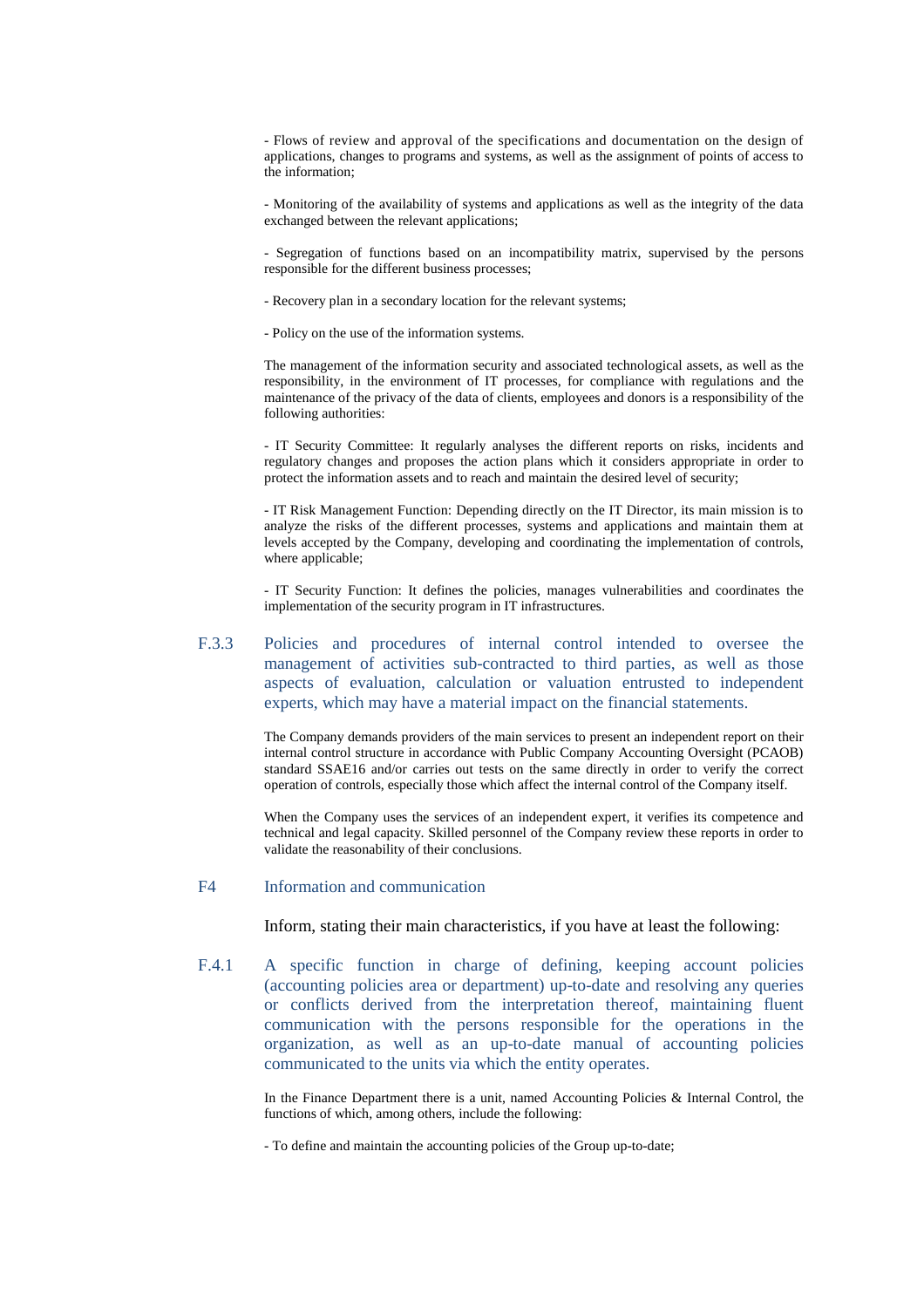- Flows of review and approval of the specifications and documentation on the design of applications, changes to programs and systems, as well as the assignment of points of access to the information;

- Monitoring of the availability of systems and applications as well as the integrity of the data exchanged between the relevant applications;

- Segregation of functions based on an incompatibility matrix, supervised by the persons responsible for the different business processes;

- Recovery plan in a secondary location for the relevant systems;
- Policy on the use of the information systems.

The management of the information security and associated technological assets, as well as the responsibility, in the environment of IT processes, for compliance with regulations and the maintenance of the privacy of the data of clients, employees and donors is a responsibility of the following authorities:

- IT Security Committee: It regularly analyses the different reports on risks, incidents and regulatory changes and proposes the action plans which it considers appropriate in order to protect the information assets and to reach and maintain the desired level of security;

- IT Risk Management Function: Depending directly on the IT Director, its main mission is to analyze the risks of the different processes, systems and applications and maintain them at levels accepted by the Company, developing and coordinating the implementation of controls, where applicable;

- IT Security Function: It defines the policies, manages vulnerabilities and coordinates the implementation of the security program in IT infrastructures.

F.3.3 Policies and procedures of internal control intended to oversee the management of activities sub-contracted to third parties, as well as those aspects of evaluation, calculation or valuation entrusted to independent experts, which may have a material impact on the financial statements.

> The Company demands providers of the main services to present an independent report on their internal control structure in accordance with Public Company Accounting Oversight (PCAOB) standard SSAE16 and/or carries out tests on the same directly in order to verify the correct operation of controls, especially those which affect the internal control of the Company itself.

> When the Company uses the services of an independent expert, it verifies its competence and technical and legal capacity. Skilled personnel of the Company review these reports in order to validate the reasonability of their conclusions.

#### F4 Information and communication

Inform, stating their main characteristics, if you have at least the following:

F.4.1 A specific function in charge of defining, keeping account policies (accounting policies area or department) up-to-date and resolving any queries or conflicts derived from the interpretation thereof, maintaining fluent communication with the persons responsible for the operations in the organization, as well as an up-to-date manual of accounting policies communicated to the units via which the entity operates.

> In the Finance Department there is a unit, named Accounting Policies & Internal Control, the functions of which, among others, include the following:

- To define and maintain the accounting policies of the Group up-to-date;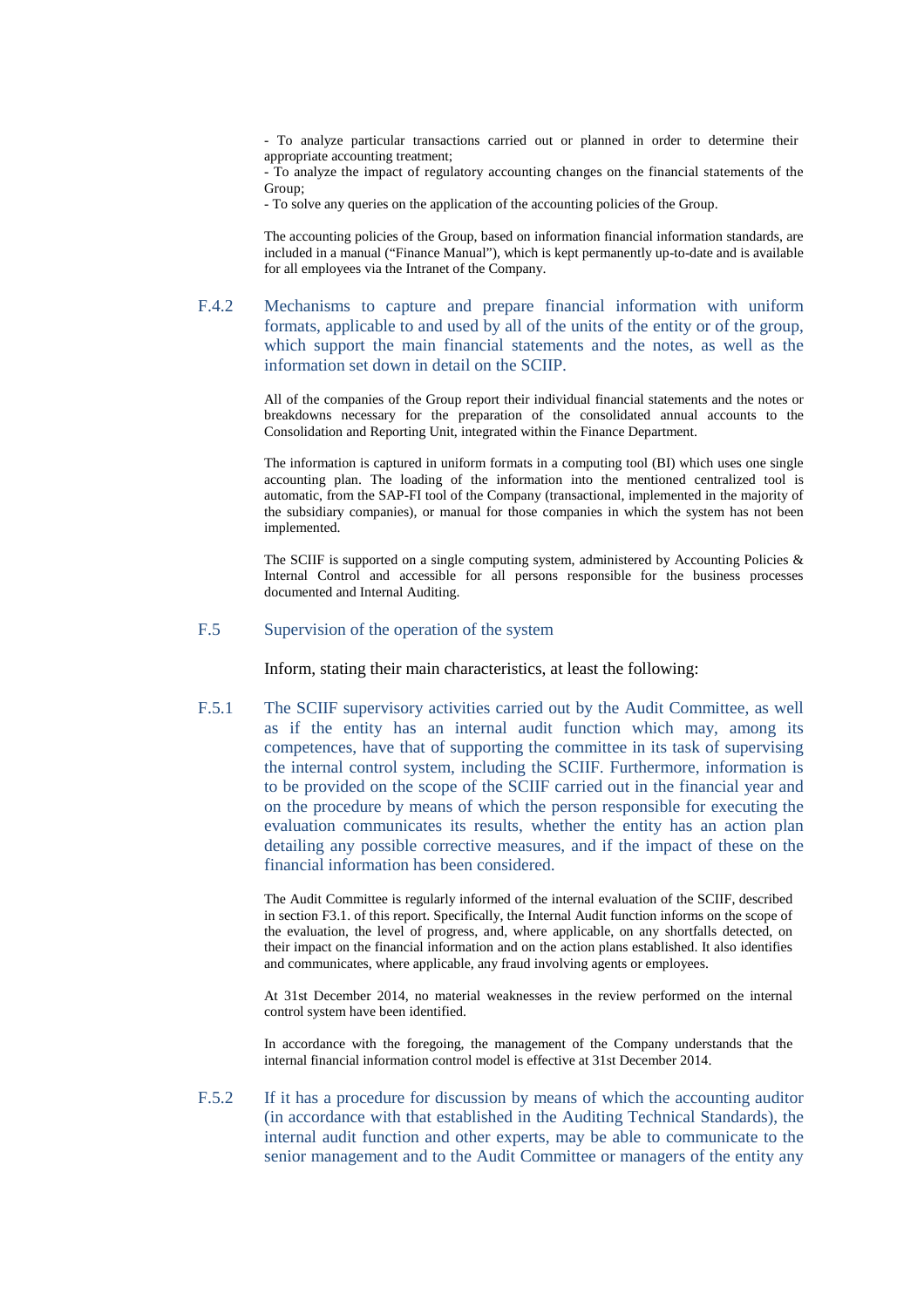- To analyze particular transactions carried out or planned in order to determine their appropriate accounting treatment;

- To analyze the impact of regulatory accounting changes on the financial statements of the Group;

- To solve any queries on the application of the accounting policies of the Group.

The accounting policies of the Group, based on information financial information standards, are included in a manual ("Finance Manual"), which is kept permanently up-to-date and is available for all employees via the Intranet of the Company.

# F.4.2 Mechanisms to capture and prepare financial information with uniform formats, applicable to and used by all of the units of the entity or of the group, which support the main financial statements and the notes, as well as the information set down in detail on the SCIIP.

All of the companies of the Group report their individual financial statements and the notes or breakdowns necessary for the preparation of the consolidated annual accounts to the Consolidation and Reporting Unit, integrated within the Finance Department.

The information is captured in uniform formats in a computing tool (BI) which uses one single accounting plan. The loading of the information into the mentioned centralized tool is automatic, from the SAP-FI tool of the Company (transactional, implemented in the majority of the subsidiary companies), or manual for those companies in which the system has not been implemented.

The SCIIF is supported on a single computing system, administered by Accounting Policies  $\&$ Internal Control and accessible for all persons responsible for the business processes documented and Internal Auditing.

### F.5 Supervision of the operation of the system

Inform, stating their main characteristics, at least the following:

F.5.1 The SCIIF supervisory activities carried out by the Audit Committee, as well as if the entity has an internal audit function which may, among its competences, have that of supporting the committee in its task of supervising the internal control system, including the SCIIF. Furthermore, information is to be provided on the scope of the SCIIF carried out in the financial year and on the procedure by means of which the person responsible for executing the evaluation communicates its results, whether the entity has an action plan detailing any possible corrective measures, and if the impact of these on the financial information has been considered.

> The Audit Committee is regularly informed of the internal evaluation of the SCIIF, described in section F3.1. of this report. Specifically, the Internal Audit function informs on the scope of the evaluation, the level of progress, and, where applicable, on any shortfalls detected, on their impact on the financial information and on the action plans established. It also identifies and communicates, where applicable, any fraud involving agents or employees.

> At 31st December 2014, no material weaknesses in the review performed on the internal control system have been identified.

> In accordance with the foregoing, the management of the Company understands that the internal financial information control model is effective at 31st December 2014.

F.5.2 If it has a procedure for discussion by means of which the accounting auditor (in accordance with that established in the Auditing Technical Standards), the internal audit function and other experts, may be able to communicate to the senior management and to the Audit Committee or managers of the entity any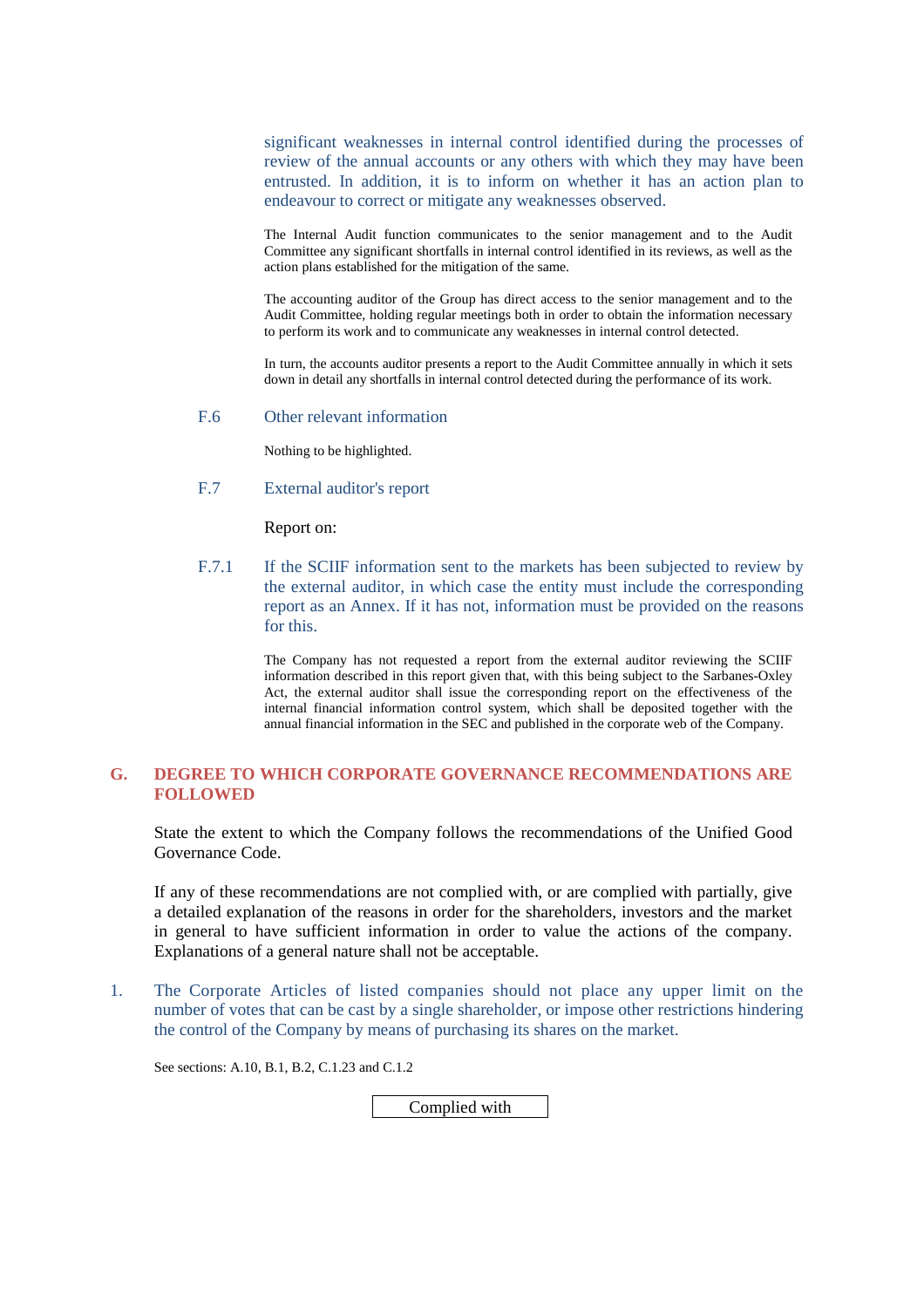significant weaknesses in internal control identified during the processes of review of the annual accounts or any others with which they may have been entrusted. In addition, it is to inform on whether it has an action plan to endeavour to correct or mitigate any weaknesses observed.

The Internal Audit function communicates to the senior management and to the Audit Committee any significant shortfalls in internal control identified in its reviews, as well as the action plans established for the mitigation of the same.

The accounting auditor of the Group has direct access to the senior management and to the Audit Committee, holding regular meetings both in order to obtain the information necessary to perform its work and to communicate any weaknesses in internal control detected.

In turn, the accounts auditor presents a report to the Audit Committee annually in which it sets down in detail any shortfalls in internal control detected during the performance of its work.

F.6 Other relevant information

Nothing to be highlighted.

F.7 External auditor's report

Report on:

F.7.1 If the SCIIF information sent to the markets has been subjected to review by the external auditor, in which case the entity must include the corresponding report as an Annex. If it has not, information must be provided on the reasons for this.

> The Company has not requested a report from the external auditor reviewing the SCIIF information described in this report given that, with this being subject to the Sarbanes-Oxley Act, the external auditor shall issue the corresponding report on the effectiveness of the internal financial information control system, which shall be deposited together with the annual financial information in the SEC and published in the corporate web of the Company.

# **G. DEGREE TO WHICH CORPORATE GOVERNANCE RECOMMENDATIONS ARE FOLLOWED**

State the extent to which the Company follows the recommendations of the Unified Good Governance Code.

If any of these recommendations are not complied with, or are complied with partially, give a detailed explanation of the reasons in order for the shareholders, investors and the market in general to have sufficient information in order to value the actions of the company. Explanations of a general nature shall not be acceptable.

1. The Corporate Articles of listed companies should not place any upper limit on the number of votes that can be cast by a single shareholder, or impose other restrictions hindering the control of the Company by means of purchasing its shares on the market.

See sections: A.10, B.1, B.2, C.1.23 and C.1.2

Complied with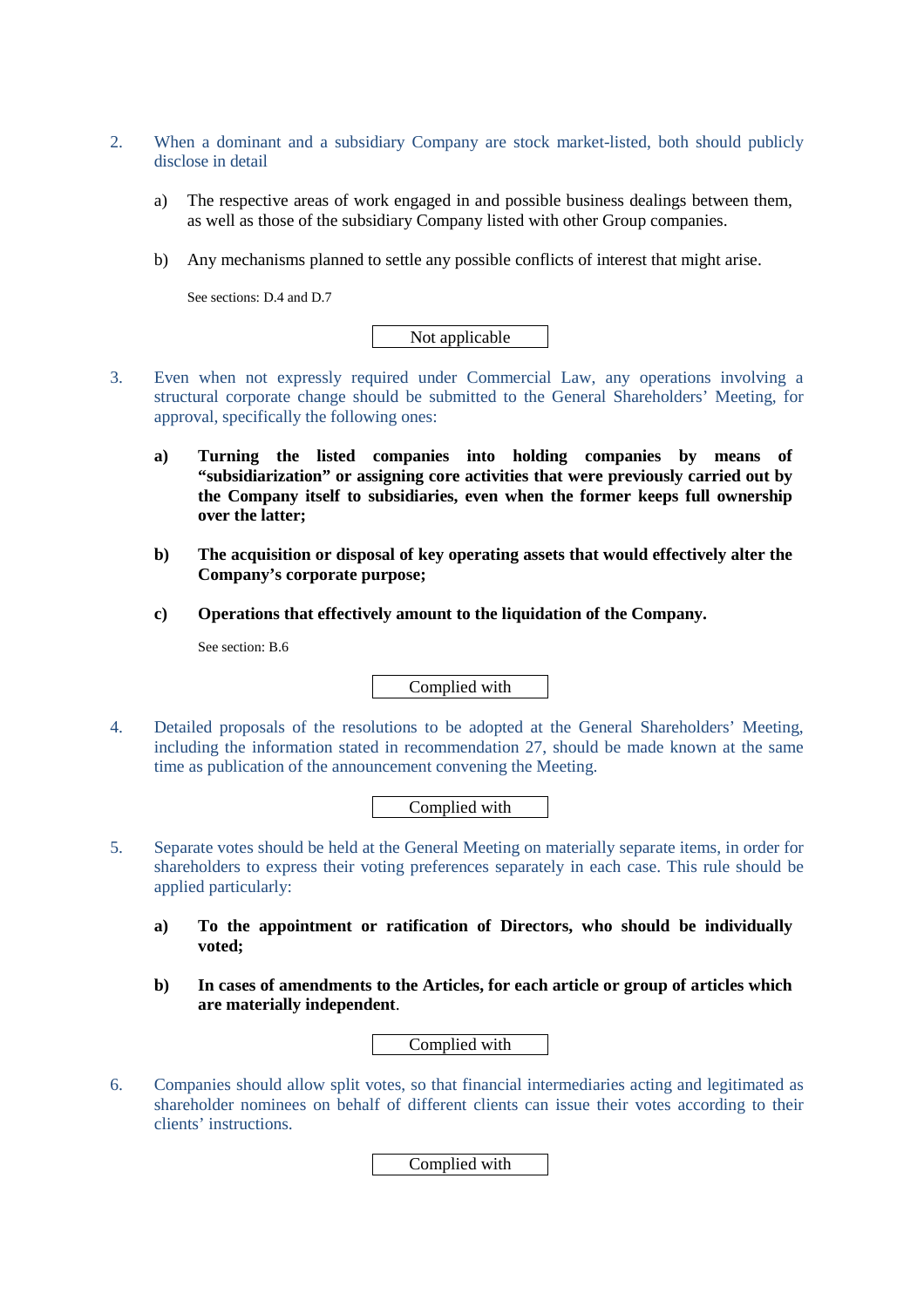- 2. When a dominant and a subsidiary Company are stock market-listed, both should publicly disclose in detail
	- a) The respective areas of work engaged in and possible business dealings between them, as well as those of the subsidiary Company listed with other Group companies.
	- b) Any mechanisms planned to settle any possible conflicts of interest that might arise.

See sections: D.4 and D.7

Not applicable

- 3. Even when not expressly required under Commercial Law, any operations involving a structural corporate change should be submitted to the General Shareholders' Meeting, for approval, specifically the following ones:
	- **a) Turning the listed companies into holding companies by means of "subsidiarization" or assigning core activities that were previously carried out by the Company itself to subsidiaries, even when the former keeps full ownership over the latter;**
	- **b) The acquisition or disposal of key operating assets that would effectively alter the Company's corporate purpose;**
	- **c) Operations that effectively amount to the liquidation of the Company.**

See section: B.6

Complied with

4. Detailed proposals of the resolutions to be adopted at the General Shareholders' Meeting, including the information stated in recommendation 27, should be made known at the same time as publication of the announcement convening the Meeting.

Complied with

- 5. Separate votes should be held at the General Meeting on materially separate items, in order for shareholders to express their voting preferences separately in each case. This rule should be applied particularly:
	- **a) To the appointment or ratification of Directors, who should be individually voted;**
	- **b) In cases of amendments to the Articles, for each article or group of articles which are materially independent**.

Complied with

6. Companies should allow split votes, so that financial intermediaries acting and legitimated as shareholder nominees on behalf of different clients can issue their votes according to their clients' instructions.

Complied with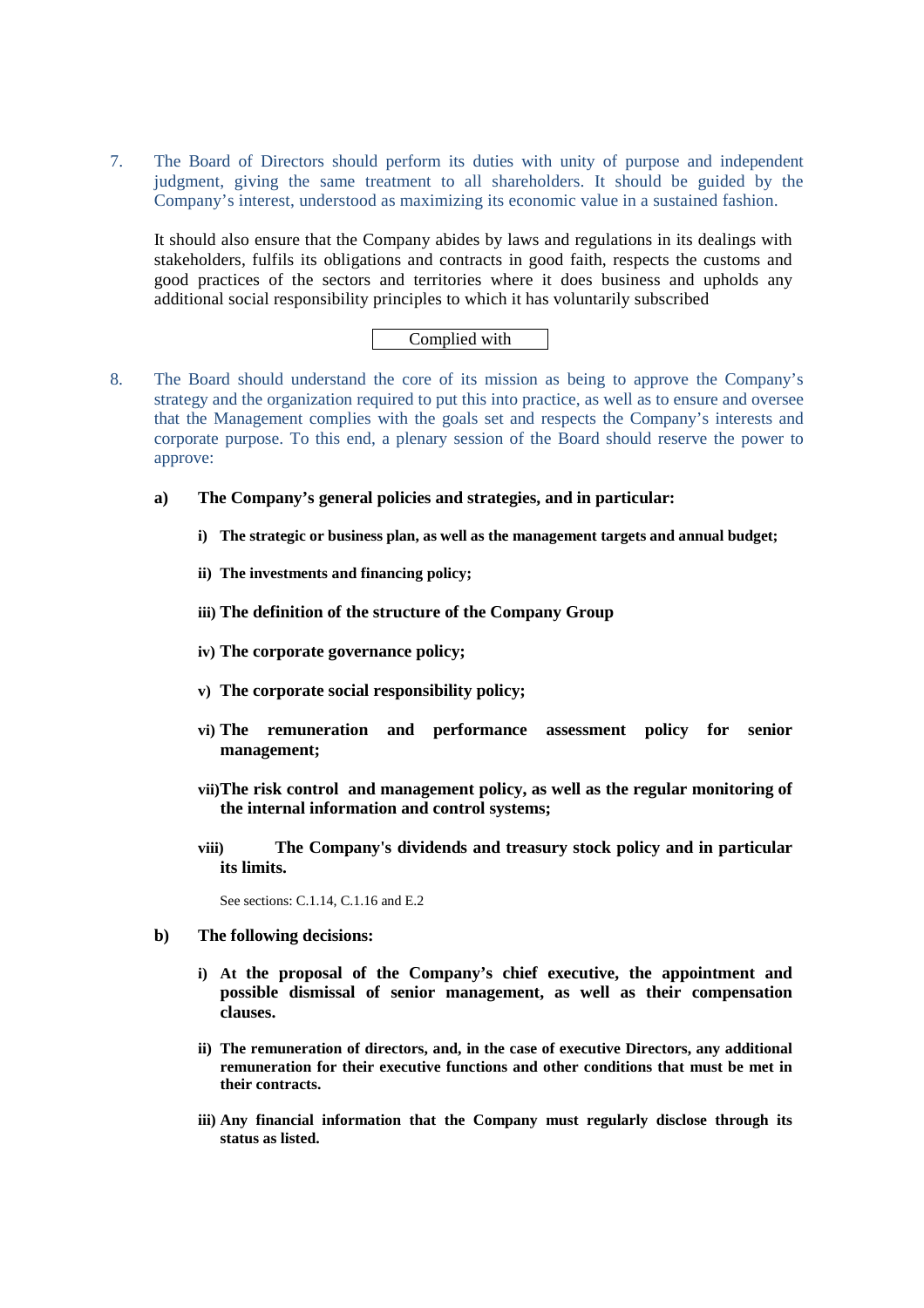7. The Board of Directors should perform its duties with unity of purpose and independent judgment, giving the same treatment to all shareholders. It should be guided by the Company's interest, understood as maximizing its economic value in a sustained fashion.

It should also ensure that the Company abides by laws and regulations in its dealings with stakeholders, fulfils its obligations and contracts in good faith, respects the customs and good practices of the sectors and territories where it does business and upholds any additional social responsibility principles to which it has voluntarily subscribed

# Complied with

- 8. The Board should understand the core of its mission as being to approve the Company's strategy and the organization required to put this into practice, as well as to ensure and oversee that the Management complies with the goals set and respects the Company's interests and corporate purpose. To this end, a plenary session of the Board should reserve the power to approve:
	- **a) The Company's general policies and strategies, and in particular:** 
		- **i) The strategic or business plan, as well as the management targets and annual budget;**
		- **ii) The investments and financing policy;**
		- **iii) The definition of the structure of the Company Group**
		- **iv) The corporate governance policy;**
		- **v) The corporate social responsibility policy;**
		- **vi) The remuneration and performance assessment policy for senior management;**
		- **vii)The risk control and management policy, as well as the regular monitoring of the internal information and control systems;**
		- **viii) The Company's dividends and treasury stock policy and in particular its limits.**

See sections: C.1.14, C.1.16 and E.2

- **b) The following decisions:** 
	- **i) At the proposal of the Company's chief executive, the appointment and possible dismissal of senior management, as well as their compensation clauses.**
	- **ii) The remuneration of directors, and, in the case of executive Directors, any additional remuneration for their executive functions and other conditions that must be met in their contracts.**
	- **iii) Any financial information that the Company must regularly disclose through its status as listed.**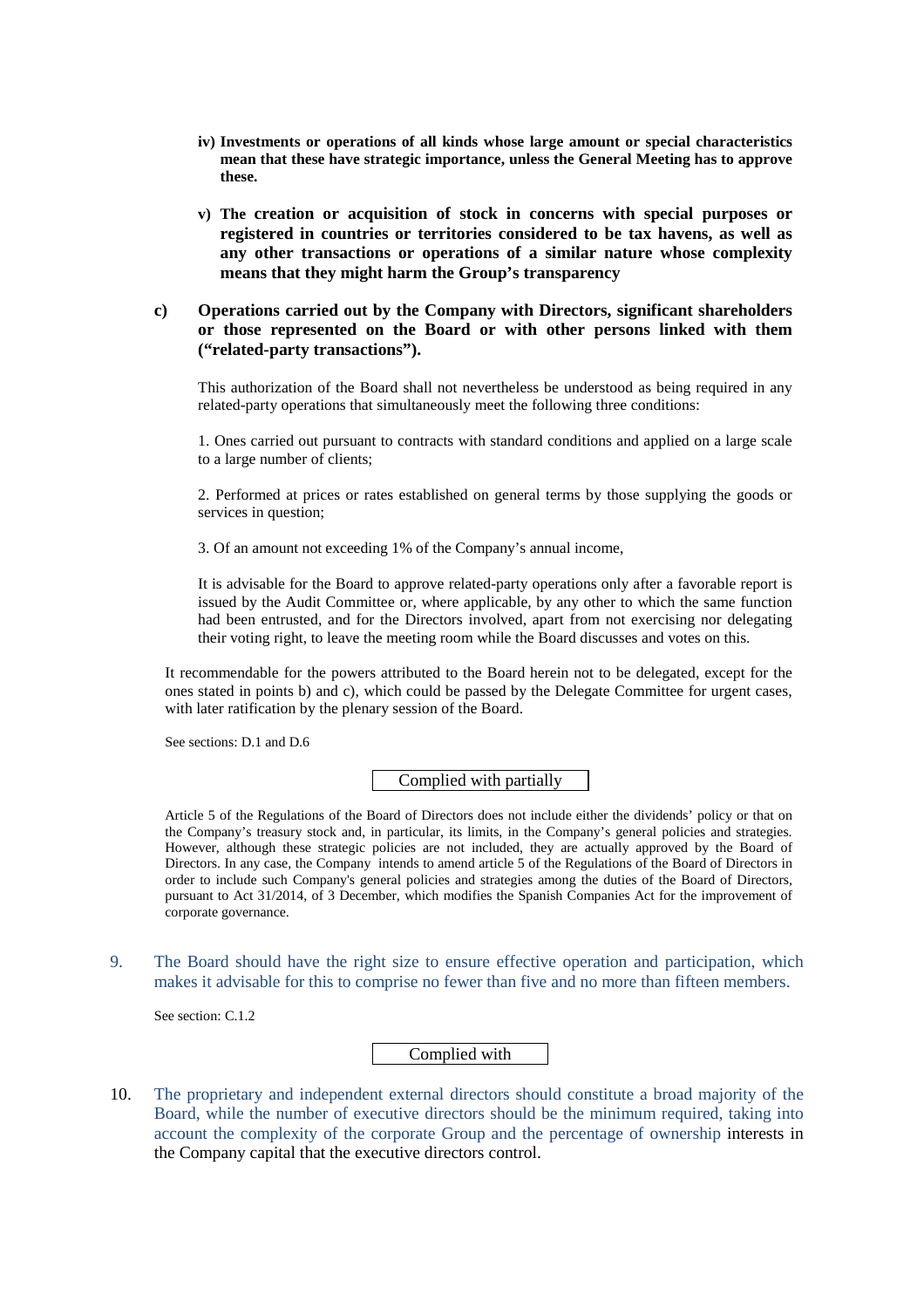- **iv) Investments or operations of all kinds whose large amount or special characteristics mean that these have strategic importance, unless the General Meeting has to approve these.**
- **v) The creation or acquisition of stock in concerns with special purposes or registered in countries or territories considered to be tax havens, as well as any other transactions or operations of a similar nature whose complexity means that they might harm the Group's transparency**

### **c) Operations carried out by the Company with Directors, significant shareholders or those represented on the Board or with other persons linked with them ("related-party transactions").**

This authorization of the Board shall not nevertheless be understood as being required in any related-party operations that simultaneously meet the following three conditions:

1. Ones carried out pursuant to contracts with standard conditions and applied on a large scale to a large number of clients;

2. Performed at prices or rates established on general terms by those supplying the goods or services in question;

3. Of an amount not exceeding 1% of the Company's annual income,

It is advisable for the Board to approve related-party operations only after a favorable report is issued by the Audit Committee or, where applicable, by any other to which the same function had been entrusted, and for the Directors involved, apart from not exercising nor delegating their voting right, to leave the meeting room while the Board discusses and votes on this.

It recommendable for the powers attributed to the Board herein not to be delegated, except for the ones stated in points b) and c), which could be passed by the Delegate Committee for urgent cases, with later ratification by the plenary session of the Board.

See sections: D.1 and D.6

Complied with partially

Article 5 of the Regulations of the Board of Directors does not include either the dividends' policy or that on the Company's treasury stock and, in particular, its limits, in the Company's general policies and strategies. However, although these strategic policies are not included, they are actually approved by the Board of Directors. In any case, the Company intends to amend article 5 of the Regulations of the Board of Directors in order to include such Company's general policies and strategies among the duties of the Board of Directors, pursuant to Act 31/2014, of 3 December, which modifies the Spanish Companies Act for the improvement of corporate governance.

9. The Board should have the right size to ensure effective operation and participation, which makes it advisable for this to comprise no fewer than five and no more than fifteen members.

See section: C.1.2

Complied with

10. The proprietary and independent external directors should constitute a broad majority of the Board, while the number of executive directors should be the minimum required, taking into account the complexity of the corporate Group and the percentage of ownership interests in the Company capital that the executive directors control.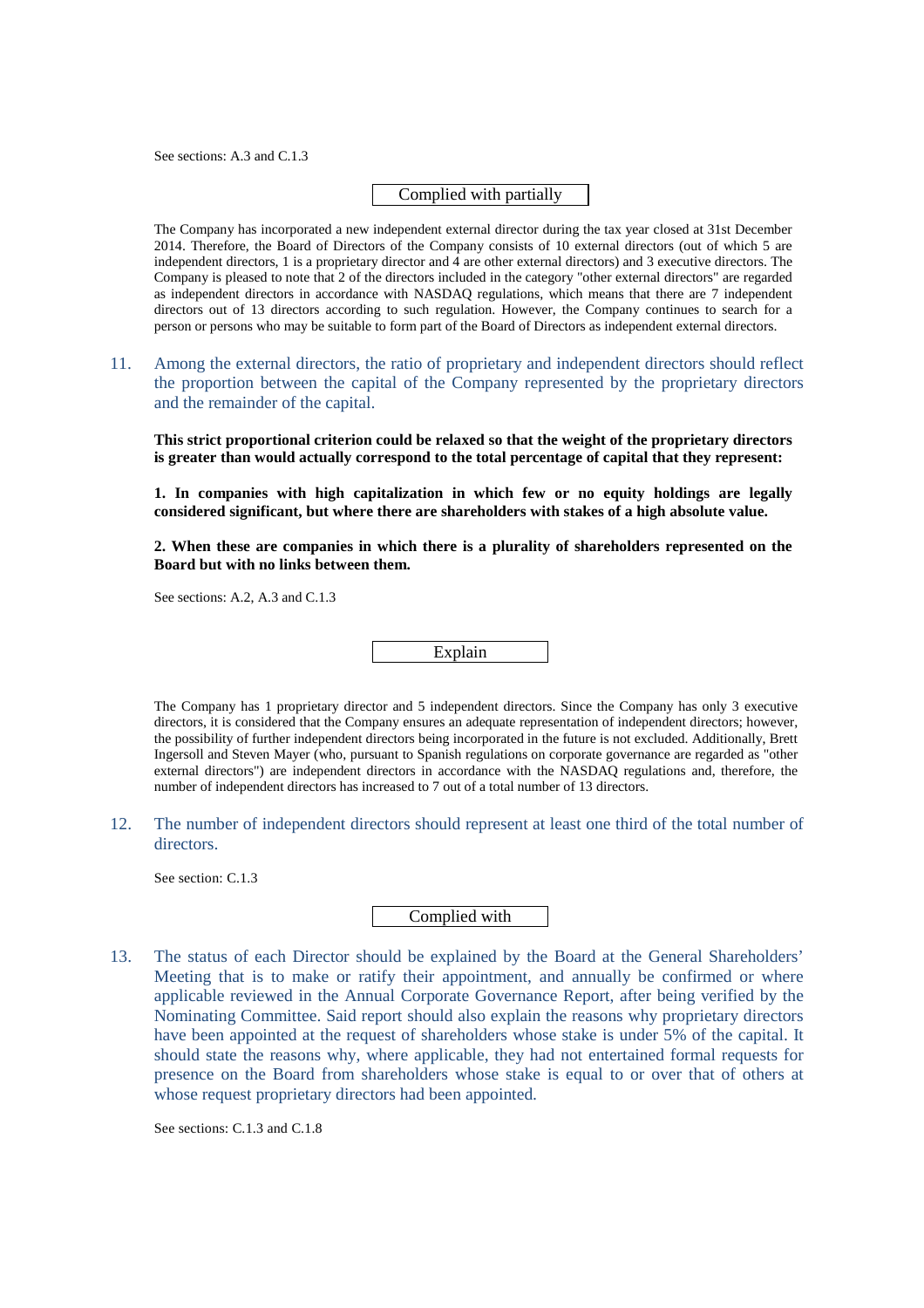See sections: A.3 and C.1.3

### Complied with partially

The Company has incorporated a new independent external director during the tax year closed at 31st December 2014. Therefore, the Board of Directors of the Company consists of 10 external directors (out of which 5 are independent directors, 1 is a proprietary director and  $\hat{4}$  are other external directors) and 3 executive directors. The Company is pleased to note that 2 of the directors included in the category "other external directors" are regarded as independent directors in accordance with NASDAQ regulations, which means that there are 7 independent directors out of 13 directors according to such regulation. However, the Company continues to search for a person or persons who may be suitable to form part of the Board of Directors as independent external directors.

11. Among the external directors, the ratio of proprietary and independent directors should reflect the proportion between the capital of the Company represented by the proprietary directors and the remainder of the capital.

**This strict proportional criterion could be relaxed so that the weight of the proprietary directors is greater than would actually correspond to the total percentage of capital that they represent:** 

**1. In companies with high capitalization in which few or no equity holdings are legally considered significant, but where there are shareholders with stakes of a high absolute value.** 

**2. When these are companies in which there is a plurality of shareholders represented on the Board but with no links between them.** 

See sections: A.2, A.3 and C.1.3

Explain

The Company has 1 proprietary director and 5 independent directors. Since the Company has only 3 executive directors, it is considered that the Company ensures an adequate representation of independent directors; however, the possibility of further independent directors being incorporated in the future is not excluded. Additionally, Brett Ingersoll and Steven Mayer (who, pursuant to Spanish regulations on corporate governance are regarded as "other external directors") are independent directors in accordance with the NASDAQ regulations and, therefore, the number of independent directors has increased to 7 out of a total number of 13 directors.

12. The number of independent directors should represent at least one third of the total number of directors.

See section: C.1.3

# Complied with

13. The status of each Director should be explained by the Board at the General Shareholders' Meeting that is to make or ratify their appointment, and annually be confirmed or where applicable reviewed in the Annual Corporate Governance Report, after being verified by the Nominating Committee. Said report should also explain the reasons why proprietary directors have been appointed at the request of shareholders whose stake is under 5% of the capital. It should state the reasons why, where applicable, they had not entertained formal requests for presence on the Board from shareholders whose stake is equal to or over that of others at whose request proprietary directors had been appointed.

See sections: C.1.3 and C.1.8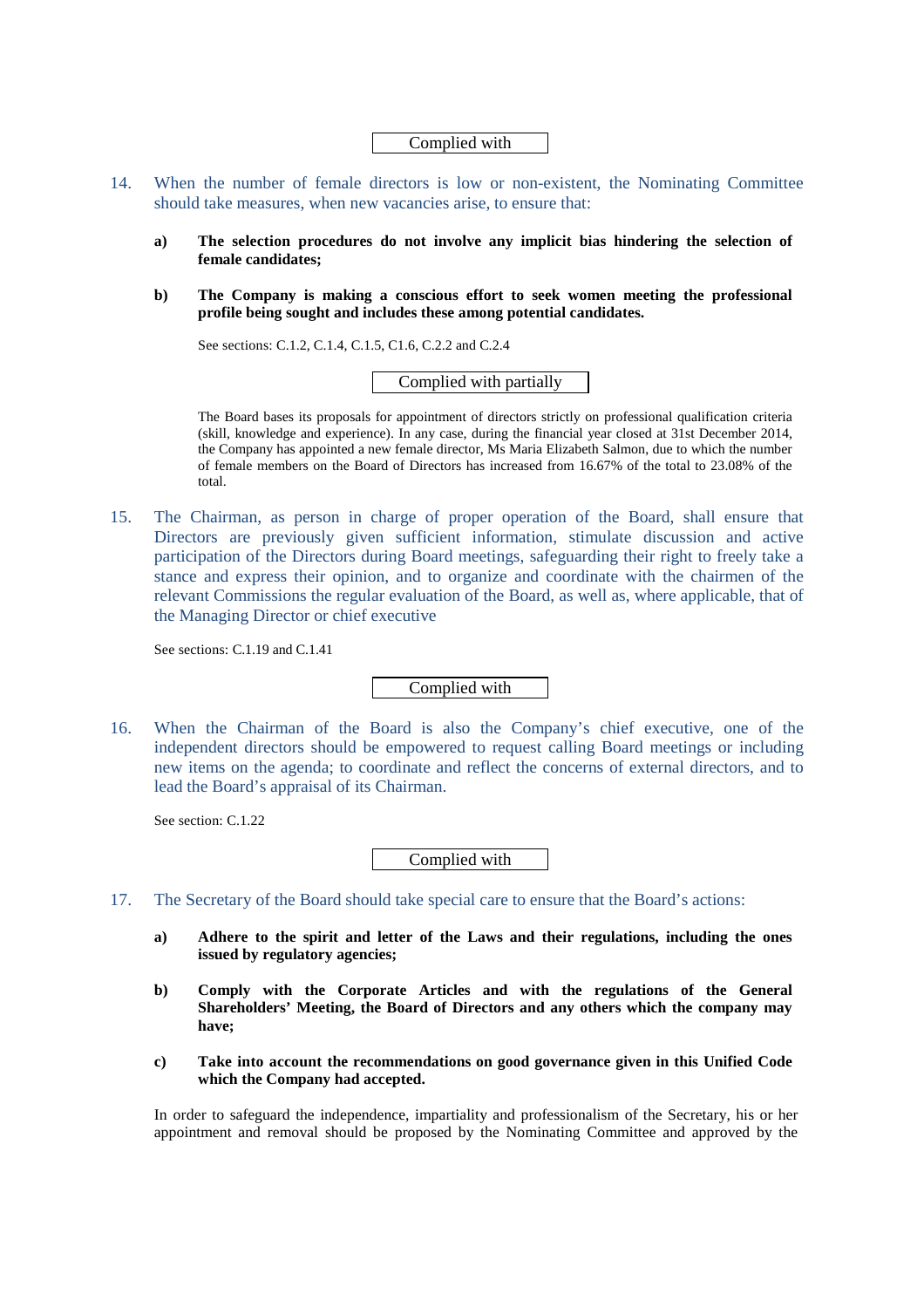Complied with

- 14. When the number of female directors is low or non-existent, the Nominating Committee should take measures, when new vacancies arise, to ensure that:
	- **a) The selection procedures do not involve any implicit bias hindering the selection of female candidates;**
	- **b) The Company is making a conscious effort to seek women meeting the professional profile being sought and includes these among potential candidates.**

See sections: C.1.2, C.1.4, C.1.5, C1.6, C.2.2 and C.2.4

Complied with partially

The Board bases its proposals for appointment of directors strictly on professional qualification criteria (skill, knowledge and experience). In any case, during the financial year closed at 31st December 2014, the Company has appointed a new female director, Ms Maria Elizabeth Salmon, due to which the number of female members on the Board of Directors has increased from 16.67% of the total to 23.08% of the total.

15. The Chairman, as person in charge of proper operation of the Board, shall ensure that Directors are previously given sufficient information, stimulate discussion and active participation of the Directors during Board meetings, safeguarding their right to freely take a stance and express their opinion, and to organize and coordinate with the chairmen of the relevant Commissions the regular evaluation of the Board, as well as, where applicable, that of the Managing Director or chief executive

See sections: C.1.19 and C.1.41

Complied with

16. When the Chairman of the Board is also the Company's chief executive, one of the independent directors should be empowered to request calling Board meetings or including new items on the agenda; to coordinate and reflect the concerns of external directors, and to lead the Board's appraisal of its Chairman.

See section: C.1.22

Complied with

- 17. The Secretary of the Board should take special care to ensure that the Board's actions:
	- **a) Adhere to the spirit and letter of the Laws and their regulations, including the ones issued by regulatory agencies;**
	- **b) Comply with the Corporate Articles and with the regulations of the General Shareholders' Meeting, the Board of Directors and any others which the company may have;**
	- **c) Take into account the recommendations on good governance given in this Unified Code which the Company had accepted.**

In order to safeguard the independence, impartiality and professionalism of the Secretary, his or her appointment and removal should be proposed by the Nominating Committee and approved by the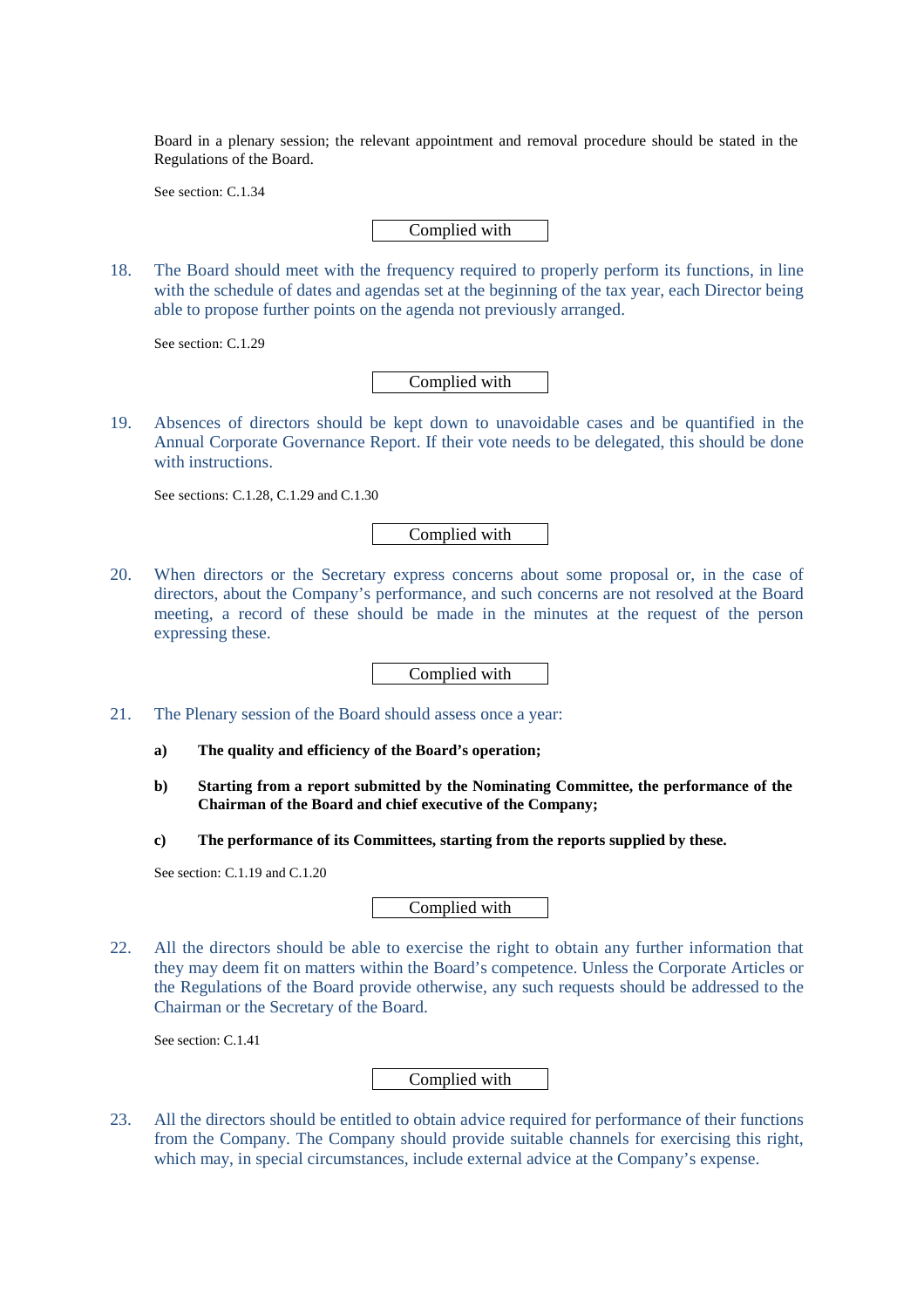Board in a plenary session; the relevant appointment and removal procedure should be stated in the Regulations of the Board.

See section: C.1.34

Complied with

18. The Board should meet with the frequency required to properly perform its functions, in line with the schedule of dates and agendas set at the beginning of the tax year, each Director being able to propose further points on the agenda not previously arranged.

See section: C.1.29

Complied with

19. Absences of directors should be kept down to unavoidable cases and be quantified in the Annual Corporate Governance Report. If their vote needs to be delegated, this should be done with instructions.

See sections: C.1.28, C.1.29 and C.1.30

Complied with

20. When directors or the Secretary express concerns about some proposal or, in the case of directors, about the Company's performance, and such concerns are not resolved at the Board meeting, a record of these should be made in the minutes at the request of the person expressing these.

Complied with

- 21. The Plenary session of the Board should assess once a year:
	- **a) The quality and efficiency of the Board's operation;**
	- **b) Starting from a report submitted by the Nominating Committee, the performance of the Chairman of the Board and chief executive of the Company;**
	- **c) The performance of its Committees, starting from the reports supplied by these.**

See section: C.1.19 and C.1.20

Complied with

22. All the directors should be able to exercise the right to obtain any further information that they may deem fit on matters within the Board's competence. Unless the Corporate Articles or the Regulations of the Board provide otherwise, any such requests should be addressed to the Chairman or the Secretary of the Board.

See section: C.1.41

Complied with

23. All the directors should be entitled to obtain advice required for performance of their functions from the Company. The Company should provide suitable channels for exercising this right, which may, in special circumstances, include external advice at the Company's expense.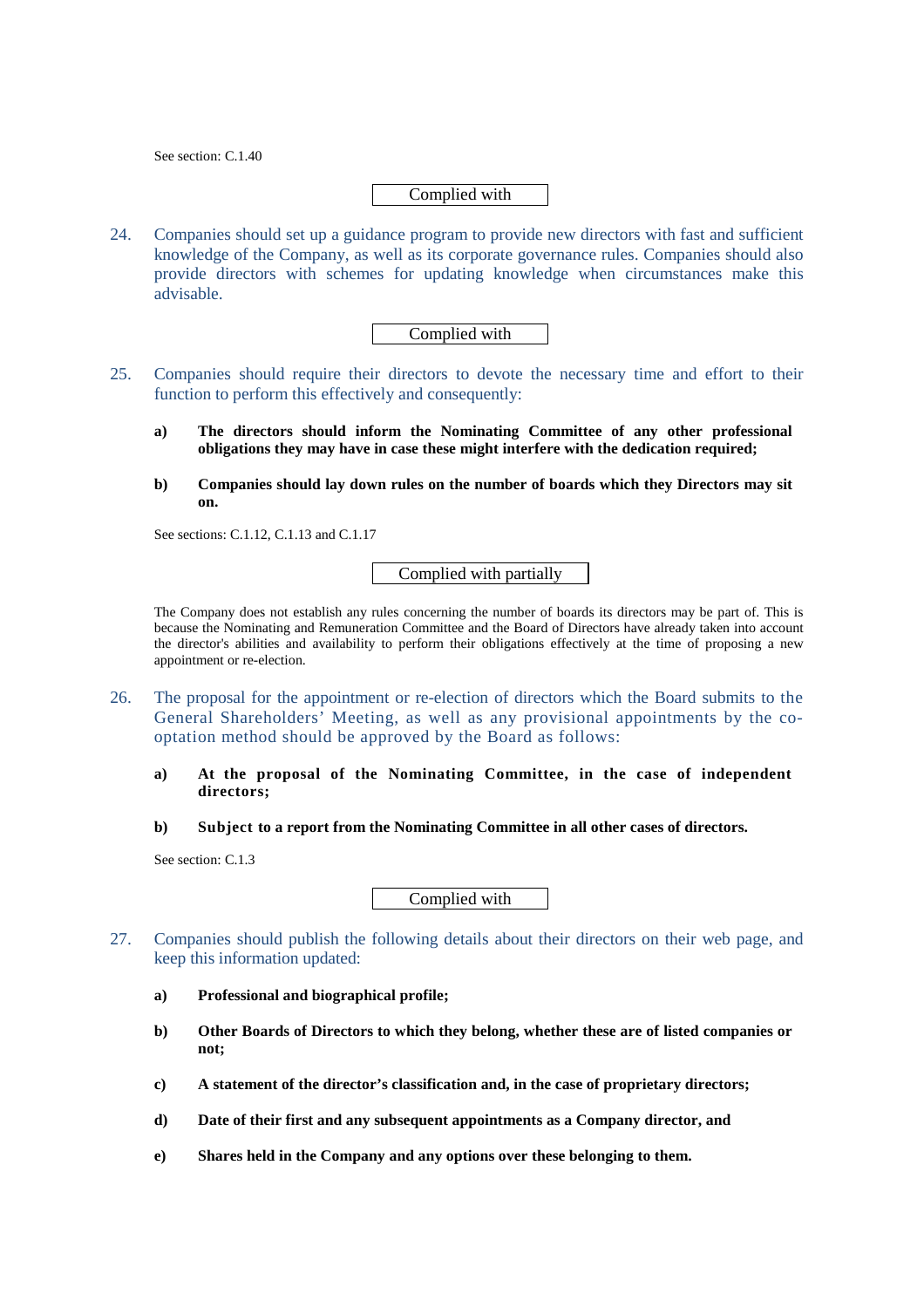See section: C.1.40

### Complied with

24. Companies should set up a guidance program to provide new directors with fast and sufficient knowledge of the Company, as well as its corporate governance rules. Companies should also provide directors with schemes for updating knowledge when circumstances make this advisable.

Complied with

- 25. Companies should require their directors to devote the necessary time and effort to their function to perform this effectively and consequently:
	- **a) The directors should inform the Nominating Committee of any other professional obligations they may have in case these might interfere with the dedication required;**
	- **b) Companies should lay down rules on the number of boards which they Directors may sit on.**

See sections: C.1.12, C.1.13 and C.1.17

Complied with partially

The Company does not establish any rules concerning the number of boards its directors may be part of. This is because the Nominating and Remuneration Committee and the Board of Directors have already taken into account the director's abilities and availability to perform their obligations effectively at the time of proposing a new appointment or re-election.

- 26. The proposal for the appointment or re-election of directors which the Board submits to the General Shareholders' Meeting, as well as any provisional appointments by the cooptation method should be approved by the Board as follows:
	- **a) At the proposal of the Nominating Committee, in the case of independent directors;**
	- **b) Subject to a report from the Nominating Committee in all other cases of directors.**

See section: C.1.3

Complied with

- 27. Companies should publish the following details about their directors on their web page, and keep this information updated:
	- **a) Professional and biographical profile;**
	- **b) Other Boards of Directors to which they belong, whether these are of listed companies or not;**
	- **c) A statement of the director's classification and, in the case of proprietary directors;**
	- **d) Date of their first and any subsequent appointments as a Company director, and**
	- **e) Shares held in the Company and any options over these belonging to them.**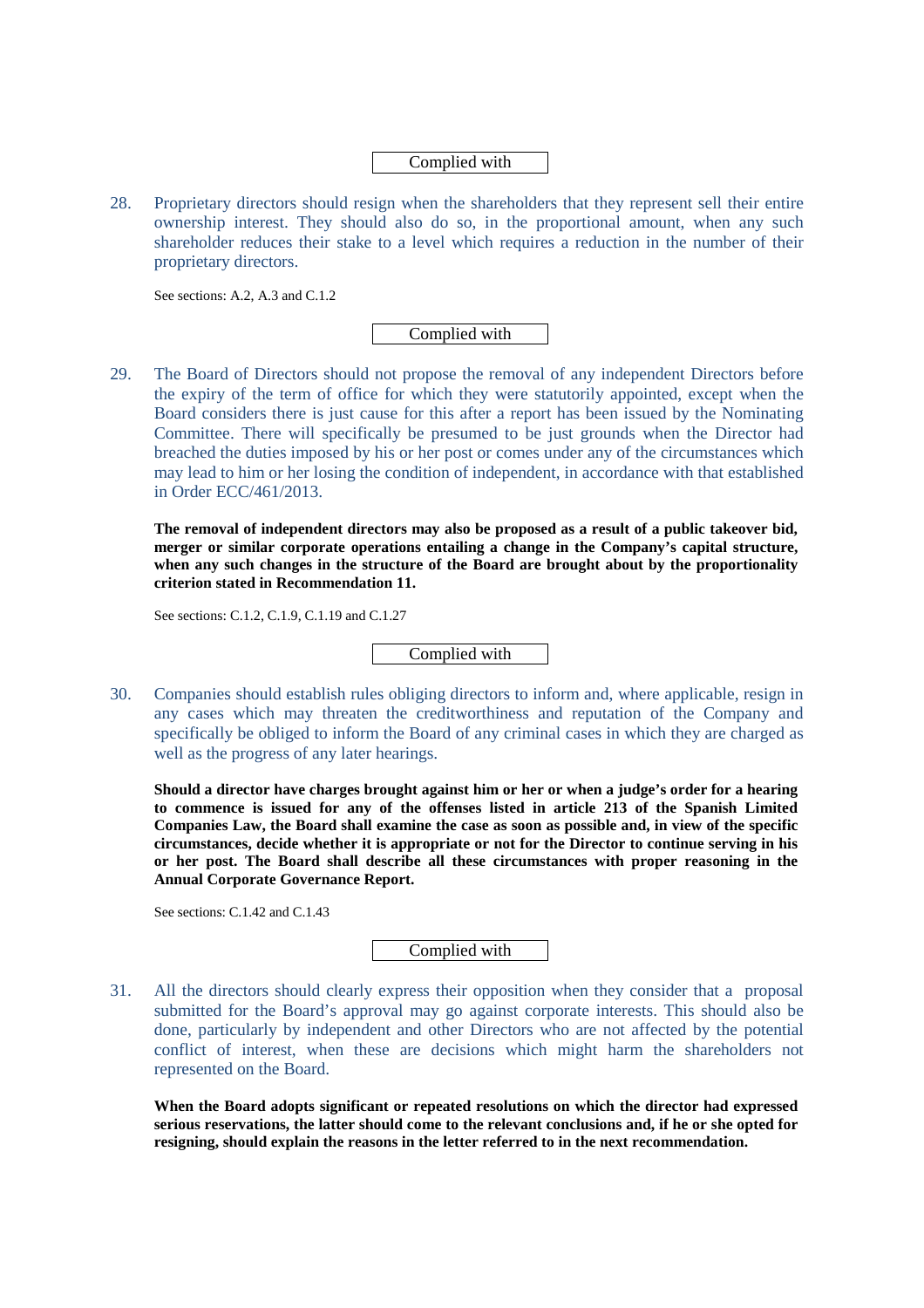Complied with

28. Proprietary directors should resign when the shareholders that they represent sell their entire ownership interest. They should also do so, in the proportional amount, when any such shareholder reduces their stake to a level which requires a reduction in the number of their proprietary directors.

See sections: A.2, A.3 and C.1.2

Complied with

29. The Board of Directors should not propose the removal of any independent Directors before the expiry of the term of office for which they were statutorily appointed, except when the Board considers there is just cause for this after a report has been issued by the Nominating Committee. There will specifically be presumed to be just grounds when the Director had breached the duties imposed by his or her post or comes under any of the circumstances which may lead to him or her losing the condition of independent, in accordance with that established in Order ECC/461/2013.

**The removal of independent directors may also be proposed as a result of a public takeover bid, merger or similar corporate operations entailing a change in the Company's capital structure, when any such changes in the structure of the Board are brought about by the proportionality criterion stated in Recommendation 11.** 

See sections: C.1.2, C.1.9, C.1.19 and C.1.27

Complied with

30. Companies should establish rules obliging directors to inform and, where applicable, resign in any cases which may threaten the creditworthiness and reputation of the Company and specifically be obliged to inform the Board of any criminal cases in which they are charged as well as the progress of any later hearings.

**Should a director have charges brought against him or her or when a judge's order for a hearing to commence is issued for any of the offenses listed in article 213 of the Spanish Limited Companies Law, the Board shall examine the case as soon as possible and, in view of the specific circumstances, decide whether it is appropriate or not for the Director to continue serving in his or her post. The Board shall describe all these circumstances with proper reasoning in the Annual Corporate Governance Report.** 

See sections: C.1.42 and C.1.43

Complied with

31. All the directors should clearly express their opposition when they consider that a proposal submitted for the Board's approval may go against corporate interests. This should also be done, particularly by independent and other Directors who are not affected by the potential conflict of interest, when these are decisions which might harm the shareholders not represented on the Board.

**When the Board adopts significant or repeated resolutions on which the director had expressed serious reservations, the latter should come to the relevant conclusions and, if he or she opted for resigning, should explain the reasons in the letter referred to in the next recommendation.**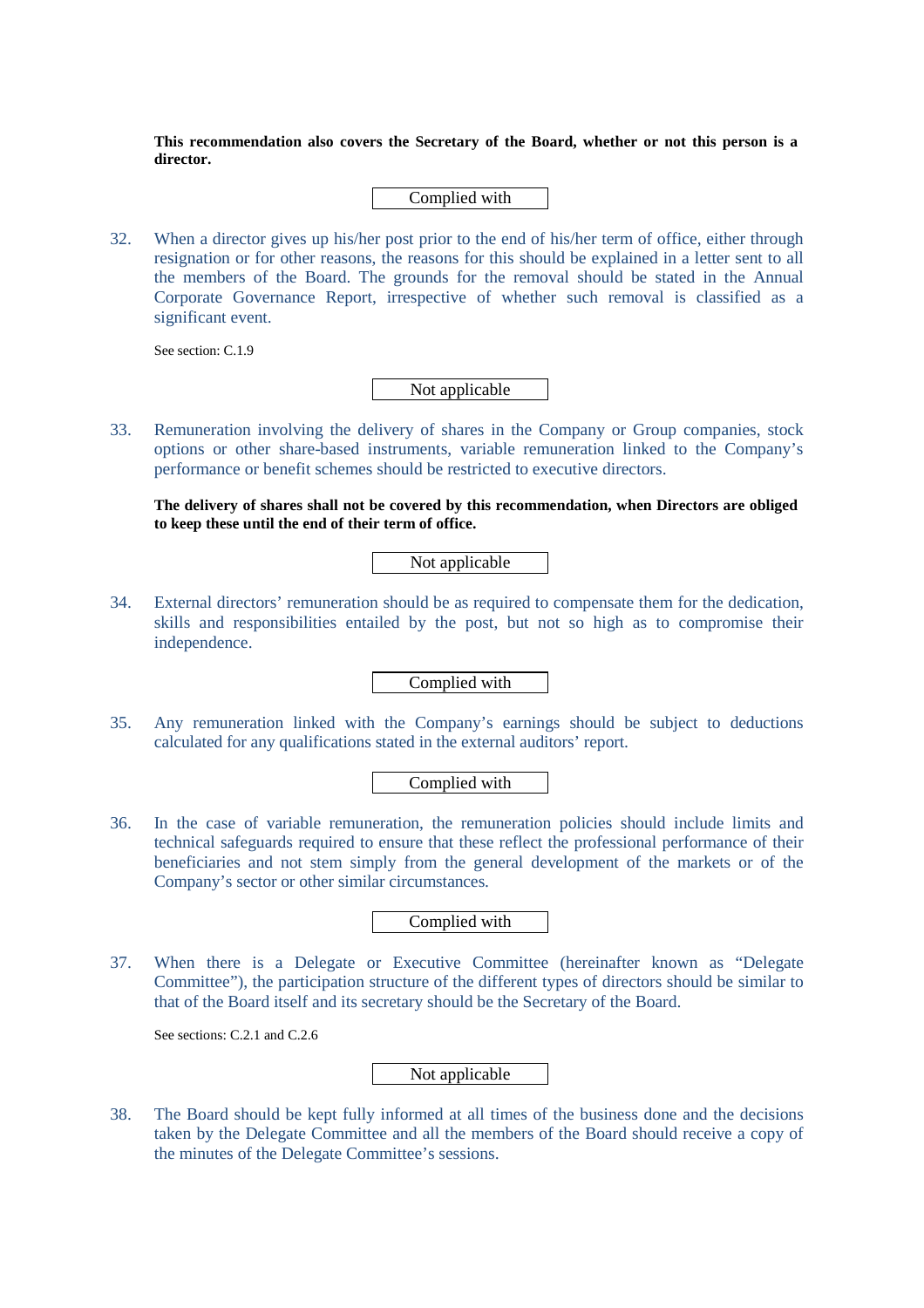**This recommendation also covers the Secretary of the Board, whether or not this person is a director.** 

Complied with

32. When a director gives up his/her post prior to the end of his/her term of office, either through resignation or for other reasons, the reasons for this should be explained in a letter sent to all the members of the Board. The grounds for the removal should be stated in the Annual Corporate Governance Report, irrespective of whether such removal is classified as a significant event.

See section: C.1.9

Not applicable

33. Remuneration involving the delivery of shares in the Company or Group companies, stock options or other share-based instruments, variable remuneration linked to the Company's performance or benefit schemes should be restricted to executive directors.

**The delivery of shares shall not be covered by this recommendation, when Directors are obliged to keep these until the end of their term of office.** 

Not applicable

34. External directors' remuneration should be as required to compensate them for the dedication, skills and responsibilities entailed by the post, but not so high as to compromise their independence.

Complied with

35. Any remuneration linked with the Company's earnings should be subject to deductions calculated for any qualifications stated in the external auditors' report.

### Complied with

36. In the case of variable remuneration, the remuneration policies should include limits and technical safeguards required to ensure that these reflect the professional performance of their beneficiaries and not stem simply from the general development of the markets or of the Company's sector or other similar circumstances.

Complied with

37. When there is a Delegate or Executive Committee (hereinafter known as "Delegate Committee"), the participation structure of the different types of directors should be similar to that of the Board itself and its secretary should be the Secretary of the Board.

See sections: C.2.1 and C.2.6

Not applicable

38. The Board should be kept fully informed at all times of the business done and the decisions taken by the Delegate Committee and all the members of the Board should receive a copy of the minutes of the Delegate Committee's sessions.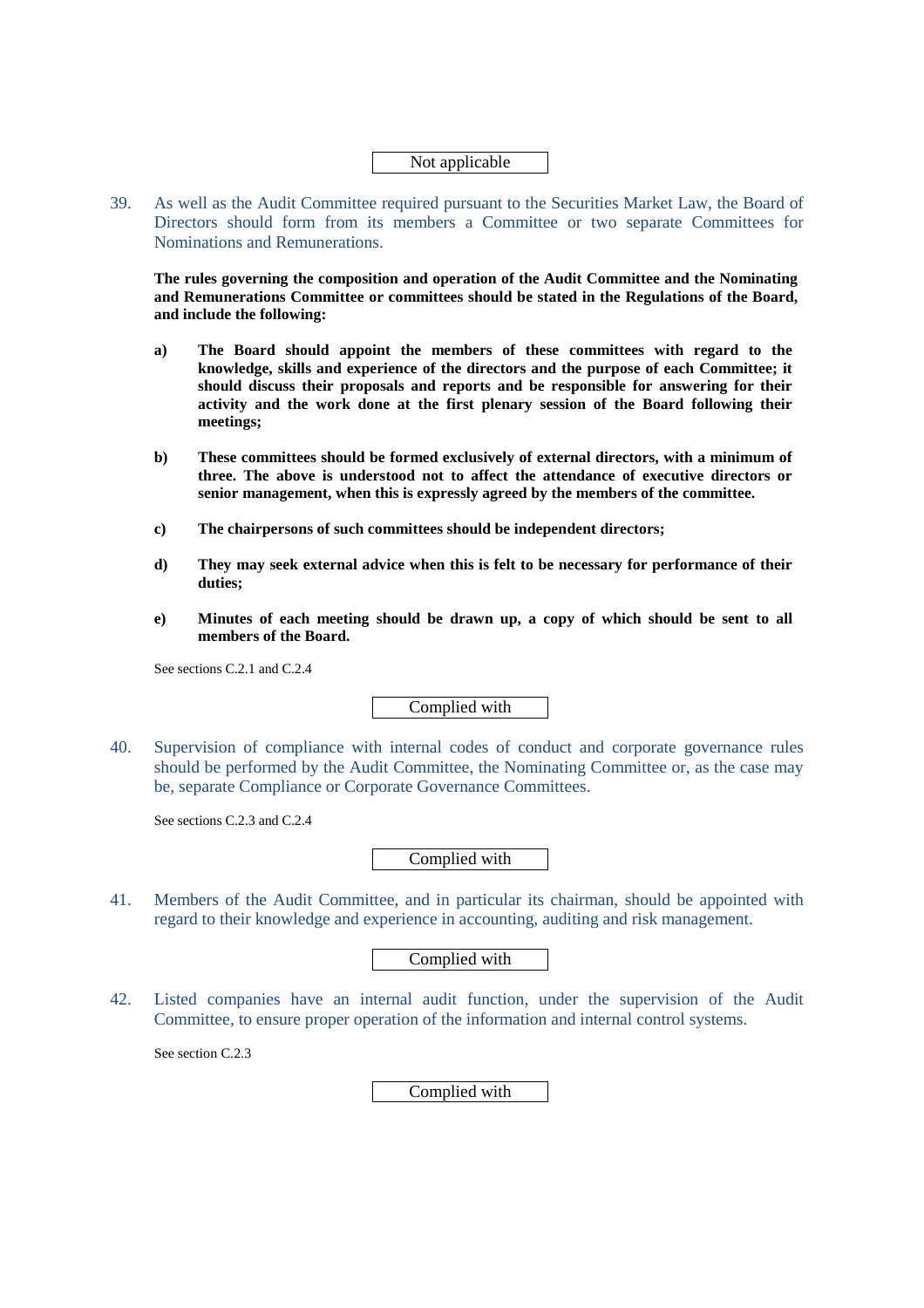### Not applicable

39. As well as the Audit Committee required pursuant to the Securities Market Law, the Board of Directors should form from its members a Committee or two separate Committees for Nominations and Remunerations.

**The rules governing the composition and operation of the Audit Committee and the Nominating and Remunerations Committee or committees should be stated in the Regulations of the Board, and include the following:** 

- **a) The Board should appoint the members of these committees with regard to the knowledge, skills and experience of the directors and the purpose of each Committee; it should discuss their proposals and reports and be responsible for answering for their activity and the work done at the first plenary session of the Board following their meetings;**
- **b) These committees should be formed exclusively of external directors, with a minimum of three. The above is understood not to affect the attendance of executive directors or senior management, when this is expressly agreed by the members of the committee.**
- **c) The chairpersons of such committees should be independent directors;**
- **d) They may seek external advice when this is felt to be necessary for performance of their duties;**
- **e) Minutes of each meeting should be drawn up, a copy of which should be sent to all members of the Board.**

See sections C.2.1 and C.2.4

Complied with

40. Supervision of compliance with internal codes of conduct and corporate governance rules should be performed by the Audit Committee, the Nominating Committee or, as the case may be, separate Compliance or Corporate Governance Committees.

See sections C.2.3 and C.2.4

Complied with

41. Members of the Audit Committee, and in particular its chairman, should be appointed with regard to their knowledge and experience in accounting, auditing and risk management.

Complied with

42. Listed companies have an internal audit function, under the supervision of the Audit Committee, to ensure proper operation of the information and internal control systems.

See section C.2.3

Complied with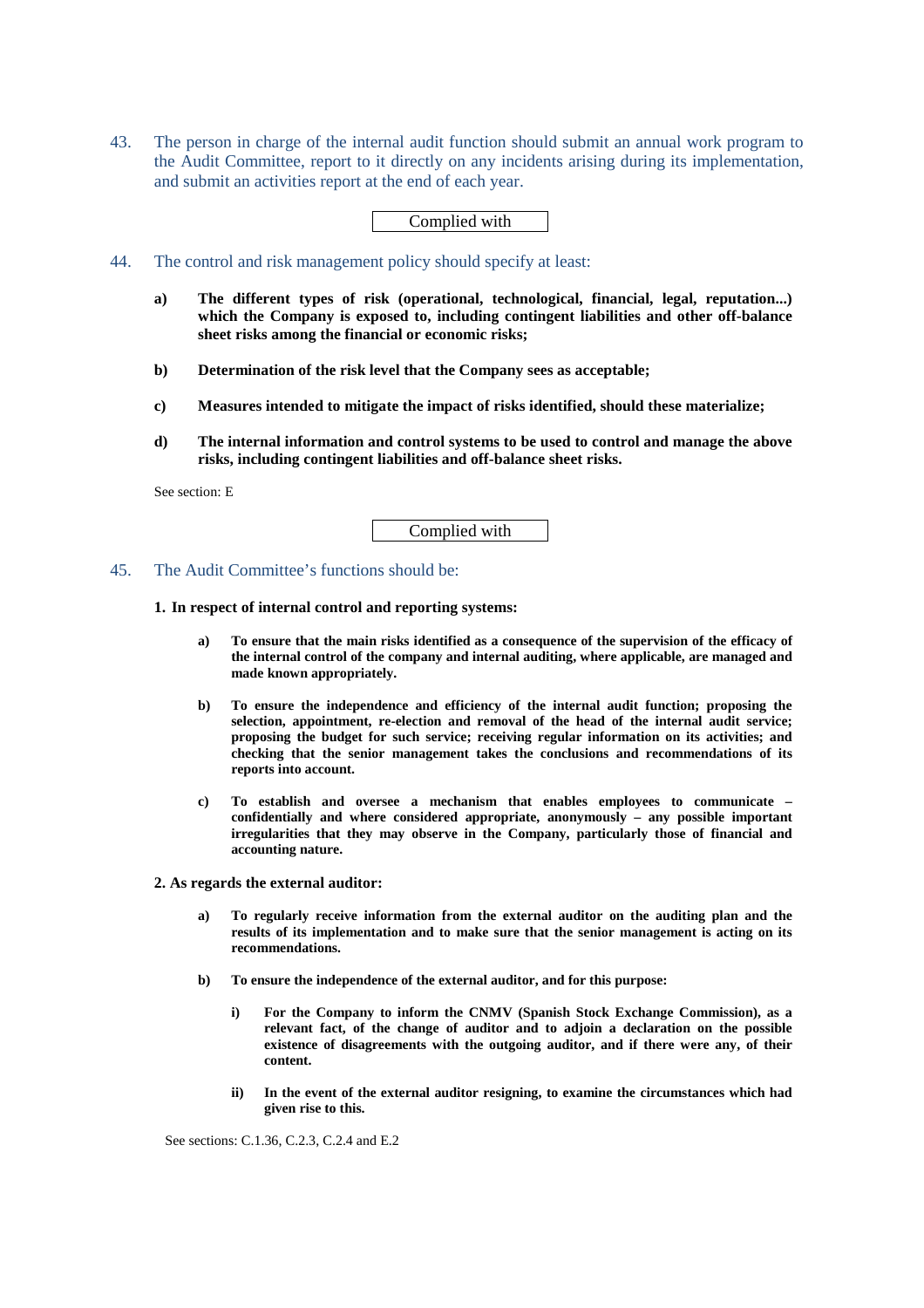43. The person in charge of the internal audit function should submit an annual work program to the Audit Committee, report to it directly on any incidents arising during its implementation, and submit an activities report at the end of each year.

#### Complied with

- 44. The control and risk management policy should specify at least:
	- **a) The different types of risk (operational, technological, financial, legal, reputation...) which the Company is exposed to, including contingent liabilities and other off-balance sheet risks among the financial or economic risks;**
	- **b) Determination of the risk level that the Company sees as acceptable;**
	- **c) Measures intended to mitigate the impact of risks identified, should these materialize;**
	- **d) The internal information and control systems to be used to control and manage the above risks, including contingent liabilities and off-balance sheet risks.**

See section: E

Complied with

#### 45. The Audit Committee's functions should be:

### **1. In respect of internal control and reporting systems:**

- **a) To ensure that the main risks identified as a consequence of the supervision of the efficacy of the internal control of the company and internal auditing, where applicable, are managed and made known appropriately.**
- **b) To ensure the independence and efficiency of the internal audit function; proposing the selection, appointment, re-election and removal of the head of the internal audit service; proposing the budget for such service; receiving regular information on its activities; and checking that the senior management takes the conclusions and recommendations of its reports into account.**
- **c) To establish and oversee a mechanism that enables employees to communicate confidentially and where considered appropriate, anonymously – any possible important irregularities that they may observe in the Company, particularly those of financial and accounting nature.**

**2. As regards the external auditor:** 

- **a) To regularly receive information from the external auditor on the auditing plan and the results of its implementation and to make sure that the senior management is acting on its recommendations.**
- **b) To ensure the independence of the external auditor, and for this purpose:** 
	- **i) For the Company to inform the CNMV (Spanish Stock Exchange Commission), as a relevant fact, of the change of auditor and to adjoin a declaration on the possible existence of disagreements with the outgoing auditor, and if there were any, of their content.**
	- **ii) In the event of the external auditor resigning, to examine the circumstances which had given rise to this.**

See sections: C.1.36, C.2.3, C.2.4 and E.2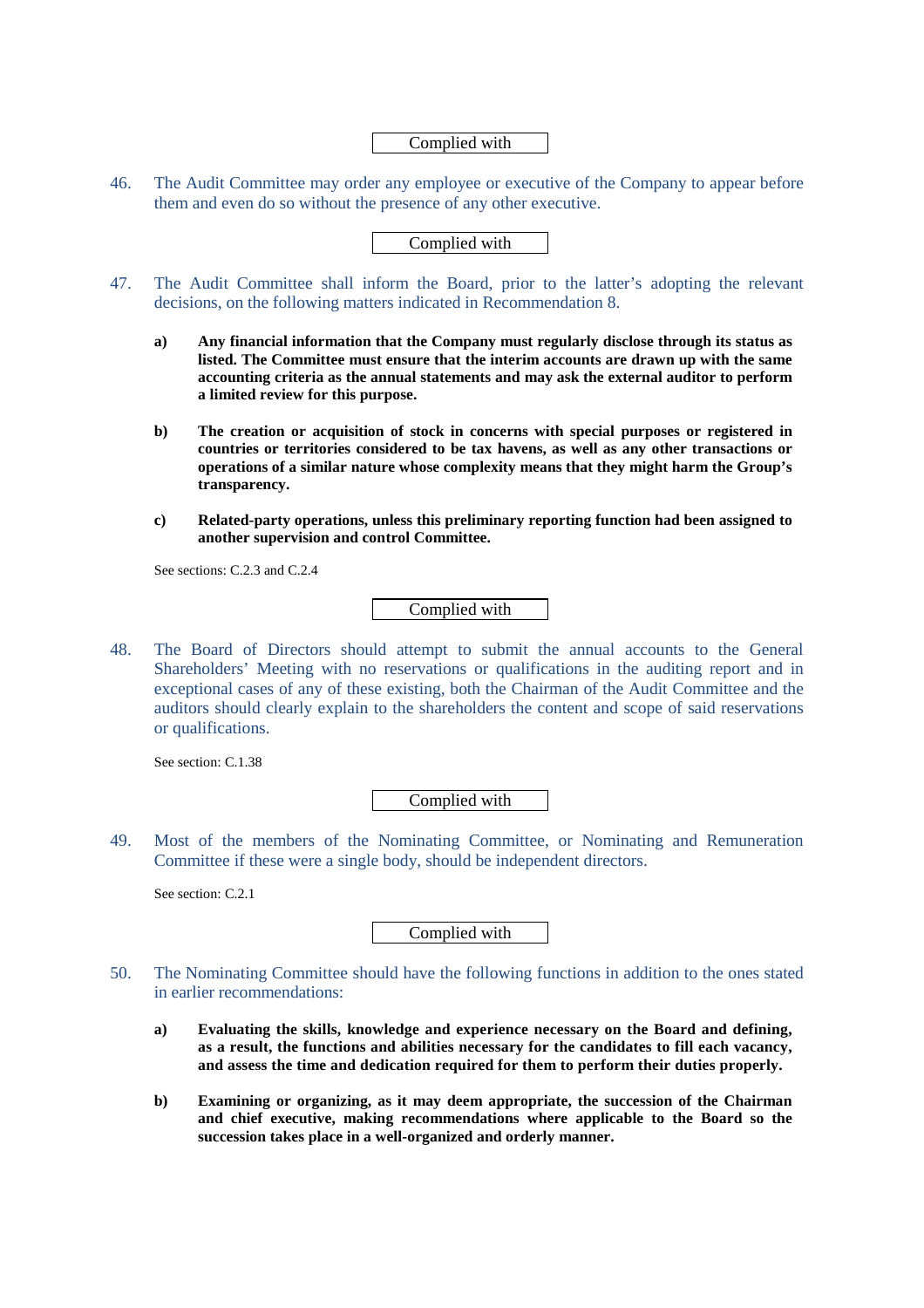### Complied with

46. The Audit Committee may order any employee or executive of the Company to appear before them and even do so without the presence of any other executive.

### Complied with

- 47. The Audit Committee shall inform the Board, prior to the latter's adopting the relevant decisions, on the following matters indicated in Recommendation 8.
	- **a) Any financial information that the Company must regularly disclose through its status as listed. The Committee must ensure that the interim accounts are drawn up with the same accounting criteria as the annual statements and may ask the external auditor to perform a limited review for this purpose.**
	- **b) The creation or acquisition of stock in concerns with special purposes or registered in countries or territories considered to be tax havens, as well as any other transactions or operations of a similar nature whose complexity means that they might harm the Group's transparency.**
	- **c) Related-party operations, unless this preliminary reporting function had been assigned to another supervision and control Committee.**

See sections: C.2.3 and C.2.4

Complied with

48. The Board of Directors should attempt to submit the annual accounts to the General Shareholders' Meeting with no reservations or qualifications in the auditing report and in exceptional cases of any of these existing, both the Chairman of the Audit Committee and the auditors should clearly explain to the shareholders the content and scope of said reservations or qualifications.

See section: C.1.38

Complied with

49. Most of the members of the Nominating Committee, or Nominating and Remuneration Committee if these were a single body, should be independent directors.

See section: C.2.1

Complied with

- 50. The Nominating Committee should have the following functions in addition to the ones stated in earlier recommendations:
	- **a) Evaluating the skills, knowledge and experience necessary on the Board and defining, as a result, the functions and abilities necessary for the candidates to fill each vacancy, and assess the time and dedication required for them to perform their duties properly.**
	- **b) Examining or organizing, as it may deem appropriate, the succession of the Chairman and chief executive, making recommendations where applicable to the Board so the succession takes place in a well-organized and orderly manner.**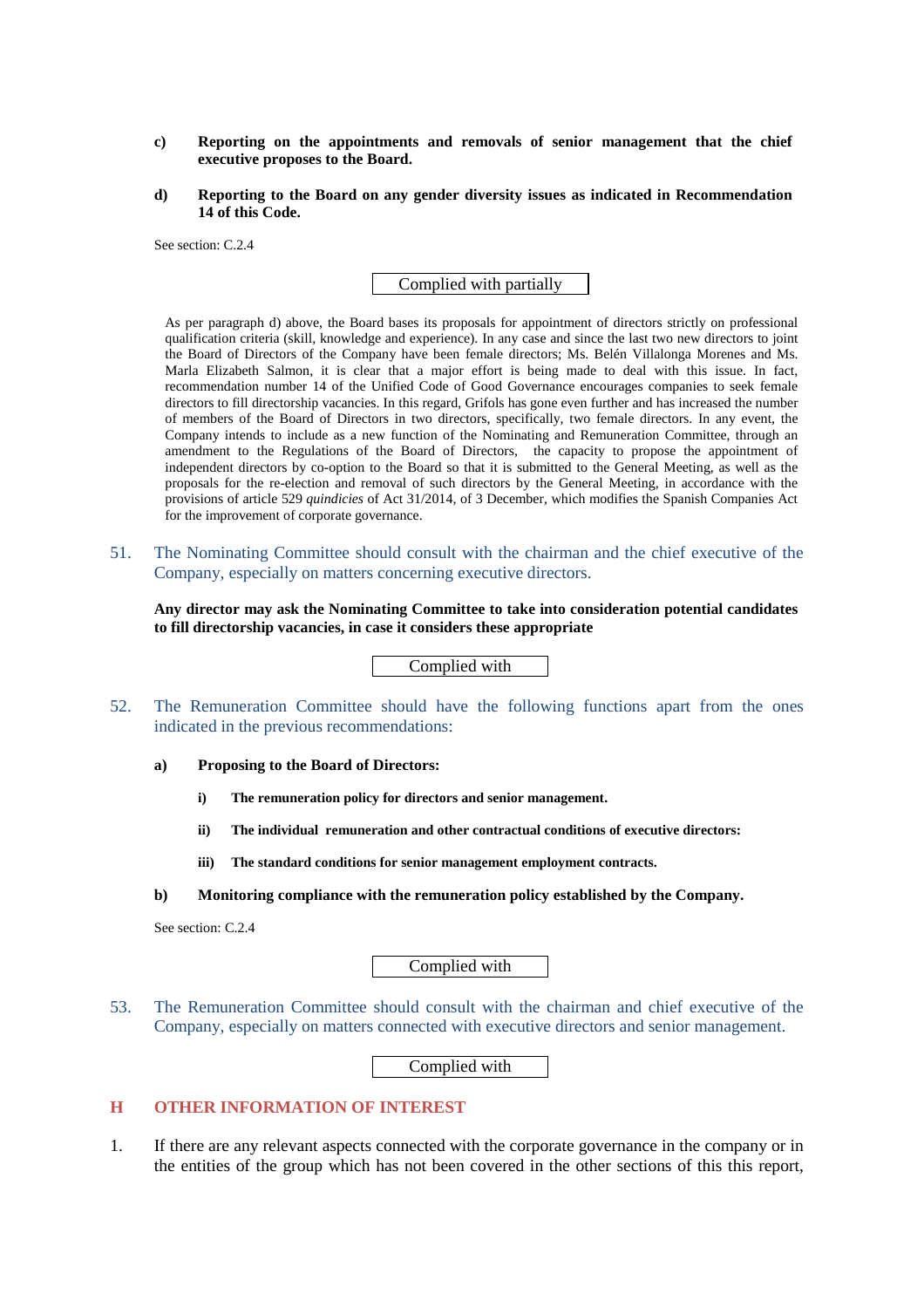- **c) Reporting on the appointments and removals of senior management that the chief executive proposes to the Board.**
- **d) Reporting to the Board on any gender diversity issues as indicated in Recommendation 14 of this Code.**

See section: C.2.4

Complied with partially

As per paragraph d) above, the Board bases its proposals for appointment of directors strictly on professional qualification criteria (skill, knowledge and experience). In any case and since the last two new directors to joint the Board of Directors of the Company have been female directors; Ms. Belén Villalonga Morenes and Ms. Marla Elizabeth Salmon, it is clear that a major effort is being made to deal with this issue. In fact, recommendation number 14 of the Unified Code of Good Governance encourages companies to seek female directors to fill directorship vacancies. In this regard, Grifols has gone even further and has increased the number of members of the Board of Directors in two directors, specifically, two female directors. In any event, the Company intends to include as a new function of the Nominating and Remuneration Committee, through an amendment to the Regulations of the Board of Directors, the capacity to propose the appointment of independent directors by co-option to the Board so that it is submitted to the General Meeting, as well as the proposals for the re-election and removal of such directors by the General Meeting, in accordance with the provisions of article 529 *quindicies* of Act 31/2014, of 3 December, which modifies the Spanish Companies Act for the improvement of corporate governance.

51. The Nominating Committee should consult with the chairman and the chief executive of the Company, especially on matters concerning executive directors.

**Any director may ask the Nominating Committee to take into consideration potential candidates to fill directorship vacancies, in case it considers these appropriate** 

### Complied with

- 52. The Remuneration Committee should have the following functions apart from the ones indicated in the previous recommendations:
	- **a) Proposing to the Board of Directors:** 
		- **i) The remuneration policy for directors and senior management.**
		- **ii) The individual remuneration and other contractual conditions of executive directors:**
		- **iii) The standard conditions for senior management employment contracts.**
	- **b) Monitoring compliance with the remuneration policy established by the Company.**

See section: C.2.4

Complied with

53. The Remuneration Committee should consult with the chairman and chief executive of the Company, especially on matters connected with executive directors and senior management.

Complied with

### **H OTHER INFORMATION OF INTEREST**

1. If there are any relevant aspects connected with the corporate governance in the company or in the entities of the group which has not been covered in the other sections of this this report,